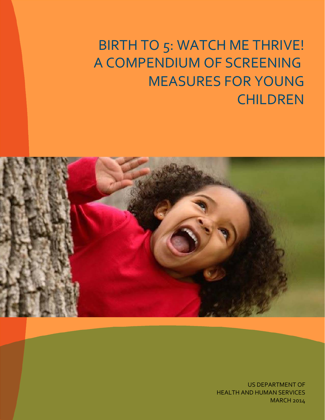BIRTH TO 5: WATCH ME THRIVE! A COMPENDIUM OF SCREENING MEASURES FOR YOUNG **CHILDREN** 



US DEPARTMENT OF HEALTH AND HUMAN SERVICES MARCH 2014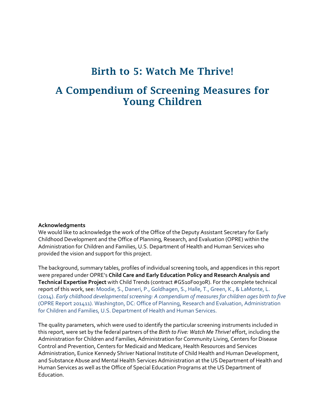### Birth to 5: Watch Me Thrive!

### A Compendium of Screening Measures for Young Children

#### **Acknowledgments**

We would like to acknowledge the work of the Office of the Deputy Assistant Secretary for Early Childhood Development and the Office of Planning, Research, and Evaluation (OPRE) within the Administration for Children and Families, U.S. Department of Health and Human Services who provided the vision and support for this project.

The background, summary tables, profiles of individual screening tools, and appendices in this report were prepared under OPRE's **Child Care and Early Education Policy and Research Analysis and Technical Expertise Project** with Child Trends (contract #GS10F0030R). For the complete technical report of this work, see: Moodie, S., Daneri, P., Goldhagen, S., Halle, T., Green, K., & LaMonte, L. (2014). *Early childhood developmental screening: A compendium of measures for children ages birth to five*  (OPRE Report 201411). Washington, DC: Office of Planning, Research and Evaluation, Administration for Children and Families, U.S. Department of Health and Human Services.

The quality parameters, which were used to identify the particular screening instruments included in this report, were set by the federal partners of the *Birth to Five: Watch Me Thrive!* effort, including the Administration for Children and Families, Administration for Community Living, Centers for Disease Control and Prevention, Centers for Medicaid and Medicare, Health Resources and Services Administration, Eunice Kennedy Shriver National Institute of Child Health and Human Development, and Substance Abuse and Mental Health Services Administration at the US Department of Health and Human Services as well as the Office of Special Education Programs at the US Department of Education.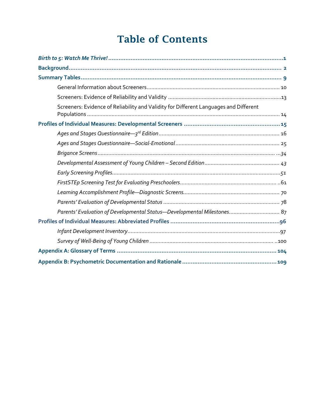### Table of Contents

| Screeners: Evidence of Reliability and Validity for Different Languages and Different |
|---------------------------------------------------------------------------------------|
|                                                                                       |
|                                                                                       |
|                                                                                       |
|                                                                                       |
|                                                                                       |
|                                                                                       |
|                                                                                       |
|                                                                                       |
|                                                                                       |
|                                                                                       |
|                                                                                       |
|                                                                                       |
|                                                                                       |
|                                                                                       |
|                                                                                       |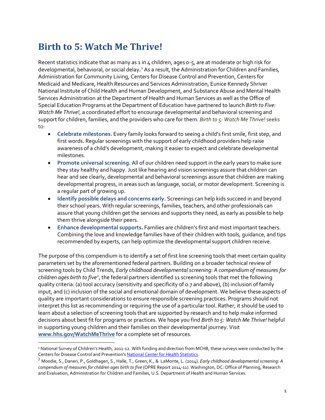### <span id="page-3-0"></span>**Birth to 5: Watch Me Thrive!**

l

Recent statistics indicate that as many as 1 in 4 children, ages o-5, are at moderate or high risk for developmental, behavioral, or social delay**.** [1](#page-3-1) As a result, the Administration for Children and Families, Administration for Community Living, Centers for Disease Control and Prevention, Centers for Medicaid and Medicare, Health Resources and Services Administration, Eunice Kennedy Shriver National Institute of Child Health and Human Development, and Substance Abuse and Mental Health Services Administration at the Department of Health and Human Services as well as the Office of Special Education Programs at the Department of Education have partnered to launch *Birth to Five: Watch Me Thrive!*, a coordinated effort to encourage developmental and behavioral screening and support for children, families, and the providers who care for them. *Birth to 5: Watch Me Thrive!* seeks to:

- **Celebrate milestones.** Every family looks forward to seeing a child's first smile, first step, and first words. Regular screenings with the support of early childhood providers help raise awareness of a child's development, making it easier to expect and celebrate developmental milestones.
- **Promote universal screening.** All of our children need support in the early years to make sure they stay healthy and happy. Just like hearing and vision screenings assure that children can hear and see clearly, developmental and behavioral screenings assure that children are making developmental progress, in areas such as language, social, or motor development. Screening is a regular part of growing up.
- **Identify possible delays and concerns early.** Screenings can help kids succeed in and beyond their school years. With regular screenings, families, teachers, and other professionals can assure that young children get the services and supports they need, as early as possible to help them thrive alongside their peers.
- **Enhance developmental supports.** Families are children's first and most important teachers. Combining the love and knowledge families have of their children with tools, guidance, and tips recommended by experts, can help optimize the developmental support children receive.

The purpose of this compendium is to identify a set of first line screening tools that meet certain quality parameters set by the aforementioned federal partners. Building on a broader technical review of screening tools by Child Trends, *Early childhood developmental screening: A compendium of measures for*  children ages birth to five<sup>[2](#page-3-2)</sup>, the federal partners identified 11 screening tools that met the following quality criteria: (a) tool accuracy (sensitivity and specificity of 0.7 and above), (b) inclusion of family input, and (c) inclusion of the social and emotional domain of development. We believe these aspects of quality are important considerations to ensure responsible screening practices. Programs should not interpret this list as recommending or requiring the use of a particular tool. Rather, it should be used to learn about a selection of screening tools that are supported by research and to help make informed decisions about best fit for programs or practices. We hope you find *Birth to 5: Watch Me Thrive!* helpful in supporting young children and their families on their developmental journey. Visit **[www.hhs.gov/WatchMeThrive](http://www.hhs.gov/WatchMeThrive)** for a complete set of resources.

<span id="page-3-1"></span><sup>1</sup> National Survey of Children's Health, 2011-12. With funding and direction from MCHB, these surveys were conducted by the Centers for Disease Control and Prevention'[s National Center for Health Statistics.](http://www.cdc.gov/nchs/)

<span id="page-3-2"></span><sup>2</sup> Moodie, S., Daneri, P., Goldhagen, S., Halle, T., Green, K., & LaMonte, L. (2014). *Early childhood developmental screening: A compendium of measures for children ages birth to five* (OPRE Report 2014-11). Washington, DC: Office of Planning, Research and Evaluation, Administration for Children and Families, U.S. Department of Health and Human Services.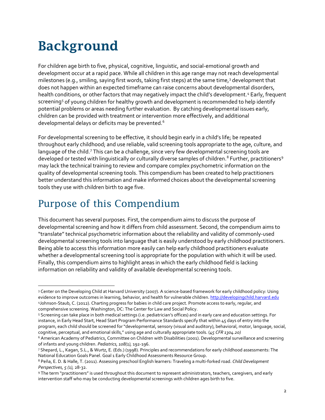## <span id="page-4-0"></span>Background

For children age birth to five, physical, cognitive, linguistic, and social-emotional growth and development occur at a rapid pace. While all children in this age range may not reach developmental milestones (e.g., smiling, saying first words, taking first steps) at the same time,<sup>[3](#page-4-1)</sup> development that does not happen within an expected timeframe can raise concerns about developmental disorders, health conditions, or other factors that may negatively impact the child's development.<sup>[4](#page-4-2)</sup> Early, frequent screening<sup>5</sup> of young children for healthy growth and development is recommended to help identify potential problems or areas needing further evaluation. By catching developmental issues early, children can be provided with treatment or intervention more effectively, and additional developmental delays or deficits may be prevented.[6](#page-4-4)

For developmental screening to be effective, it should begin early in a child's life; be repeated throughout early childhood; and use reliable, valid screening tools appropriate to the age, culture, and language of the child.<sup>[7](#page-4-5)</sup> This can be a challenge, since very few developmental screening tools are developed or tested with linguistically or culturally diverse samples of children.<sup>[8](#page-4-6)</sup> Further, practitioners<sup>[9](#page-4-7)</sup> may lack the technical training to review and compare complex psychometric information on the quality of developmental screening tools. This compendium has been created to help practitioners better understand this information and make informed choices about the developmental screening tools they use with children birth to age five.

### Purpose of this Compendium

 $\overline{\phantom{a}}$ 

This document has several purposes. First, the compendium aims to discuss the purpose of developmental screening and how it differs from child assessment. Second, the compendium aims to "translate" technical psychometric information about the reliability and validity of commonly-used developmental screening tools into language that is easily understood by early childhood practitioners. Being able to access this information more easily can help early childhood practitioners evaluate whether a developmental screening tool is appropriate for the population with which it will be used. Finally, this compendium aims to highlight areas in which the early childhood field is lacking information on reliability and validity of available developmental screening tools.

<span id="page-4-2"></span><span id="page-4-1"></span><sup>3</sup> Center on the Developing Child at Harvard University (2007). A science-based framework for early childhood policy: Using evidence to improve outcomes in learning, behavior, and health for vulnerable children[. http://developingchild.harvard.edu](http://developingchild.harvard.edu/) 4Johnson-Staub, C. (2012). Charting progress for babies in child care project. Promote access to early, regular, and comprehensive screening. Washington, DC: The Center for Law and Social Policy.

<span id="page-4-3"></span><sup>5</sup> Screening can take place in both medical settings (i.e. pediatrician's offices) and in early care and education settings. For instance, in Early Head Start, Head Start Program Performance Standards specify that within 45 days of entry into the program, each child should be screened for "developmental, sensory (visual and auditory), behavioral, motor, language, social, cognitive, perceptual, and emotional skills," using age and culturally appropriate tools. (*45 CFR 1304.20)*

<span id="page-4-4"></span><sup>6</sup> American Academy of Pediatrics, Committee on Children with Disabilities (2001). Developmental surveillance and screening of infants and young children. *Pediatrics, 108(1),* 192-196.<br>7 Shepard, L., Kagan, S.L., & Wurtz, E. (Eds.) (1998). Principles and recommendations for early childhood assessments: The

<span id="page-4-5"></span>National Education Goals Panel. Goal 1 Early Childhood Assessments Resource Group.<br><sup>8</sup> Peña, E. D. & Halle, T. (2011). Assessing preschool English learners: Traveling a multi-forked road. *Child Development* 

<span id="page-4-6"></span>*Perspectives, 5 (1),* 28-32.

<span id="page-4-7"></span><sup>9</sup> The term "practitioners" is used throughout this document to represent administrators, teachers, caregivers, and early intervention staff who may be conducting developmental screenings with children ages birth to five.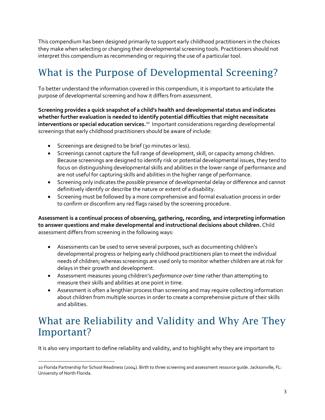This compendium has been designed primarily to support early childhood practitioners in the choices they make when selecting or changing their developmental screening tools. Practitioners should not interpret this compendium as recommending or requiring the use of a particular tool.

### What is the Purpose of Developmental Screening?

To better understand the information covered in this compendium, it is important to articulate the purpose of developmental screening and how it differs from assessment.

**Screening provides a quick snapshot of a child's health and developmental status and indicates whether further evaluation is needed to identify potential difficulties that might necessitate interventions or special education services.**[10](#page-5-0) Important considerations regarding developmental screenings that early childhood practitioners should be aware of include:

- Screenings are designed to be brief (30 minutes or less).
- Screenings cannot capture the full range of development, skill, or capacity among children. Because screenings are designed to identify risk or potential developmental issues, they tend to focus on distinguishing developmental skills and abilities in the lower range of performance and are not useful for capturing skills and abilities in the higher range of performance.
- Screening only indicates the *possible* presence of developmental delay or difference and cannot definitively identify or describe the nature or extent of a disability.
- Screening must be followed by a more comprehensive and formal evaluation process in order to confirm or disconfirm any red flags raised by the screening procedure.

**Assessment is a continual process of observing, gathering, recording, and interpreting information to answer questions and make developmental and instructional decisions about children.** Child assessment differs from screening in the following ways:

- Assessments can be used to serve several purposes, such as documenting children's developmental progress or helping early childhood practitioners plan to meet the individual needs of children; whereas screenings are used only to monitor whether children are at risk for delays in their growth and development.
- Assessment measures young children's *performance over time* rather than attempting to measure their skills and abilities at one point in time.
- Assessment is often a lengthier process than screening and may require collecting information about children from multiple sources in order to create a comprehensive picture of their skills and abilities.

### What are Reliability and Validity and Why Are They Important?

It is also very important to define reliability and validity, and to highlight why they are important to

<span id="page-5-0"></span><sup>10</sup> Florida Partnership for School Readiness (2004). Birth to three screening and assessment resource guide. Jacksonville, FL: University of North Florida.  $\overline{\phantom{a}}$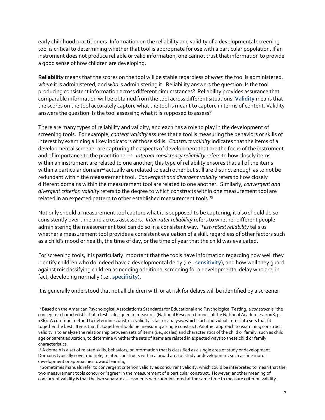early childhood practitioners. Information on the reliability and validity of a developmental screening tool is critical to determining whether that tool is appropriate for use with a particular population. If an instrument does not produce reliable or valid information, one cannot trust that information to provide a good sense of how children are developing.

**Reliability** means that the scores on the tool will be stable regardless of *when* the tool is administered, *where* it is administered, and *who* is administering it. Reliability answers the question: Is the tool producing consistent information across different circumstances? Reliability provides assurance that comparable information will be obtained from the tool across different situations. **Validity** means that the scores on the tool accurately capture what the tool is meant to capture in terms of content. Validity answers the question: Is the tool assessing what it is supposed to assess?

There are many types of reliability and validity, and each has a role to play in the development of screening tools. For example, *content validity* assures that a tool is measuring the behaviors or skills of interest by examining all key indicators of those skills. *Construct validity* indicates that the items of a developmental screener are capturing the aspects of development that are the focus of the instrument and of importance to the practitioner.<sup>11</sup> *Internal consistency reliability* refers to how closely items within an instrument are related to one another; this type of reliability ensures that all of the items within a particular domain<sup>[12](#page-6-1)</sup> actually are related to each other but still are distinct enough as to not be redundant within the measurement tool. *Convergent and divergent validity* refers to how closely different domains within the measurement tool are related to one another. Similarly, *convergent and divergent criterion validity* refers to the degree to which constructs within one measurement tool are related in an expected pattern to other established measurement tools.<sup>[13](#page-6-2)</sup>

Not only should a measurement tool capture what it is supposed to be capturing, it also should do so consistently over time and across assessors. *Inter-rater reliability* refers to whether different people administering the measurement tool can do so in a consistent way. *Test-retest reliability* tells us whether a measurement tool provides a consistent evaluation of a skill, regardless of other factors such as a child's mood or health, the time of day, or the time of year that the child was evaluated.

For screening tools, it is particularly important that the tools have information regarding how well they identify children who do indeed have a developmental delay (i.e., **sensitivity**), and how well they guard against misclassifying children as needing additional screening for a developmental delay who are, in fact, developing normally (i.e., **specificity**).

It is generally understood that not all children with or at risk for delays will be identified by a screener.

 $\overline{\phantom{a}}$ 

<span id="page-6-0"></span><sup>11</sup> Based on the American Psychological Association's Standards for Educational and Psychological Testing, a *construct* is "the concept or characteristic that a test is designed to measure" (National Research Council of the National Academies, 2008, p. 186). A common method to determine construct validity is factor analysis, which sorts individual items into sets that fit together the best. Items that fit together should be measuring a single construct. Another approach to examining construct validity is to analyze the relationship between sets of items (i.e., scales) and characteristics of the child or family, such as child age or parent education, to determine whether the sets of items are related in expected ways to these child or family characteristics.

<span id="page-6-1"></span><sup>12</sup> A domain is a set of related skills, behaviors, or information that is classified as a single area of study or development. Domains typically cover multiple, related constructs within a broad area of study or development, such as fine motor development or approaches toward learning.

<span id="page-6-2"></span><sup>13</sup> Sometimes manuals refer to convergent criterion validity as concurrent validity, which could be interpreted to mean that the two measurement tools concur or "agree" in the measurement of a particular construct. However, another meaning of concurrent validity is that the two separate assessments were administered at the same time to measure criterion validity.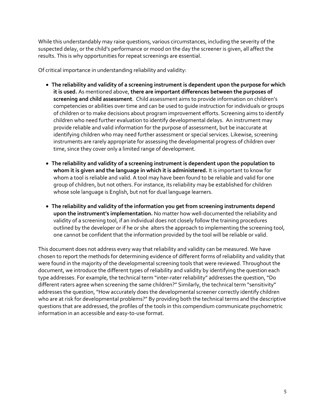While this understandably may raise questions, various circumstances, including the severity of the suspected delay, or the child's performance or mood on the day the screener is given, all affect the results. This is why opportunities for repeat screenings are essential.

Of critical importance in understanding reliability and validity:

- **The reliability and validity of a screening instrument is dependent upon the purpose for which it is used.** As mentioned above, **there are important differences between the purposes of screening and child assessment**. Child assessment aims to provide information on children's competencies or abilities over time and can be used to guide instruction for individuals or groups of children or to make decisions about program improvement efforts. Screening aims to identify children who need further evaluation to identify developmental delays. An instrument may provide reliable and valid information for the purpose of assessment, but be inaccurate at identifying children who may need further assessment or special services. Likewise, screening instruments are rarely appropriate for assessing the developmental progress of children over time, since they cover only a limited range of development.
- **The reliability and validity of a screening instrument is dependent upon the population to whom it is given and the language in which it is administered.** It is important to know for whom a tool is reliable and valid. A tool may have been found to be reliable and valid for one group of children, but not others. For instance, its reliability may be established for children whose sole language is English, but not for dual language learners.
- **The reliability and validity of the information you get from screening instruments depend upon the instrument's implementation.** No matter how well-documented the reliability and validity of a screening tool, if an individual does not closely follow the training procedures outlined by the developer or if he or she alters the approach to implementing the screening tool, one cannot be confident that the information provided by the tool will be reliable or valid.

This document does not address every way that reliability and validity can be measured. We have chosen to report the methods for determining evidence of different forms of reliability and validity that were found in the majority of the developmental screening tools that were reviewed. Throughout the document, we introduce the different types of reliability and validity by identifying the question each type addresses. For example, the technical term "inter-rater reliability" addresses the question, "Do different raters agree when screening the same children?" Similarly, the technical term "sensitivity" addresses the question, "How accurately does the developmental screener correctly identify children who are at risk for developmental problems?" By providing both the technical terms and the descriptive questions that are addressed, the profiles of the tools in this compendium communicate psychometric information in an accessible and easy-to-use format.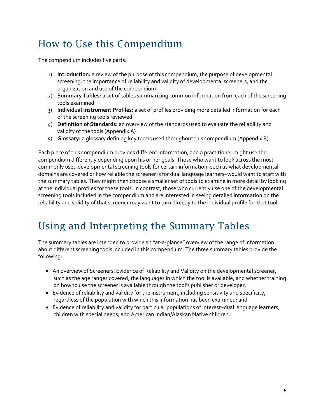## How to Use this Compendium

The compendium includes five parts:

- 1) **Introduction:** a review of the purpose of this compendium, the purpose of developmental screening, the importance of reliability and validity of developmental screeners, and the organization and use of the compendium
- 2) **Summary Tables:** a set of tables summarizing common information from each of the screening tools examined
- 3) **Individual Instrument Profiles:** a set of profiles providing more detailed information for each of the screening tools reviewed
- 4) **Definition of Standards:** an overview of the standards used to evaluate the reliability and validity of the tools (Appendix A)
- 5) **Glossary:** a glossary defining key terms used throughout this compendium (Appendix B)

Each piece of this compendium provides different information, and a practitioner might use the compendium differently depending upon his or her goals. Those who want to look across the most commonly used developmental screening tools for certain information–such as what developmental domains are covered or how reliable the screener is for dual language learners–would want to start with the summary tables. They might then choose a smaller set of tools to examine in more detail by looking at the individual profiles for these tools. In contrast, those who currently use one of the developmental screening tools included in the compendium and are interested in seeing detailed information on the reliability and validity of that screener may want to turn directly to the individual profile for that tool.

### Using and Interpreting the Summary Tables

The summary tables are intended to provide an "at-a-glance" overview of the range of information about different screening tools included in this compendium. The three summary tables provide the following:

- An overview of Screeners: Evidence of Reliability and Validity on the developmental screener, such as the age ranges covered, the languages in which the tool is available, and whether training on how to use the screener is available through the tool's publisher or developer;
- Evidence of reliability and validity for the instrument, including sensitivity and specificity, regardless of the population with which this information has been examined; and
- Evidence of reliability and validity for particular populations of interest–dual language learners, children with special needs, and American Indian/Alaskan Native children.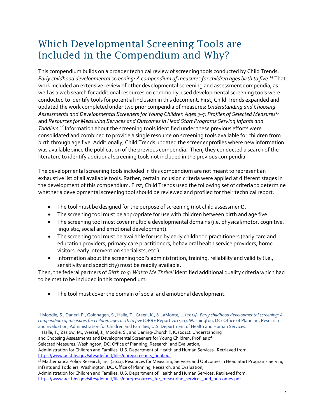### Which Developmental Screening Tools are Included in the Compendium and Why?

This compendium builds on a broader technical review of screening tools conducted by Child Trends, *Early childhood developmental screening: A compendium of measures for children ages birth to five. [14](#page-9-0)* That work included an extensive review of other developmental screening and assessment compendia, as well as a web search for additional resources on commonly-used developmental screening tools were conducted to identify tools for potential inclusion in this document. First, Child Trends expanded and updated the work completed under two prior compendia of measures: *Understanding and Choosing Assessments and Developmental Screeners for Young Children Ages 3-5: Profiles of Selected Measures[15](#page-9-1)* and *Resources for Measuring Services and Outcomes in Head Start Programs Serving Infants and Toddlers*. *[16](#page-9-2)* Information about the screening tools identified under these previous efforts were consolidated and combined to provide a single resource on screening tools available for children from birth through age five. Additionally, Child Trends updated the screener profiles where new information was available since the publication of the previous compendia. Then, they conducted a search of the literature to identify additional screening tools not included in the previous compendia.

The developmental screening tools included in this compendium are not meant to represent an exhaustive list of all available tools. Rather, certain inclusion criteria were applied at different stages in the development of this compendium. First, Child Trends used the following set of criteria to determine whether a developmental screening tool should be reviewed and profiled for their technical report:

- The tool must be designed for the purpose of screening (not child assessment).
- The screening tool must be appropriate for use with children between birth and age five.
- The screening tool must cover multiple developmental domains (i.e. physical/motor, cognitive, linguistic, social and emotional development).
- The screening tool must be available for use by early childhood practitioners (early care and education providers, primary care practitioners, behavioral health service providers, home visitors, early intervention specialists, etc.).
- Information about the screening tool's administration, training, reliability and validity (i.e., sensitivity and specificity) must be readily available.

Then, the federal partners of *Birth to 5: Watch Me Thrive!* identified additional quality criteria which had to be met to be included in this compendium:

• The tool must cover the domain of social and emotional development.

<span id="page-9-1"></span>15 Halle, T., Zaslow, M., Wessel, J., Moodie, S., and Darling-Churchill, K. (2011). Understanding and Choosing Assessments and Developmental Screeners for Young Children: Profiles of

Selected Measures. Washington, DC: Office of Planning, Research, and Evaluation,

l

<span id="page-9-0"></span><sup>14</sup> Moodie, S., Daneri, P., Goldhagen, S., Halle, T., Green, K., & LaMonte, L. (2014). *Early childhood developmental screening: A compendium of measures for children ages birth to five* (OPRE Report 201411). Washington, DC: Office of Planning, Research and Evaluation, Administration for Children and Families, U.S. Department of Health and Human Services.

Administration for Children and Families, U.S. Department of Health and Human Services. Retrieved from: [https://www.acf.hhs.gov/sites/default/files/opre/screeners\\_final.pdf](https://www.acf.hhs.gov/sites/default/files/opre/screeners_final.pdf)

<span id="page-9-2"></span><sup>&</sup>lt;sup>16</sup> Mathematica Policy Research, Inc. (2011). Resources for Measuring Services and Outcomes in Head Start Programs Serving Infants and Toddlers. Washington, DC: Office of Planning, Research, and Evaluation,

Administration for Children and Families, U.S. Department of Health and Human Services. Retrieved from: [https://www.acf.hhs.gov/sites/default/files/opre/resources\\_for\\_measuring\\_services\\_and\\_outcomes.pdf](https://www.acf.hhs.gov/sites/default/files/opre/resources_for_measuring_services_and_outcomes.pdf)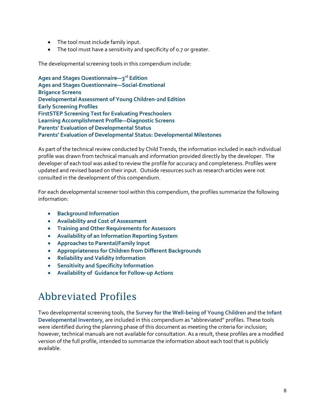- The tool must include family input.
- The tool must have a sensitivity and specificity of 0.7 or greater.

The developmental screening tools in this compendium include:

**Ages and Stages Questionnaire—3rd Edition Ages and Stages Questionnaire—Social-Emotional Brigance Screens Developmental Assessment of Young Children-2nd Edition Early Screening Profiles FirstSTEP Screening Test for Evaluating Preschoolers Learning Accomplishment Profile—Diagnostic Screens Parents' Evaluation of Developmental Status Parents' Evaluation of Developmental Status: Developmental Milestones**

As part of the technical review conducted by Child Trends, the information included in each individual profile was drawn from technical manuals and information provided directly by the developer. The developer of each tool was asked to review the profile for accuracy and completeness. Profiles were updated and revised based on their input. Outside resources such as research articles were not consulted in the development of this compendium.

For each developmental screener tool within this compendium, the profiles summarize the following information:

- **Background Information**
- **Availability and Cost of Assessment**
- **Training and Other Requirements for Assessors**
- **Availability of an Information Reporting System**
- **Approaches to Parental/Family Input**
- **Appropriateness for Children from Different Backgrounds**
- **Reliability and Validity Information**
- **Sensitivity and Specificity Information**
- **Availability of Guidance for Follow-up Actions**

### Abbreviated Profiles

Two developmental screening tools, the **Survey for the Well-being of Young Children** and the **Infant Developmental Inventory**, are included in this compendium as "abbreviated" profiles. These tools were identified during the planning phase of this document as meeting the criteria for inclusion; however, technical manuals are not available for consultation. As a result, these profiles are a modified version of the full profile, intended to summarize the information about each tool that is publicly available.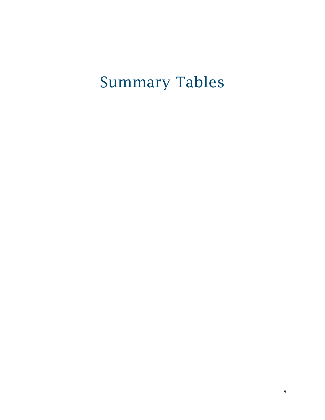# <span id="page-11-0"></span>Summary Tables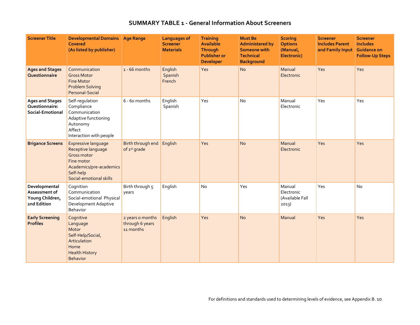#### **SUMMARY TABLE 1 - General Information About Screeners**

<span id="page-12-0"></span>

| <b>Screener Title</b>                                            | Developmental Domains Age Range<br><b>Covered</b><br>(As listed by publisher)                                                                           |                                                  | <b>Languages of</b><br><b>Screener</b><br><b>Materials</b> | <b>Training</b><br><b>Available</b><br><b>Through</b><br><b>Publisher or</b><br><b>Developer</b> | <b>Must Be</b><br><b>Administered by</b><br><b>Someone with</b><br><b>Technical</b><br><b>Background</b> | <b>Scoring</b><br><b>Options</b><br>(Manual,<br>Electronic) | <b>Screener</b><br><b>Includes Parent</b><br>and Family Input Guidance on | <b>Screener</b><br><b>Includes</b><br><b>Follow-Up Steps</b> |
|------------------------------------------------------------------|---------------------------------------------------------------------------------------------------------------------------------------------------------|--------------------------------------------------|------------------------------------------------------------|--------------------------------------------------------------------------------------------------|----------------------------------------------------------------------------------------------------------|-------------------------------------------------------------|---------------------------------------------------------------------------|--------------------------------------------------------------|
| <b>Ages and Stages</b><br>Questionnaire                          | Communication<br><b>Gross Motor</b><br><b>Fine Motor</b><br><b>Problem Solving</b><br>Personal-Social                                                   | $1 - 66$ months                                  | English<br>Spanish<br>French                               | Yes                                                                                              | <b>No</b>                                                                                                | Manual<br>Electronic                                        | Yes                                                                       | Yes                                                          |
| <b>Ages and Stages</b><br>Questionnaire:<br>Social-Emotional     | Self-regulation<br>Compliance<br>Communication<br>Adaptive functioning<br>Autonomy<br>Affect<br>Interaction with people                                 | 6 - 60 months                                    | English<br>Spanish                                         | Yes                                                                                              | No                                                                                                       | Manual<br>Electronic                                        | Yes                                                                       | Yes                                                          |
| <b>Brigance Screens</b>                                          | <b>Expressive language</b><br>Receptive language<br><b>Gross motor</b><br>Fine motor<br>Academics/pre-academics<br>Self-help<br>Social-emotional skills | Birth through end<br>of 1st grade                | English                                                    | Yes                                                                                              | <b>No</b>                                                                                                | Manual<br>Electronic                                        | Yes                                                                       | Yes                                                          |
| Developmental<br>Assessment of<br>Young Children,<br>2nd Edition | Cognition<br>Communication<br>Social-emotional Physical<br>Development Adaptive<br><b>Behavior</b>                                                      | Birth through 5<br>years                         | English                                                    | No                                                                                               | Yes                                                                                                      | Manual<br>Electronic<br>(Available Fall<br>2013)            | Yes                                                                       | No                                                           |
| <b>Early Screening</b><br><b>Profiles</b>                        | Cognitive<br>Language<br>Motor<br>Self-Help/Social,<br>Articulation<br>Home<br><b>Health History</b><br><b>Behavior</b>                                 | 2 years o months<br>through 6 years<br>11 months | English                                                    | Yes                                                                                              | <b>No</b>                                                                                                | Manual                                                      | Yes                                                                       | Yes                                                          |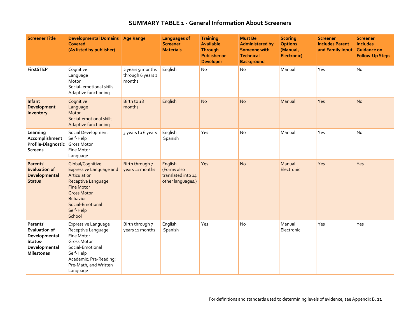#### **SUMMARY TABLE 1 - General Information About Screeners**

| <b>Screener Title</b>                                                                              | Developmental Domains Age Range<br>Covered<br>(As listed by publisher)                                                                                                                            |                                                 | <b>Languages of</b><br><b>Screener</b><br><b>Materials</b>        | <b>Training</b><br><b>Available</b><br><b>Through</b><br><b>Publisher or</b><br><b>Developer</b> | <b>Must Be</b><br><b>Administered by</b><br><b>Someone with</b><br><b>Technical</b><br><b>Background</b> | <b>Scoring</b><br><b>Options</b><br>(Manual,<br>Electronic) | <b>Screener</b><br><b>Includes Parent</b><br>and Family Input Guidance on | <b>Screener</b><br><b>Includes</b><br><b>Follow-Up Steps</b> |
|----------------------------------------------------------------------------------------------------|---------------------------------------------------------------------------------------------------------------------------------------------------------------------------------------------------|-------------------------------------------------|-------------------------------------------------------------------|--------------------------------------------------------------------------------------------------|----------------------------------------------------------------------------------------------------------|-------------------------------------------------------------|---------------------------------------------------------------------------|--------------------------------------------------------------|
| <b>FirstSTEP</b>                                                                                   | Cognitive<br>Language<br>Motor<br>Social- emotional skills<br>Adaptive functioning                                                                                                                | 2 years 9 months<br>through 6 years 2<br>months | English                                                           | <b>No</b>                                                                                        | No                                                                                                       | Manual                                                      | Yes                                                                       | No                                                           |
| Infant<br>Development<br>Inventory                                                                 | Cognitive<br>Language<br>Motor<br>Social-emotional skills<br>Adaptive functioning                                                                                                                 | Birth to 18<br>months                           | English                                                           | <b>No</b>                                                                                        | <b>No</b>                                                                                                | Manual                                                      | Yes                                                                       | <b>No</b>                                                    |
| Learning<br>Accomplishment<br>Profile-Diagnostic<br><b>Screens</b>                                 | Social Development<br>Self-Help<br>Gross Motor<br>Fine Motor<br>Language                                                                                                                          | 3 years to 6 years                              | English<br>Spanish                                                | Yes                                                                                              | <b>No</b>                                                                                                | Manual                                                      | Yes                                                                       | N <sub>o</sub>                                               |
| Parents'<br><b>Evaluation of</b><br>Developmental<br><b>Status</b>                                 | Global/Cognitive<br><b>Expressive Language and</b><br>Articulation<br>Receptive Language<br><b>Fine Motor</b><br><b>Gross Motor</b><br><b>Behavior</b><br>Social-Emotional<br>Self-Help<br>School | Birth through 7<br>years 11 months              | English<br>(Forms also<br>translated into 14<br>other languages.) | Yes                                                                                              | <b>No</b>                                                                                                | Manual<br>Electronic                                        | Yes                                                                       | Yes                                                          |
| Parents'<br><b>Evaluation of</b><br>Developmental<br>Status-<br>Developmental<br><b>Milestones</b> | Expressive Language<br>Receptive Language<br>Fine Motor<br><b>Gross Motor</b><br>Social-Emotional<br>Self-Help<br>Academic: Pre-Reading;<br>Pre-Math, and Written<br>Language                     | Birth through 7<br>years 11 months              | English<br>Spanish                                                | Yes                                                                                              | <b>No</b>                                                                                                | Manual<br>Electronic                                        | Yes                                                                       | Yes                                                          |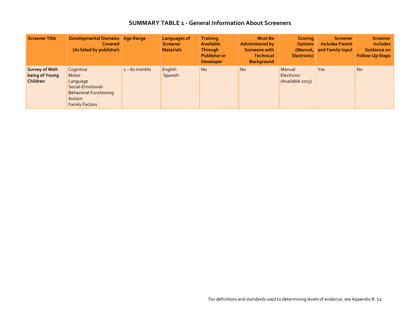#### **SUMMARY TABLE 1 - General Information About Screeners**

| Screener Title                                | <b>Developmental Domains   Age Range</b><br>Covered<br>(As listed by publisher)                                         |                 | Languages of<br><b>Screener</b><br><b>Materials</b> | <b>Training</b><br><b>Available</b><br><b>Through</b><br><b>Publisher or</b><br><b>Developer</b> | <b>Must Be</b><br><b>Administered by</b><br>Someone with<br><b>Technical</b><br><b>Background</b> | <b>Scoring</b><br><b>Options</b><br>Electronic) | <b>Screener</b><br><b>Includes Parent</b><br>(Manual, and Family Input) | <b>Screener</b><br><b>Includes</b><br><b>Guidance on</b><br><b>Follow-Up Steps</b> |
|-----------------------------------------------|-------------------------------------------------------------------------------------------------------------------------|-----------------|-----------------------------------------------------|--------------------------------------------------------------------------------------------------|---------------------------------------------------------------------------------------------------|-------------------------------------------------|-------------------------------------------------------------------------|------------------------------------------------------------------------------------|
| Survey of Well-<br>being of Young<br>Children | Cognitive<br>Motor<br>Language<br>Social-Emotional-<br><b>Behavioral Functioning</b><br>Autism<br><b>Family Factors</b> | $2 - 60$ months | English<br>Spanish                                  | <b>No</b>                                                                                        | <b>No</b>                                                                                         | Manual<br><b>Electronic</b><br>(Available 2015) | Yes                                                                     | <b>No</b>                                                                          |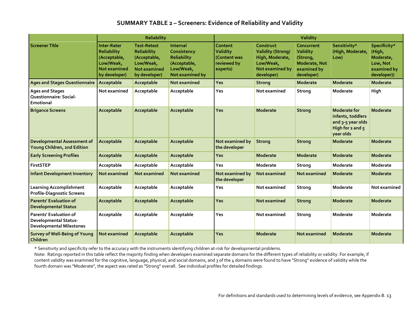#### **SUMMARY TABLE 2 – Screeners: Evidence of Reliability and Validity**

<span id="page-15-0"></span>

|                                                                                                  | <b>Reliability</b>                                                                              |                                                                                                               |                                                                                               | Validity                                                       |                                                                                                        |                                                                                                |                                                                                             |                                                                               |
|--------------------------------------------------------------------------------------------------|-------------------------------------------------------------------------------------------------|---------------------------------------------------------------------------------------------------------------|-----------------------------------------------------------------------------------------------|----------------------------------------------------------------|--------------------------------------------------------------------------------------------------------|------------------------------------------------------------------------------------------------|---------------------------------------------------------------------------------------------|-------------------------------------------------------------------------------|
| <b>Screener Title</b>                                                                            | <b>Inter-Rater</b><br>Reliability<br>(Acceptable,<br>Low/Weak,<br>Not examined<br>by developer) | <b>Test-Retest</b><br><b>Reliability</b><br>(Acceptable,<br>Low/Weak,<br><b>Not examined</b><br>by developer) | Internal<br>Consistency<br><b>Reliability</b><br>(Acceptable,<br>Low/Weak,<br>Not examined by | Content<br>Validity<br>(Content was<br>reviewed by<br>experts) | Construct<br><b>Validity (Strong/</b><br>High, Moderate,<br>Low/Weak,<br>Not examined by<br>developer) | Concurrent<br><b>Validity</b><br>(Strong,<br><b>Moderate, Not</b><br>examined by<br>developer) | Sensitivity*<br>(High, Moderate,<br>Low)                                                    | Specificity*<br>(High,<br>Moderate,<br>Low, Not<br>examined by<br>developer)) |
| <b>Ages and Stages Questionnaire</b>                                                             | Acceptable                                                                                      | Acceptable                                                                                                    | Not examined                                                                                  | <b>Yes</b>                                                     | <b>Strong</b>                                                                                          | <b>Moderate</b>                                                                                | <b>Moderate</b>                                                                             | <b>Moderate</b>                                                               |
| <b>Ages and Stages</b><br><b>Questionnaire: Social-</b><br>Emotional                             | Not examined                                                                                    | Acceptable                                                                                                    | Acceptable                                                                                    | Yes                                                            | Not examined                                                                                           | Strong                                                                                         | Moderate                                                                                    | High                                                                          |
| <b>Brigance Screens</b>                                                                          | Acceptable                                                                                      | Acceptable                                                                                                    | Acceptable                                                                                    | Yes                                                            | Moderate                                                                                               | <b>Strong</b>                                                                                  | Moderate for<br>infants, toddlers<br>and 3-5 year olds<br>High for $2$ and $5$<br>year olds | <b>Moderate</b>                                                               |
| <b>Developmental Assessment of</b><br>Young Children, 2nd Edition                                | Acceptable                                                                                      | Acceptable                                                                                                    | Acceptable                                                                                    | Not examined by<br>the developer                               | <b>Strong</b>                                                                                          | <b>Strong</b>                                                                                  | <b>Moderate</b>                                                                             | <b>Moderate</b>                                                               |
| <b>Early Screening Profiles</b>                                                                  | Acceptable                                                                                      | Acceptable                                                                                                    | Acceptable                                                                                    | Yes                                                            | <b>Moderate</b>                                                                                        | Moderate                                                                                       | <b>Moderate</b>                                                                             | <b>Moderate</b>                                                               |
| <b>FirstSTEP</b>                                                                                 | Acceptable                                                                                      | Acceptable                                                                                                    | Acceptable                                                                                    | Yes                                                            | Moderate                                                                                               | Strong                                                                                         | Moderate                                                                                    | Moderate                                                                      |
| <b>Infant Development Inventory</b>                                                              | Not examined                                                                                    | <b>Not examined</b>                                                                                           | <b>Not examined</b>                                                                           | Not examined by<br>the developer                               | Not examined                                                                                           | Not examined                                                                                   | <b>Moderate</b>                                                                             | <b>Moderate</b>                                                               |
| <b>Learning Accomplishment</b><br><b>Profile-Diagnostic Screens</b>                              | Acceptable                                                                                      | Acceptable                                                                                                    | Acceptable                                                                                    | Yes                                                            | Not examined                                                                                           | Strong                                                                                         | Moderate                                                                                    | Not examined                                                                  |
| <b>Parents' Evaluation of</b><br><b>Developmental Status</b>                                     | Acceptable                                                                                      | Acceptable                                                                                                    | Acceptable                                                                                    | Yes                                                            | Not examined                                                                                           | <b>Strong</b>                                                                                  | <b>Moderate</b>                                                                             | <b>Moderate</b>                                                               |
| <b>Parents' Evaluation of</b><br><b>Developmental Status-</b><br><b>Developmental Milestones</b> | Acceptable                                                                                      | Acceptable                                                                                                    | Acceptable                                                                                    | Yes                                                            | Not examined                                                                                           | Strong                                                                                         | Moderate                                                                                    | Moderate                                                                      |
| Survey of Well-Being of Young<br><b>Children</b>                                                 | Not examined                                                                                    | Acceptable                                                                                                    | Acceptable                                                                                    | Yes                                                            | Moderate                                                                                               | Not examined                                                                                   | <b>Moderate</b>                                                                             | <b>Moderate</b>                                                               |

\* Sensitivity and specificity refer to the accuracy with the instruments identifying children at-risk for developmental problems.

Note: Ratings reported in this table reflect the majority finding when developers examined separate domains for the different types of reliability or validity. For example, if content validity was examined for the cognitive, language, physical, and social domains, and 3 of the 4 domains were found to have "Strong" evidence of validity while the fourth domain was "Moderate", the aspect was rated as "Strong" overall. See individual profiles for detailed findings.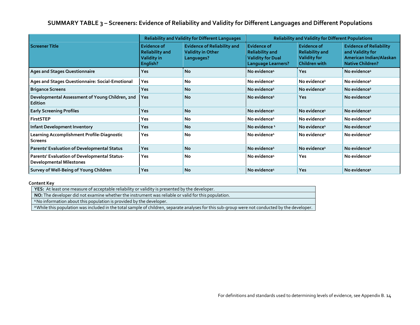#### **SUMMARY TABLE 3 – Screeners: Evidence of Reliability and Validity for Different Languages and Different Populations**

<span id="page-16-0"></span>

|                                                                                 |                                                                         | <b>Reliability and Validity for Different Languages</b>                      | <b>Reliability and Validity for Different Populations</b>                                             |                                                                                      |                                                                                                          |
|---------------------------------------------------------------------------------|-------------------------------------------------------------------------|------------------------------------------------------------------------------|-------------------------------------------------------------------------------------------------------|--------------------------------------------------------------------------------------|----------------------------------------------------------------------------------------------------------|
| <b>Screener Title</b>                                                           | <b>Evidence of</b><br><b>Reliability and</b><br>Validity in<br>English? | <b>Evidence of Reliability and</b><br><b>Validity in Other</b><br>Languages? | <b>Evidence of</b><br><b>Reliability and</b><br><b>Validity for Dual</b><br><b>Language Learners?</b> | <b>Evidence of</b><br><b>Reliability and</b><br><b>Validity for</b><br>Children with | <b>Evidence of Reliability</b><br>and Validity for<br>American Indian/Alaskan<br><b>Native Children?</b> |
| <b>Ages and Stages Questionnaire</b>                                            | <b>Yes</b>                                                              | <b>No</b>                                                                    | No evidence <sup>1</sup>                                                                              | <b>Yes</b>                                                                           | No evidence <sup>2</sup>                                                                                 |
| Ages and Stages Questionnaire: Social-Emotional                                 | Yes                                                                     | <b>No</b>                                                                    | No evidence <sup>1</sup>                                                                              | No evidence <sup>1</sup>                                                             | No evidence <sup>2</sup>                                                                                 |
| <b>Brigance Screens</b>                                                         | <b>Yes</b>                                                              | <b>No</b>                                                                    | No evidence <sup>1</sup>                                                                              | No evidence <sup>1</sup>                                                             | No evidence <sup>2</sup>                                                                                 |
| Developmental Assessment of Young Children, 2nd<br><b>Edition</b>               | <b>Yes</b>                                                              | <b>No</b>                                                                    | No evidence <sup>1</sup>                                                                              | <b>Yes</b>                                                                           | No evidence <sup>1</sup>                                                                                 |
| <b>Early Screening Profiles</b>                                                 | <b>Yes</b>                                                              | <b>No</b>                                                                    | No evidence <sup>1</sup>                                                                              | No evidence <sup>1</sup>                                                             | No evidence <sup>2</sup>                                                                                 |
| <b>FirstSTEP</b>                                                                | Yes                                                                     | <b>No</b>                                                                    | No evidence <sup>1</sup>                                                                              | No evidence <sup>1</sup>                                                             | No evidence <sup>2</sup>                                                                                 |
| <b>Infant Development Inventory</b>                                             | <b>Yes</b>                                                              | <b>No</b>                                                                    | No evidence <sup>1</sup>                                                                              | No evidence <sup>1</sup>                                                             | No evidence <sup>1</sup>                                                                                 |
| Learning Accomplishment Profile-Diagnostic<br><b>Screens</b>                    | Yes                                                                     | <b>No</b>                                                                    | No evidence <sup>1</sup>                                                                              | No evidence <sup>1</sup>                                                             | No evidence <sup>2</sup>                                                                                 |
| <b>Parents' Evaluation of Developmental Status</b>                              | <b>Yes</b>                                                              | <b>No</b>                                                                    | No evidence <sup>1</sup>                                                                              | No evidence <sup>1</sup>                                                             | No evidence <sup>2</sup>                                                                                 |
| Parents' Evaluation of Developmental Status-<br><b>Developmental Milestones</b> | <b>Yes</b>                                                              | No                                                                           | No evidence <sup>1</sup>                                                                              | Yes                                                                                  | No evidence <sup>2</sup>                                                                                 |
| Survey of Well-Being of Young Children                                          | Yes                                                                     | <b>No</b>                                                                    | No evidence <sup>1</sup>                                                                              | Yes                                                                                  | No evidence <sup>1</sup>                                                                                 |

#### **Content Key**

**YES:** At least one measure of acceptable reliability or validity is presented by the developer.

**NO:** The developer did not examine whether the instrument was reliable or valid for this population.

<sup>1</sup>No information about this population is provided by the developer.

**<sup>2</sup>**While this population was included in the total sample of children, separate analyses for this sub-group were not conducted by the developer.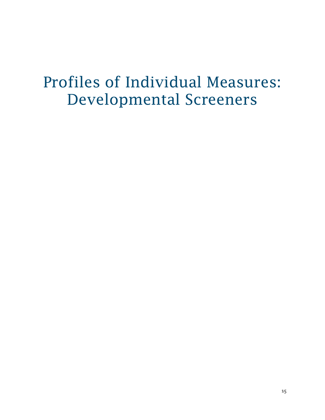## <span id="page-17-0"></span>Profiles of Individual Measures: Developmental Screeners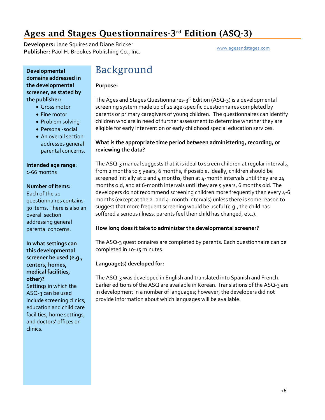### <span id="page-18-0"></span>Ages and Stages Questionnaires-3rd Edition (ASQ-3)

**Developers:** Jane Squires and Diane Bricker **Publisher:** Paul H. Brookes Publishing Co., Inc. [www.agesandstages.com](http://www.agesandstages.com/)

**Developmental domains addressed in the developmental screener, as stated by the publisher:**

- Gross motor
- Fine motor
- Problem solving
- Personal-social
- An overall section addresses general parental concerns.

**Intended age range**:

1-66 months

#### **Number of items:**

Each of the 21 questionnaires contains 30 items. There is also an overall section addressing general parental concerns.

**In what settings can this developmental screener be used (e.g., centers, homes, medical facilities, other)?** Settings in which the ASQ-3 can be used include screening clinics, education and child care facilities, home settings, and doctors' offices or

clinics.

### Background

#### **Purpose:**

The Ages and Stages Questionnaires-3<sup>rd</sup> Edition (ASQ-3) is a developmental screening system made up of 21 age-specific questionnaires completed by parents or primary caregivers of young children. The questionnaires can identify children who are in need of further assessment to determine whether they are eligible for early intervention or early childhood special education services.

#### **What is the appropriate time period between administering, recording, or reviewing the data?**

The ASQ-3 manual suggests that it is ideal to screen children at regular intervals, from 2 months to 5 years, 6 months, if possible. Ideally, children should be screened initially at 2 and 4 months, then at 4-month intervals until they are  $24$ months old, and at 6-month intervals until they are 5 years, 6 months old. The developers do not recommend screening children more frequently than every 4-6 months (except at the 2- and 4- month intervals) unless there is some reason to suggest that more frequent screening would be useful (e.g., the child has suffered a serious illness, parents feel their child has changed, etc.).

#### **How long does it take to administer the developmental screener?**

The ASQ-3 questionnaires are completed by parents. Each questionnaire can be completed in 10-15 minutes.

#### **Language(s) developed for:**

The ASQ-3 was developed in English and translated into Spanish and French. Earlier editions of the ASQ are available in Korean. Translations of the ASQ-3 are in development in a number of languages; however, the developers did not provide information about which languages will be available.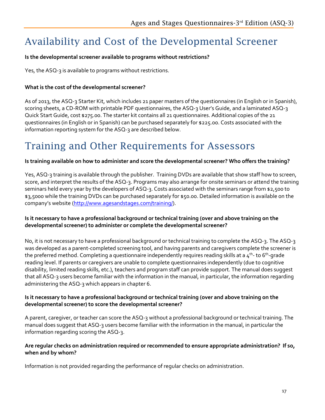### Availability and Cost of the Developmental Screener

#### **Is the developmental screener available to programs without restrictions?**

Yes, the ASQ-3 is available to programs without restrictions.

#### **What is the cost of the developmental screener?**

As of 2013, the ASQ-3 Starter Kit, which includes 21 paper masters of the questionnaires (in English or in Spanish), scoring sheets, a CD-ROM with printable PDF questionnaires, the ASQ-3 User's Guide, and a laminated ASQ-3 Quick Start Guide, cost \$275.00. The starter kit contains all 21 questionnaires. Additional copies of the 21 questionnaires (in English or in Spanish) can be purchased separately for \$225.00. Costs associated with the information reporting system for the ASQ-3 are described below.

### Training and Other Requirements for Assessors

#### **Is training available on how to administer and score the developmental screener? Who offers the training?**

Yes, ASQ-3 training is available through the publisher. Training DVDs are available that show staff how to screen, score, and interpret the results of the ASQ-3. Programs may also arrange for onsite seminars or attend the training seminars held every year by the developers of ASQ-3. Costs associated with the seminars range from \$2,500 to \$3,5000 while the training DVDs can be purchased separately for \$50.00. Detailed information is available on the company's website [\(http://www.agesandstages.com/training/\)](http://www.agesandstages.com/training/).

#### **Is it necessary to have a professional background or technical training (over and above training on the developmental screener) to administer or complete the developmental screener?**

No, it is not necessary to have a professional background or technical training to complete the ASQ-3. The ASQ-3 was developed as a parent-completed screening tool, and having parents and caregivers complete the screener is the preferred method. Completing a questionnaire independently requires reading skills at a  $4^{\text{th}}$ -to 6<sup>th</sup>-grade reading level. If parents or caregivers are unable to complete questionnaires independently (due to cognitive disability, limited reading skills, etc.), teachers and program staff can provide support. The manual does suggest that all ASQ-3 users become familiar with the information in the manual, in particular, the information regarding administering the ASQ-3 which appears in chapter 6.

#### **Is it necessary to have a professional background or technical training (over and above training on the developmental screener) to score the developmental screener?**

A parent, caregiver, or teacher can score the ASQ-3 without a professional background or technical training. The manual does suggest that ASQ-3 users become familiar with the information in the manual, in particular the information regarding scoring the ASQ-3.

#### **Are regular checks on administration required or recommended to ensure appropriate administration? If so, when and by whom?**

Information is not provided regarding the performance of regular checks on administration.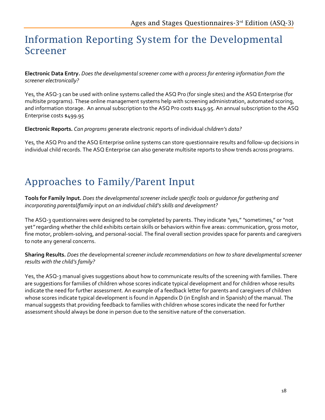### Information Reporting System for the Developmental Screener

**Electronic Data Entry.** *Does the developmental screener come with a process for entering information from the screener electronically?*

Yes, the ASQ-3 can be used with online systems called the ASQ Pro (for single sites) and the ASQ Enterprise (for multisite programs). These online management systems help with screening administration, automated scoring, and information storage. An annual subscription to the ASQ Pro costs \$149.95. An annual subscription to the ASQ Enterprise costs \$499.95

**Electronic Reports.** *Can programs g*enerate electronic reports of individual ch*ildren's data?* 

Yes, the ASQ Pro and the ASQ Enterprise online systems can store questionnaire results and follow-up decisions in individual child records. The ASQ Enterprise can also generate multisite reports to show trends across programs.

### Approaches to Family/Parent Input

**Tools for Family Input.** *Does the developmental screener include specific tools or guidance for gathering and incorporating parental/family* input *on an individual child's skills and development?*

The ASQ-3 questionnaires were designed to be completed by parents. They indicate *"*yes," *"*sometimes," or "not yet*"* regarding whether the child exhibits certain skills or behaviors within five areas: communication, gross motor, fine motor, problem-solving, and personal-social. The final overall section provides space for parents and caregivers to note any general concerns.

**Sharing Results.** *Does the* developmental*screener include recommendations on how to share developmental screener results with the child's family?*

Yes, the ASQ-3 manual gives suggestions about how to communicate results of the screening with families. There are suggestions for families of children whose scores indicate typical development and for children whose results indicate the need for further assessment. An example of a feedback letter for parents and caregivers of children whose scores indicate typical development is found in Appendix D (in English and in Spanish) of the manual. The manual suggests that providing feedback to families with children whose scores indicate the need for further assessment should always be done in person due to the sensitive nature of the conversation.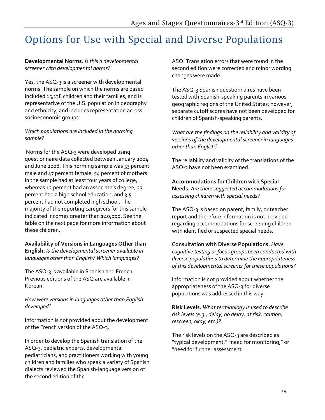### Options for Use with Special and Diverse Populations

#### **Developmental Norms.** *Is this a developmental screener with developmental norms?*

Yes, the ASQ-3 is a screener with developmental norms. The sample on which the norms are based included 15,138 children and their families, and is representative of the U.S. population in geography and ethnicity, and includes representation across socioeconomic groups.

#### *Which populations are included in the norming sample?*

Norms for the ASQ-3 were developed using questionnaire data collected between January 2004 and June 2008. This norming sample was 53 percent male and 47 percent female. 54 percent of mothers in the sample had at least four years of college, whereas 12 percent had an associate's degree, 23 percent had a high school education, and 3.5 percent had not completed high school. The majority of the reporting caregivers for this sample indicated incomes greater than \$40,000. See the table on the next page for more information about these children.

#### **Availability of Versions in Languages Other than**

**English.** *Is the developmental screener available in languages other than English? Which languages?* 

The ASQ-3 is available in Spanish and French. Previous editions of the ASQ are available in Korean.

*How were versions in languages other than English developed?* 

Information is not provided about the development of the French version of the ASQ-3.

In order to develop the Spanish translation of the ASQ-3, pediatric experts, developmental pediatricians, and practitioners working with young children and families who speak a variety of Spanish dialects reviewed the Spanish-language version of the second edition of the

ASQ. Translation errors that were found in the second edition were corrected and minor wording changes were made.

The ASQ-3 Spanish questionnaires have been tested with Spanish-speaking parents in various geographic regions of the United States; however, separate cutoff scores have not been developed for children of Spanish-speaking parents.

*What are the findings on the reliability and validity of versions of the developmental screener in languages other than English?* 

The reliability and validity of the translations of the ASQ-3 have not been examined.

**Accommodations for Children with Special Needs.** *Are there suggested accommodations for assessing children with special needs?* 

The ASQ-3 is based on parent, family, or teacher report and therefore information is not provided regarding accommodations for screening children with identified or suspected special needs.

#### **Consultation with Diverse Populations.** *Have*

*cognitive testing or focus groups been conducted with diverse populations to determine the appropriateness of this developmental screener for these populations?*

Information is not provided about whether the appropriateness of the ASQ-3 for diverse populations was addressed in this way.

**Risk Levels.** *What terminology is used to describe risk levels (e.g., delay, no delay, at risk, caution, rescreen, okay, etc.)?*

The risk levels on the ASQ-3 are described as "typical development," "need for monitoring," or "need for further assessment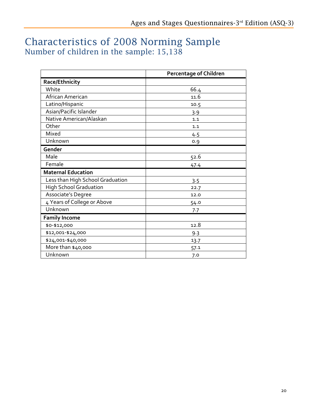### Characteristics of 2008 Norming Sample Number of children in the sample: 15,138

|                                  | <b>Percentage of Children</b> |
|----------------------------------|-------------------------------|
| Race/Ethnicity                   |                               |
| White                            | 66.4                          |
| African American                 | 11.6                          |
| Latino/Hispanic                  | 10.5                          |
| Asian/Pacific Islander           | 3.9                           |
| Native American/Alaskan          | 1.1                           |
| Other                            | 1.1                           |
| Mixed                            | 4.5                           |
| Unknown                          | 0.9                           |
| Gender                           |                               |
| Male                             | 52.6                          |
| Female                           | 47.4                          |
| <b>Maternal Education</b>        |                               |
| Less than High School Graduation | 3.5                           |
| <b>High School Graduation</b>    | 22.7                          |
| Associate's Degree               | 12.0                          |
| 4 Years of College or Above      | 54.0                          |
| Unknown                          | 7.7                           |
| <b>Family Income</b>             |                               |
| \$0-\$12,000                     | 12.8                          |
| \$12,001-\$24,000                | 9.3                           |
| \$24,001-\$40,000                | 13.7                          |
| More than \$40,000               | 57.1                          |
| Unknown                          | 7.0                           |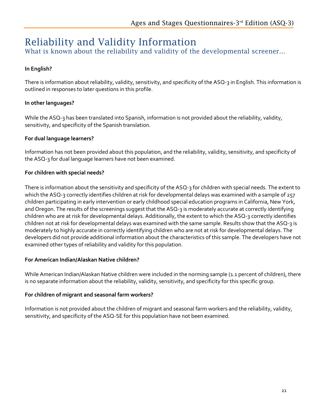### Reliability and Validity Information

What is known about the reliability and validity of the developmental screener...

#### **In English?**

There is information about reliability, validity, sensitivity, and specificity of the ASQ-3 in English. This information is outlined in responses to later questions in this profile.

#### **In other languages?**

While the ASQ-3 has been translated into Spanish, information is not provided about the reliability, validity, sensitivity, and specificity of the Spanish translation.

#### **For dual language learners?**

Information has not been provided about this population, and the reliability, validity, sensitivity, and specificity of the ASQ-3 for dual language learners have not been examined.

#### **For children with special needs?**

There is information about the sensitivity and specificity of the ASQ-3 for children with special needs. The extent to which the ASQ-3 correctly identifies children at risk for developmental delays was examined with a sample of 257 children participating in early intervention or early childhood special education programs in California, New York, and Oregon. The results of the screenings suggest that the ASQ-3 is moderately accurate at correctly identifying children who are at risk for developmental delays. Additionally, the extent to which the ASQ-3 correctly identifies children not at risk for developmental delays was examined with the same sample. Results show that the ASQ-3 is moderately to highly accurate in correctly identifying children who are not at risk for developmental delays. The developers did not provide additional information about the characteristics of this sample. The developers have not examined other types of reliability and validity for this population.

#### **For American Indian/Alaskan Native children?**

While American Indian/Alaskan Native children were included in the norming sample (1.1 percent of children), there is no separate information about the reliability, validity, sensitivity, and specificity for this specific group.

#### **For children of migrant and seasonal farm workers?**

Information is not provided about the children of migrant and seasonal farm workers and the reliability, validity, sensitivity, and specificity of the ASQ-SE for this population have not been examined.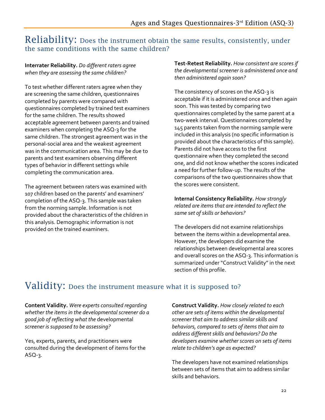### Reliability: Does the instrument obtain the same results, consistently, under the same conditions with the same children?

**Interrater Reliability.** *Do different raters agree when they are assessing the same children?*

To test whether different raters agree when they are screening the same children, questionnaires completed by parents were compared with questionnaires completed by trained test examiners for the same children. The results showed acceptable agreement between parents and trained examiners when completing the ASQ-3 for the same children. The strongest agreement was in the personal-social area and the weakest agreement was in the communication area. This may be due to parents and test examiners observing different types of behavior in different settings while completing the communication area.

The agreement between raters was examined with 107 children based on the parents' and examiners' completion of the ASQ-3. This sample was taken from the norming sample. Information is not provided about the characteristics of the children in this analysis. Demographic information is not provided on the trained examiners.

**Test-Retest Reliability.** *How consistent are scores if the developmental screener is administered once and then administered again soon?* 

The consistency of scores on the ASQ-3 is acceptable if it is administered once and then again soon. This was tested by comparing two questionnaires completed by the same parent at a two-week interval. Questionnaires completed by 145 parents taken from the norming sample were included in this analysis (no specific information is provided about the characteristics of this sample). Parents did not have access to the first questionnaire when they completed the second one, and did not know whether the scores indicated a need for further follow-up. The results of the comparisons of the two questionnaires show that the scores were consistent.

**Internal Consistency Reliability.** *How strongly related are items that are intended to reflect the same set of skills or behaviors?* 

The developers did not examine relationships between the items within a developmental area. However, the developers did examine the relationships between developmental area scores and overall scores on the ASQ-3. This information is summarized under "Construct Validity" in the next section of this profile.

### Validity: Does the instrument measure what it is supposed to?

**Content Validity.** *Were experts consulted regarding whether the items in the developmental screener do a good job of reflecting what the* developmental *screener is supposed to be assessing?*

Yes, experts, parents, and practitioners were consulted during the development of items for the ASQ-3.

**Construct Validity.** *How closely related to each other are sets of items within the developmental screener that aim to address similar skills and behaviors, compared to sets of items that aim to address different skills and behaviors? Do the developers examine whether scores on sets of items relate to children's age as expected?* 

The developers have not examined relationships between sets of items that aim to address similar skills and behaviors.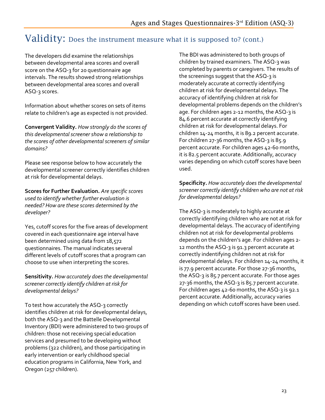### Validity: Does the instrument measure what it is supposed to? (cont.)

The developers did examine the relationships between developmental area scores and overall score on the ASQ-3 for 20 questionnaire age intervals. The results showed strong relationships between developmental area scores and overall ASQ-3 scores.

Information about whether scores on sets of items relate to children's age as expected is not provided.

**Convergent Validity.** *How strongly do the scores of this developmental screener show a relationship to the scores of other developmental screeners of similar domains?* 

Please see response below to how accurately the developmental screener correctly identifies children at risk for developmental delays.

**Scores for Further Evaluation.** *Are specific scores used to identify whether further evaluation is needed? How are these scores determined by the developer?*

Yes, cutoff scores for the five areas of development covered in each questionnaire age interval have been determined using data from 18,572 questionnaires. The manual indicates several different levels of cutoff scores that a program can choose to use when interpreting the scores.

**Sensitivity.** *How accurately does the developmental screener correctly identify children at risk for developmental delays?* 

To test how accurately the ASQ-3 correctly identifies children at risk for developmental delays, both the ASQ-3 and the Battelle Developmental Inventory (BDI) were administered to two groups of children: those not receiving special education services and presumed to be developing without problems (322 children), and those participating in early intervention or early childhood special education programs in California, New York, and Oregon (257 children).

The BDI was administered to both groups of children by trained examiners. The ASQ-3 was completed by parents or caregivers. The results of the screenings suggest that the ASQ-3 is moderately accurate at correctly identifying children at risk for developmental delays. The accuracy of identifying children at risk for developmental problems depends on the children's age. For children ages 2-12 months, the ASQ-3 is 84.6 percent accurate at correctly identifying children at risk for developmental delays. For children 14-24 months, it is 89.2 percent accurate. For children 27-36 months, the ASQ-3 is 85.9 percent accurate. For children ages 42-60 months, it is 82.5 percent accurate. Additionally, accuracy varies depending on which cutoff scores have been used.

**Specificity.** *How accurately does the developmental screener correctly identify children who are not at risk for developmental delays?* 

The ASQ-3 is moderately to highly accurate at correctly identifying children who are not at risk for developmental delays. The accuracy of identifying children not at risk for developmental problems depends on the children's age. For children ages 2- 12 months the ASQ-3 is 91.3 percent accurate at correctly indentifying children not at risk for developmental delays. For children 14-24 months, it is 77.9 percent accurate. For those 27-36 months, the ASQ-3 is 85.7 percent accurate. For those ages 27-36 months, the ASQ-3 is 85.7 percent accurate. For children ages 42-60 months, the ASQ-3 is 92.1 percent accurate. Additionally, accuracy varies depending on which cutoff scores have been used.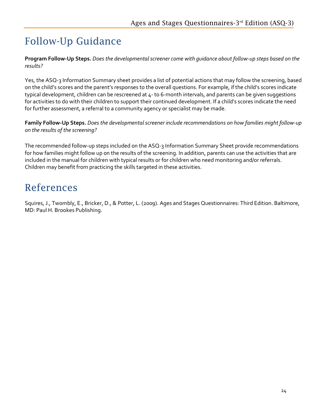## Follow-Up Guidance

**Program Follow-Up Steps.** *Does the developmental screener come with guidance about follow-up steps based on the results?*

Yes, the ASQ-3 Information Summary sheet provides a list of potential actions that may follow the screening, based on the child's scores and the parent's responses to the overall questions. For example, if the child's scores indicate typical development, children can be rescreened at 4- to 6-month intervals, and parents can be given suggestions for activities to do with their children to support their continued development. If a child's scores indicate the need for further assessment, a referral to a community agency or specialist may be made.

**Family Follow-Up Steps.** *Does the developmental screener include recommendations on how families might follow-up on the results of the screening?* 

The recommended follow-up steps included on the ASQ-3 Information Summary Sheet provide recommendations for how families might follow up on the results of the screening. In addition, parents can use the activities that are included in the manual for children with typical results or for children who need monitoring and/or referrals. Children may benefit from practicing the skills targeted in these activities.

### References

Squires, J., Twombly, E., Bricker, D., & Potter, L. (2009). Ages and Stages Questionnaires: Third Edition. Baltimore, MD: Paul H. Brookes Publishing.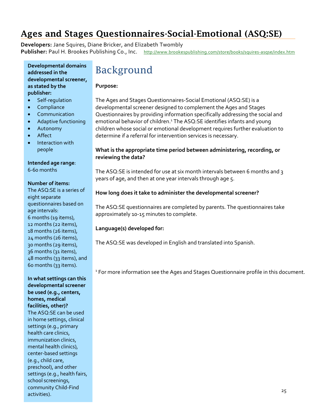### <span id="page-27-0"></span>Ages and Stages Questionn[aires-Social-Emotional \(ASQ:SE\)](http://www.brookespublishing.com/store/books/squires-asqse/index.htm)

**Developers:** Jane Squires, Diane Bricker, and Elizabeth Twombly Publisher: Paul H. Brookes Publishing Co., Inc. http://www.brookespublishing.com/store/books/squires-asqse/index.htm

#### **Developmental domains addressed in the developmental screener, as stated by the publisher:**

- Self-regulation
- Compliance
- Communication
- Adaptive functioning
- Autonomy
- Affect
- Interaction with people

**Intended age range**: 6-60 months

#### **Number of items:**

The ASQ:SE is a series of eight separate questionnaires based on age intervals: 6 months (19 items), 12 months (22 items), 18 months (26 items), 24 months (26 items), 30 months (29 items), 36 months (31 items), 48 months (33 items), and 60 months (33 items).

**In what settings can this developmental screener be used (e.g., centers, homes, medical facilities, other)?** The ASQ:SE can be used in home settings, clinical settings (e.g., primary health care clinics, immunization clinics, mental health clinics), center-based settings (e.g., child care, preschool), and other settings (e.g., health fairs, school screenings, community Child-Find community crime-rine<br>activities). 25

### Background

#### **Purpose:**

The Ages and Stages Questionnaires-Social Emotional (ASQ:SE) is a developmental screener designed to complement the Ages and Stages Questionnaires by providing information specifically addressing the social and emotional behavior of children.<sup>1</sup> The ASQ:SE identifies infants and young children whose social or emotional development requires further evaluation to determine if a referral for intervention services is necessary.

#### **What is the appropriate time period between administering, recording, or reviewing the data?**

The ASQ:SE is intended for use at six month intervals between 6 months and 3 years of age, and then at one year intervals through age 5.

#### **How long does it take to administer the developmental screener?**

The ASQ:SE questionnaires are completed by parents. The questionnaires take approximately 10-15 minutes to complete.

#### **Language(s) developed for:**

The ASQ:SE was developed in English and translated into Spanish.

<sup>1</sup> For more information see the Ages and Stages Questionnaire profile in this document.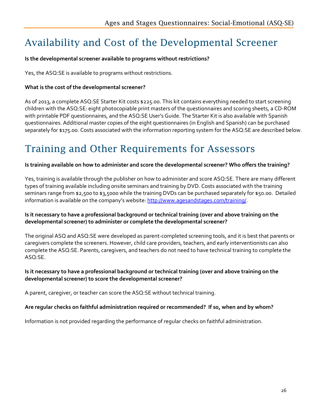### Availability and Cost of the Developmental Screener

#### **Is the developmental screener available to programs without restrictions?**

Yes, the ASQ:SE is available to programs without restrictions.

#### **What is the cost of the developmental screener?**

As of 2013, a complete ASQ:SE Starter Kit costs \$225.00. This kit contains everything needed to start screening children with the ASQ:SE: eight photocopiable print masters of the questionnaires and scoring sheets, a CD-ROM with printable PDF questionnaires, and the ASQ:SE User's Guide. The Starter Kit is also available with Spanish questionnaires. Additional master copies of the eight questionnaires (in English and Spanish) can be purchased separately for \$175.00. Costs associated with the information reporting system for the ASQ:SE are described below.

### Training and Other Requirements for Assessors

#### **Is training available on how to administer and score the developmental screener? Who offers the training?**

Yes, training is available through the publisher on how to administer and score ASQ:SE. There are many different types of training available including onsite seminars and training by DVD. Costs associated with the training seminars range from \$2,500 to \$3,5000 while the training DVDs can be purchased separately for \$50.00. Detailed information is available on the company's website[: http://www.agesandstages.com/training/.](http://www.agesandstages.com/training/)

#### **Is it necessary to have a professional background or technical training (over and above training on the developmental screener) to administer or complete the developmental screener?**

The original ASQ and ASQ:SE were developed as parent-completed screening tools, and it is best that parents or caregivers complete the screeners. However, child care providers, teachers, and early interventionists can also complete the ASQ:SE. Parents, caregivers, and teachers do not need to have technical training to complete the ASQ:SE.

#### **Is it necessary to have a professional background or technical training (over and above training on the developmental screener) to score the developmental screener?**

A parent, caregiver, or teacher can score the ASQ:SE without technical training.

#### **Are regular checks on faithful administration required or recommended? If so, when and by whom?**

Information is not provided regarding the performance of regular checks on faithful administration.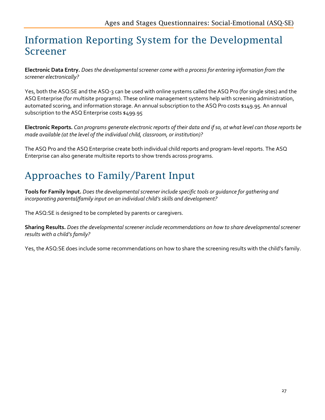### Information Reporting System for the Developmental Screener

**Electronic Data Entry.** *Does the developmental screener come with a process for entering information from the screener electronically?*

Yes, both the ASQ:SE and the ASQ-3 can be used with online systems called the ASQ Pro (for single sites) and the ASQ Enterprise (for multisite programs). These online management systems help with screening administration, automated scoring, and information storage. An annual subscription to the ASQ Pro costs \$149.95. An annual subscription to the ASQ Enterprise costs \$499.95

**Electronic Reports.** *Can programs generate electronic reports of their data and if so, at what level can those reports be made available (at the level of the individual child, classroom, or institution)?* 

The ASQ Pro and the ASQ Enterprise create both individual child reports and program-level reports. The ASQ Enterprise can also generate multisite reports to show trends across programs.

## Approaches to Family/Parent Input

**Tools for Family Input.** *Does the developmental screener include specific tools or guidance for gathering and incorporating parental/family input on an individual child's skills and development?*

The ASQ:SE is designed to be completed by parents or caregivers.

**Sharing Results.** *Does the developmental screener include recommendations on how to share developmental screener results with a child's family?*

Yes, the ASQ:SE does include some recommendations on how to share the screening results with the child's family.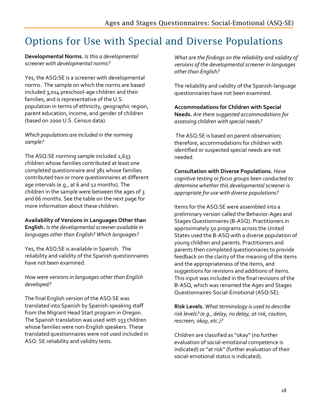### Options for Use with Special and Diverse Populations

#### **Developmental Norms.** *Is this a developmental screener with developmental norms?*

Yes, the ASQ:SE is a screener with developmental norms. The sample on which the norms are based included 3,014 preschool-age children and their families, and is representative of the U.S. population in terms of ethnicity, geographic region, parent education, income, and gender of children (based on 2000 U.S. Census data).

*Which populations are included in the norming sample?*

The ASQ:SE norming sample included 2,633 children whose families contributed at least one completed questionnaire and 381 whose families contributed two or more questionnaires at different age intervals (e.g., at 6 and 12 months). The children in the sample were between the ages of 3 and 66 months. See the table on the next page for more information about these children.

**Availability of Versions in Languages Other than English.** *Is the developmental screener available in languages other than English? Which languages?* 

Yes, the ASQ:SE is available in Spanish. The reliability and validity of the Spanish questionnaires have not been examined.

*How were versions in languages other than English developed?* 

The final English version of the ASQ:SE was translated into Spanish by Spanish-speaking staff from the Migrant Head Start program in Oregon. The Spanish translation was used with 153 children whose families were non-English speakers. These translated questionnaires were not used included in ASQ: SE reliability and validity tests.

*What are the findings on the reliability and validity of versions of the developmental screener in languages other than English?*

The reliability and validity of the Spanish-language questionnaires have not been examined.

**Accommodations for Children with Special Needs.** *Are there suggested accommodations for assessing children with special needs?* 

The ASQ:SE is based on parent observation; therefore, accommodations for children with identified or suspected special needs are not needed.

**Consultation with Diverse Populations.** *Have cognitive testing or focus groups been conducted to determine whether this developmental screener is appropriate for use with diverse populations?* 

Items for the ASQ:SE were assembled into a preliminary version called the Behavior-Ages and Stages Questionnaires (B-ASQ). Practitioners in approximately 50 programs across the United States used the B-ASQ with a diverse population of young children and parents. Practitioners and parents then completed questionnaires to provide feedback on the clarity of the meaning of the items and the appropriateness of the items, and suggestions for revisions and additions of items. This input was included in the final revisions of the B-ASQ, which was renamed the Ages and Stages Questionnaires-Social-Emotional (ASQ:SE).

**Risk Levels.** *What terminology is used to describe risk levels? (e.g., delay, no delay, at risk, caution, rescreen, okay, etc.)?*

Children are classified as "okay" (no further evaluation of social-emotional competence is indicated) or "at risk" (further evaluation of their social-emotional status is indicated).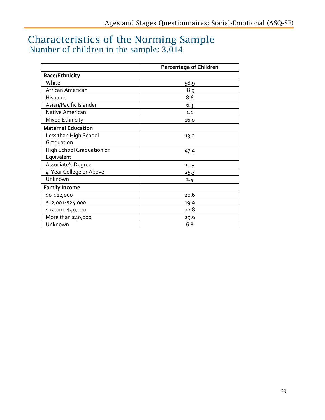### Characteristics of the Norming Sample Number of children in the sample: 3,014

|                           | <b>Percentage of Children</b> |
|---------------------------|-------------------------------|
| Race/Ethnicity            |                               |
| White                     | 58.9                          |
| African American          | 8.9                           |
| Hispanic                  | 8.6                           |
| Asian/Pacific Islander    | 6.3                           |
| Native American           | 1.1                           |
| Mixed Ethnicity           | 16.0                          |
| <b>Maternal Education</b> |                               |
| Less than High School     | 13.0                          |
| Graduation                |                               |
| High School Graduation or | 47.4                          |
| Equivalent                |                               |
| Associate's Degree        | 11.9                          |
| 4-Year College or Above   | 25.3                          |
| Unknown                   | 2.4                           |
| <b>Family Income</b>      |                               |
| \$0-\$12,000              | 20.6                          |
| \$12,001-\$24,000         | 19.9                          |
| \$24,001-\$40,000         | 22.8                          |
| More than \$40,000        | 29.9                          |
| Unknown                   | 6.8                           |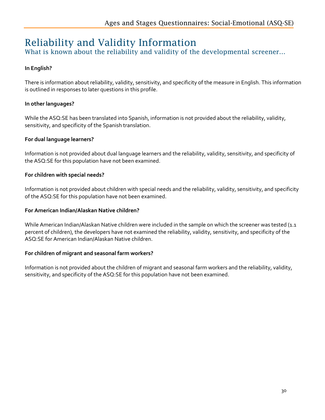### Reliability and Validity Information

What is known about the reliability and validity of the developmental screener...

#### **In English?**

There is information about reliability, validity, sensitivity, and specificity of the measure in English. This information is outlined in responses to later questions in this profile.

#### **In other languages?**

While the ASQ:SE has been translated into Spanish, information is not provided about the reliability, validity, sensitivity, and specificity of the Spanish translation.

#### **For dual language learners?**

Information is not provided about dual language learners and the reliability, validity, sensitivity, and specificity of the ASQ:SE for this population have not been examined.

#### **For children with special needs?**

Information is not provided about children with special needs and the reliability, validity, sensitivity, and specificity of the ASQ:SE for this population have not been examined.

#### **For American Indian/Alaskan Native children?**

While American Indian/Alaskan Native children were included in the sample on which the screener was tested (1.1 percent of children), the developers have not examined the reliability, validity, sensitivity, and specificity of the ASQ:SE for American Indian/Alaskan Native children.

#### **For children of migrant and seasonal farm workers?**

Information is not provided about the children of migrant and seasonal farm workers and the reliability, validity, sensitivity, and specificity of the ASQ:SE for this population have not been examined.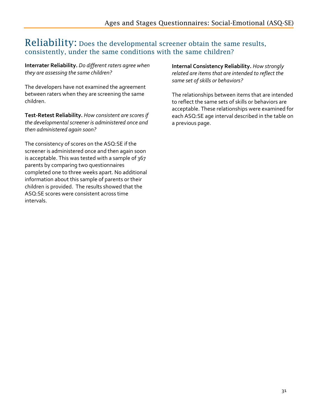#### Reliability: Does the developmental screener obtain the same results, consistently, under the same conditions with the same children?

**Interrater Reliability.** *Do different raters agree when they are assessing the same children?*

The developers have not examined the agreement between raters when they are screening the same children.

**Test-Retest Reliability.** *How consistent are scores if the developmental screener is administered once and then administered again soon?* 

The consistency of scores on the ASQ:SE if the screener is administered once and then again soon is acceptable. This was tested with a sample of 367 parents by comparing two questionnaires completed one to three weeks apart. No additional information about this sample of parents or their children is provided. The results showed that the ASQ:SE scores were consistent across time intervals.

**Internal Consistency Reliability.** *How strongly related are items that are intended to reflect the same set of skills or behaviors?* 

The relationships between items that are intended to reflect the same sets of skills or behaviors are acceptable. These relationships were examined for each ASQ:SE age interval described in the table on a previous page.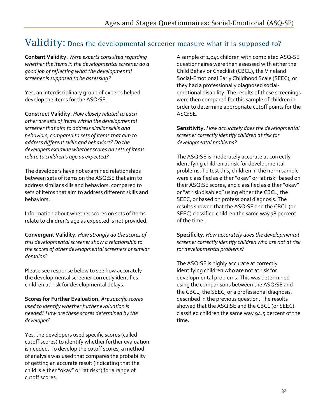### Validity: Does the developmental screener measure what it is supposed to?

**Content Validity.** *Were experts consulted regarding whether the items in the developmental screener do a good job of reflecting what the developmental screener is supposed to be assessing?*

Yes, an interdisciplinary group of experts helped develop the items for the ASQ:SE.

**Construct Validity.** *How closely related to each other are sets of items within the developmental screener that aim to address similar skills and behaviors, compared to sets of items that aim to address different skills and behaviors? Do the developers examine whether scores on sets of items relate to children's age as expected?* 

The developers have not examined relationships between sets of items on the ASQ:SE that aim to address similar skills and behaviors, compared to sets of items that aim to address different skills and behaviors.

Information about whether scores on sets of items relate to children's age as expected is not provided.

**Convergent Validity.** *How strongly do the scores of this developmental screener show a relationship to the scores of other developmental screeners of similar domains?* 

Please see response below to see how accurately the developmental screener correctly identifies children at-risk for developmental delays.

**Scores for Further Evaluation.** *Are specific scores used to identify whether further evaluation is needed? How are these scores determined by the developer?*

Yes, the developers used specific scores (called cutoff scores) to identify whether further evaluation is needed. To develop the cutoff scores, a method of analysis was used that compares the probability of getting an accurate result (indicating that the child is either "okay" or "at risk") for a range of cutoff scores.

A sample of 1,041 children with completed ASQ-SE questionnaires were then assessed with either the Child Behavior Checklist (CBCL), the Vineland Social-Emotional Early Childhood Scale (SEEC), or they had a professionally diagnosed socialemotional disability. The results of these screenings were then compared for this sample of children in order to determine appropriate cutoff points for the ASQ:SE.

**Sensitivity.** *How accurately does the developmental screener correctly identify children at risk for developmental problems?* 

The ASQ:SE is moderately accurate at correctly identifying children at risk for developmental problems. To test this, children in the norm sample were classified as either "okay" or "at risk" based on their ASQ:SE scores, and classified as either "okay" or "at risk/disabled" using either the CBCL, the SEEC, or based on professional diagnosis. The results showed that the ASQ:SE and the CBCL (or SEEC) classified children the same way 78 percent of the time.

**Specificity.** *How accurately does the developmental screener correctly identify children who are not at risk for developmental problems?* 

The ASQ:SE is highly accurate at correctly identifying children who are not at risk for developmental problems. This was determined using the comparisons between the ASQ:SE and the CBCL, the SEEC, or a professional diagnosis, described in the previous question. The results showed that the ASQ:SE and the CBCL (or SEEC) classified children the same way 94.5 percent of the time.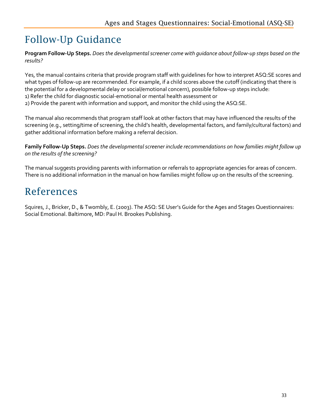### Follow-Up Guidance

**Program Follow-Up Steps.** *Does the developmental screener come with guidance about follow-up steps based on the results?* 

Yes, the manual contains criteria that provide program staff with guidelines for how to interpret ASQ:SE scores and what types of follow-up are recommended. For example, if a child scores above the cutoff (indicating that there is the potential for a developmental delay or social/emotional concern), possible follow-up steps include:

1) Refer the child for diagnostic social-emotional or mental health assessment or

2) Provide the parent with information and support, and monitor the child using the ASQ:SE.

The manual also recommends that program staff look at other factors that may have influenced the results of the screening (e.g., setting/time of screening, the child's health, developmental factors, and family/cultural factors) and gather additional information before making a referral decision.

**Family Follow-Up Steps.** *Does the developmental screener include recommendations on how families might follow up on the results of the screening?*

The manual suggests providing parents with information or referrals to appropriate agencies for areas of concern. There is no additional information in the manual on how families might follow up on the results of the screening.

### References

Squires, J., Bricker, D., & Twombly, E. (2003). The ASQ: SE User's Guide for the Ages and Stages Questionnaires: Social Emotional. Baltimore, MD: Paul H. Brookes Publishing.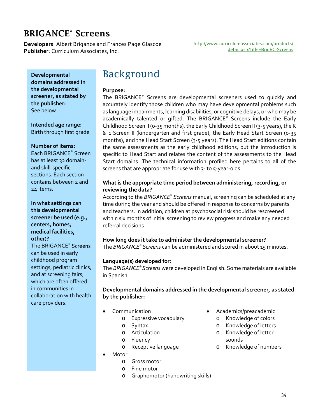### BRIGANCE® Screens

**Developers**: Albert Brigance and Frances Page Glascoe **Publisher**: Curriculum Associates, Inc.

[http://www.curriculumassociates.com/products/](http://www.curriculumassociates.com/products/detail.asp?title=BrigEC-Screens) [detail.asp?title=BrigEC-Screens](http://www.curriculumassociates.com/products/detail.asp?title=BrigEC-Screens)

**Developmental domains addressed in the developmental screener, as stated by the publisher:** See below

**Intended age range**: Birth through first grade

#### **Number of items:**

Each BRIGANCE® Screen has at least 32 domainand skill-specific sections. Each section contains between 2 and 24 items.

**In what settings can this developmental screener be used (e.g., centers, homes, medical facilities, other)?**

The BRIGANCE® Screens can be used in early childhood program settings, pediatric clinics, and at screening fairs, which are often offered in communities in collaboration with health care providers.

## Background

#### **Purpose:**

The BRIGANCE® Screens are developmental screeners used to quickly and accurately identify those children who may have developmental problems such as language impairments, learning disabilities, or cognitive delays, or who may be academically talented or gifted. The BRIGANCE® Screens include the Early Childhood Screen II (0-35 months), the Early Childhood Screen II (3-5 years), the K & 1 Screen II (kindergarten and first grade), the Early Head Start Screen (0-35 months), and the Head Start Screen (3-5 years). The Head Start editions contain the same assessments as the early childhood editions, but the introduction is specific to Head Start and relates the content of the assessments to the Head Start domains. The technical information profiled here pertains to all of the screens that are appropriate for use with 3- to 5-year-olds.

#### **What is the appropriate time period between administering, recording, or reviewing the data?**

According to the *BRIGANCE® Screens* manual, screening can be scheduled at any time during the year and should be offered in response to concerns by parents and teachers. In addition, children at psychosocial risk should be rescreened within six months of initial screening to review progress and make any needed referral decisions.

#### **How long does it take to administer the developmental screener?**

The *BRIGANCE® Screens* can be administered and scored in about 15 minutes.

#### **Language(s) developed for:**

The *BRIGANCE® Screens* were developed in English. Some materials are available in Spanish.

**Developmental domains addressed in the developmental screener, as stated by the publisher:**

- **Communication** 
	- o Expressive vocabulary
	- o Syntax
	- o Articulation
	- o Fluency
	- o Receptive language
- Motor
	- o Gross motor
	- o Fine motor
	- o Graphomotor (handwriting skills)
- Academics/preacademic
	- o Knowledge of colors
	- o Knowledge of letters
	- o Knowledge of letter sounds
	- o Knowledge of numbers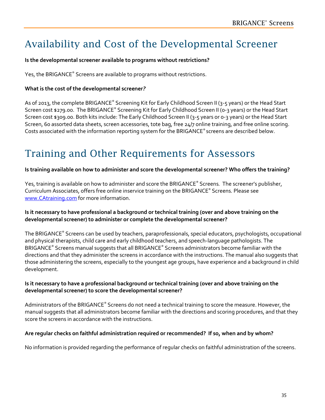# Availability and Cost of the Developmental Screener

#### **Is the developmental screener available to programs without restrictions?**

Yes, the BRIGANCE® Screens are available to programs without restrictions.

#### **What is the cost of the developmental screener***?*

As of 2013, the complete BRIGANCE® Screening Kit for Early Childhood Screen II (3-5 years) or the Head Start Screen cost \$279.00. The BRIGANCE® Screening Kit for Early Childhood Screen II (0-3 years) or the Head Start Screen cost \$309.00. Both kits include: The Early Childhood Screen II (3-5 years or 0-3 years) or the Head Start Screen, 60 assorted data sheets, screen accessories, tote bag, free 24/7 online training, and free online scoring. Costs associated with the information reporting system for the BRIGANCE® screens are described below.

# Training and Other Requirements for Assessors

#### **Is training available on how to administer and score the developmental screener? Who offers the training?**

Yes, training is available on how to administer and score the BRIGANCE® Screens*.* The screener's publisher, Curriculum Associates, offers free online inservice training on the BRIGANCE® Screens*.* Please see [www.CAtraining.com](http://www.catraining.com/) for more information.

#### **Is it necessary to have professional a background or technical training (over and above training on the developmental screener) to administer or complete the developmental screener?**

The BRIGANCE® Screens can be used by teachers, paraprofessionals, special educators, psychologists, occupational and physical therapists, child care and early childhood teachers, and speech-language pathologists. The BRIGANCE® Screens manual suggests that all BRIGANCE® Screens administrators become familiar with the directions and that they administer the screens in accordance with the instructions. The manual also suggests that those administering the screens, especially to the youngest age groups, have experience and a background in child development.

#### **Is it necessary to have a professional background or technical training (over and above training on the developmental screener) to score the developmental screener?**

Administrators of the BRIGANCE® Screens do not need a technical training to score the measure. However, the manual suggests that all administrators become familiar with the directions and scoring procedures, and that they score the screens in accordance with the instructions.

#### **Are regular checks on faithful administration required or recommended? If so, when and by whom?**

No information is provided regarding the performance of regular checks on faithful administration of the screens.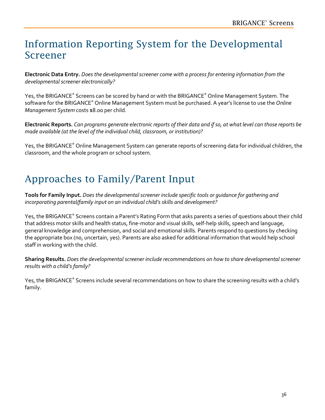## Information Reporting System for the Developmental Screener

**Electronic Data Entry.** *Does the developmental screener come with a process for entering information from the developmental screener electronically?*

Yes, the BRIGANCE® Screens can be scored by hand or with the BRIGANCE® Online Management System*.* The software for the BRIGANCE® Online Management System must be purchased. A year's license to use the *Online Management System* costs \$8.00 per child.

**Electronic Reports.** *Can programs generate electronic reports of their data and if so, at what level can those reports be made available (at the level of the individual child, classroom, or institution)?* 

Yes, the BRIGANCE® Online Management System can generate reports of screening data for individual children, the classroom, and the whole program or school system.

# Approaches to Family/Parent Input

**Tools for Family Input.** *Does the developmental screener include specific tools or guidance for gathering and incorporating parental/family input on an individual child's skills and development?*

Yes, the BRIGANCE® Screens contain a Parent's Rating Form that asks parents a series of questions about their child that address motor skills and health status, fine-motor and visual skills, self-help skills, speech and language, general knowledge and comprehension, and social and emotional skills. Parents respond to questions by checking the appropriate box (no, uncertain, yes). Parents are also asked for additional information that would help school staff in working with the child.

**Sharing Results.** *Does the developmental screener include recommendations on how to share developmental screener results with a child's family?*

Yes, the BRIGANCE® Screens include several recommendations on how to share the screening results with a child's family.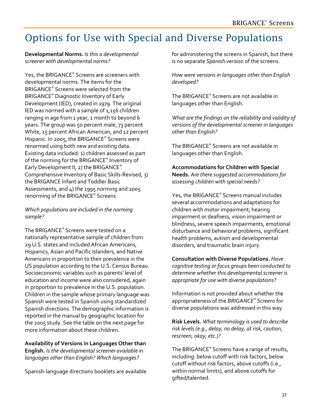# Options for Use with Special and Diverse Populations

**Developmental Norms.** *Is this a developmental screener with developmental norms?* 

Yes, the BRIGANCE® Screens are screeners with developmental norms. The items for the BRIGANCE® Screens were selected from the BRIGANCE® Diagnostic Inventory of Early Development (IED), created in 1979. The original IED was normed with a sample of 1,156 children ranging in age from 1 year, 1 month to beyond 6 years. The group was 50 percent male, 73 percent White, 15 percent African American, and 12 percent Hispanic. In 2005, the BRIGANCE® Screens were renormed using both new and existing data. Existing data included: 1) children assessed as part of the norming for the BRIGANCE® Inventory of Early Development II, 2) the BRIGANCE® Comprehensive Inventory of Basic Skills-Revised*,* 3) the BRIGANCE Infant and Toddler Basic Assessments*,* and 4) the 1995 norming and 2005 renorming of the BRIGANCE® Screens.

*Which populations are included in the norming sample?*

The BRIGANCE® Screens were tested on a nationally representative sample of children from 29 U.S. states and included African Americans, Hispanics, Asian and Pacific Islanders, and Native Americans in proportion to their prevalence in the US population according to the U.S. Census Bureau. Socioeconomic variables such as parents' level of education and income were also considered, again in proportion to prevalence in the U.S. population. Children in the sample whose primary language was Spanish were tested in Spanish using standardized Spanish directions. The demographic information is reported in the manual by geographic location for the 2005 study. See the table on the next page for more information about these children.

**Availability of Versions in Languages Other than English.** *Is the developmental screener available in languages other than English? Which languages?*

Spanish-language directions booklets are available

for administering the screens in Spanish, but there is no separate *Spanish* version of the screens.

*How were versions in languages other than English developed?*

The BRIGANCE® Screens are not available in languages other than English.

*What are the findings on the reliability and validity of versions of the developmental screener in languages other than English?*

The BRIGANCE® Screens are not available in languages other than English.

**Accommodations for Children with Special Needs.** *Are there suggested accommodations for assessing children with special needs?*

Yes, the BRIGANCE® Screens manual includes several accommodations and adaptations for children with motor impairment, hearing impairment or deafness, vision impairment or blindness, severe speech impairments, emotional disturbance and behavioral problems, significant health problems, autism and developmental disorders, and traumatic brain injury.

**Consultation with Diverse Populations.** *Have cognitive testing or focus groups been conducted to determine whether this developmental screener is appropriate for use with diverse populations?*

Information is not provided about whether the appropriateness of the *BRIGANCE® Screens* for diverse populations was addressed in this way.

**Risk Levels.** *What terminology is used to describe risk levels (e.g., delay, no delay, at risk, caution, rescreen, okay, etc.)?*

The BRIGANCE® Screens have a range of results, including: below cutoff with risk factors, below cutoff without risk factors, above cutoffs (i.e., within normal limits), and above cutoffs for gifted/talented.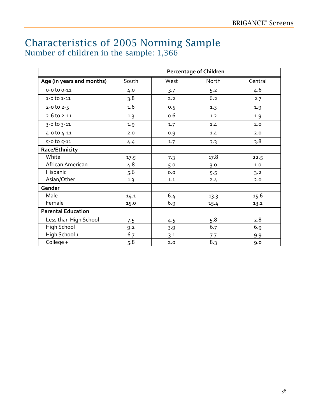### Characteristics of 2005 Norming Sample Number of children in the sample: 1,366

|                           | <b>Percentage of Children</b> |      |       |         |
|---------------------------|-------------------------------|------|-------|---------|
| Age (in years and months) | South                         | West | North | Central |
| $0 - 0$ to $0 - 11$       | 4.0                           | 3.7  | 5.2   | 4.6     |
| $1 - 0$ to $1 - 11$       | 3.8                           | 2.2  | 6.2   | 2.7     |
| $2 - 0$ to $2 - 5$        | 1.6                           | 0.5  | 1.3   | 1.9     |
| $2 - 6$ to $2 - 11$       | 1.3                           | 0.6  | 1.2   | 1.9     |
| 3-0 to 3-11               | 1.9                           | 1.7  | 1.4   | 2.0     |
| 4-0 to 4-11               | 2.0                           | 0.9  | 1.4   | 2.0     |
| 5-0 to 5-11               | 4.4                           | 1.7  | 3.3   | 3.8     |
| Race/Ethnicity            |                               |      |       |         |
| White                     | 17.5                          | 7.3  | 17.8  | 22.5    |
| African American          | 4.8                           | 5.0  | 3.0   | 1.0     |
| Hispanic                  | 5.6                           | 0.0  | 5.5   | 3.2     |
| Asian/Other               | 1.3                           | 1.1  | 2.4   | 2.0     |
| Gender                    |                               |      |       |         |
| Male                      | 14.1                          | 6.4  | 13.3  | 15.6    |
| Female                    | 15.0                          | 6.9  | 15.4  | 13.1    |
| <b>Parental Education</b> |                               |      |       |         |
| Less than High School     | 7.5                           | 4.5  | 5.8   | 2.8     |
| High School               | 9.2                           | 3.9  | 6.7   | 6.9     |
| High School +             | 6.7                           | 3.1  | 7.7   | 9.9     |
| College +                 | $5.8$                         | 2.0  | 8.3   | 9.0     |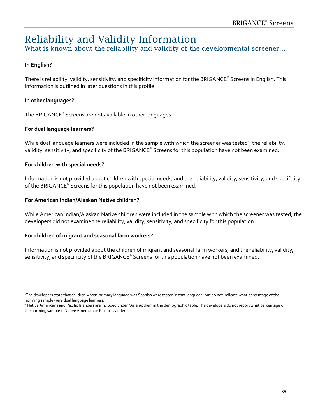# Reliability and Validity Information

What is known about the reliability and validity of the developmental screener...

### **In English?**

There is reliability, validity, sensitivity, and specificity information for the BRIGANCE® Screens in English. This information is outlined in later questions in this profile.

#### **In other languages?**

The BRIGANCE® Screens are not available in other languages.

#### **For dual language learners?**

While dual language learners were included in the sample with which the screener was tested<sup>1</sup>, the reliability, validity, sensitivity, and specificity of the BRIGANCE® Screens for this population have not been examined.

#### **For children with special needs?**

Information is not provided about children with special needs, and the reliability, validity, sensitivity, and specificity of the BRIGANCE® Screens for this population have not been examined.

#### **For American Indian/Alaskan Native children?**

While American Indian/Alaskan Native children were included in the sample with which the screener was tested, the developers did not examine the reliability, validity, sensitivity, and specificity for this population.

#### **For children of migrant and seasonal farm workers?**

Information is not provided about the children of migrant and seasonal farm workers, and the reliability, validity, sensitivity, and specificity of the BRIGANCE® Screens for this population have not been examined.

<sup>1</sup> The developers state that children whose primary language was Spanish were tested in that language, but do not indicate what percentage of the norming sample were dual language learners.

<sup>&</sup>lt;sup>2</sup> Native Americans and Pacific Islanders are included under "Asian/other" in the demographic table. The developers do not report what percentage of the norming sample is Native American or Pacific Islander.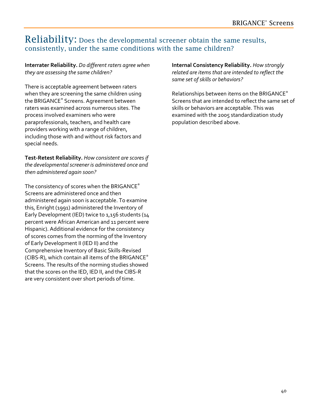### Reliability: Does the developmental screener obtain the same results, consistently, under the same conditions with the same children?

#### **Interrater Reliability.** *Do different raters agree when they are assessing the same children?*

There is acceptable agreement between raters when they are screening the same children using the BRIGANCE® Screens. Agreement between raters was examined across numerous sites. The process involved examiners who were paraprofessionals, teachers, and health care providers working with a range of children, including those with and without risk factors and special needs.

**Test-Retest Reliability.** *How consistent are scores if the developmental screener is administered once and then administered again soon?* 

The consistency of scores when the BRIGANCE® Screens are administered once and then administered again soon is acceptable. To examine this, Enright (1991) administered the Inventory of Early Development (IED) twice to 1,156 students (14 percent were African American and 11 percent were Hispanic). Additional evidence for the consistency of scores comes from the norming of the Inventory of Early Development II (IED II) and the Comprehensive Inventory of Basic Skills-Revised (CIBS-R), which contain all items of the BRIGANCE® Screens. The results of the norming studies showed that the scores on the IED, IED II, and the CIBS-R are very consistent over short periods of time.

**Internal Consistency Reliability.** *How strongly related are items that are intended to reflect the same set of skills or behaviors?* 

Relationships between items on the BRIGANCE® Screens that are intended to reflect the same set of skills or behaviors are acceptable. This was examined with the 2005 standardization study population described above.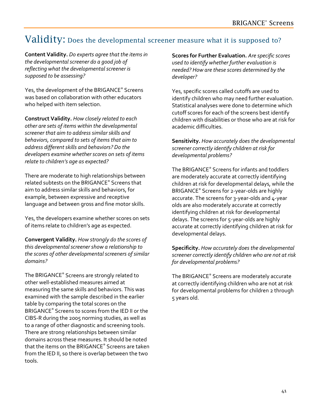### Validity: Does the developmental screener measure what it is supposed to?

**Content Validity.** *Do experts agree that the items in the developmental screener do a good job of reflecting what the developmental screener is supposed to be assessing?*

Yes, the development of the BRIGANCE® Screens was based on collaboration with other educators who helped with item selection.

**Construct Validity.** *How closely related to each other are sets of items within the developmental screener that aim to address similar skills and behaviors, compared to sets of items that aim to address different skills and behaviors? Do the developers examine whether scores on sets of items relate to children's age as expected?* 

There are moderate to high relationships between related subtests on the BRIGANCE® Screens that aim to address similar skills and behaviors, for example, between expressive and receptive language and between gross and fine motor skills.

Yes, the developers examine whether scores on sets of items relate to children's age as expected.

**Convergent Validity.** *How strongly do the scores of this developmental screener show a relationship to the scores of other developmental screeners of similar domains?*

The BRIGANCE® Screens are strongly related to other well-established measures aimed at measuring the same skills and behaviors. This was examined with the sample described in the earlier table by comparing the total scores on the BRIGANCE® Screens to scores from the IED II or the CIBS-R during the 2005 norming studies, as well as to a range of other diagnostic and screening tools. There are strong relationships between similar domains across these measures. It should be noted that the items on the BRIGANCE® Screens are taken from the IED II, so there is overlap between the two tools.

**Scores for Further Evaluation.** *Are specific scores used to identify whether further evaluation is needed? How are these scores determined by the developer?*

Yes, specific scores called cutoffs are used to identify children who may need further evaluation. Statistical analyses were done to determine which cutoff scores for each of the screens best identify children with disabilities or those who are at risk for academic difficulties.

**Sensitivity.** *How accurately does the developmental screener correctly identify children at risk for developmental problems?* 

The BRIGANCE® Screens for infants and toddlers are moderately accurate at correctly identifying children at risk for developmental delays, while the BRIGANCE® Screens for 2-year-olds are highly accurate. The screens for 3-year-olds and 4-year olds are also moderately accurate at correctly identifying children at risk for developmental delays. The screens for 5-year-olds are highly accurate at correctly identifying children at risk for developmental delays.

**Specificity.** *How accurately does the developmental screener correctly identify children who are not at risk for developmental problems?* 

The BRIGANCE® Screens are moderately accurate at correctly identifying children who are not at risk for developmental problems for children 2 through 5 years old.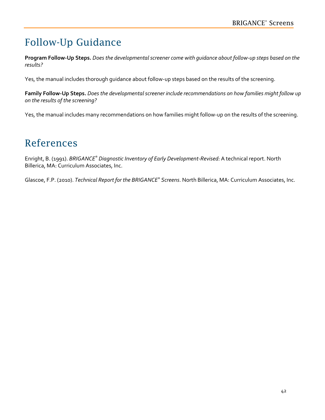# Follow-Up Guidance

**Program Follow-Up Steps.** *Does the developmental screener come with guidance about follow-up steps based on the results?*

Yes, the manual includes thorough guidance about follow-up steps based on the results of the screening.

**Family Follow-Up Steps.** *Does the developmental screener include recommendations on how families might follow up on the results of the screening?*

Yes, the manual includes many recommendations on how families might follow-up on the results of the screening.

## References

Enright, B. (1991). *BRIGANCE® Diagnostic Inventory of Early Development-Revised*: A technical report. North Billerica, MA: Curriculum Associates, Inc.

Glascoe, F.P. (2010). *Technical Report for the BRIGANCE® Screens*. North Billerica, MA: Curriculum Associates, Inc.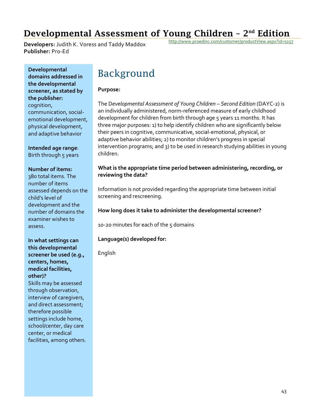### Developmental Assessment of Young Children  $-2<sup>nd</sup>$  Edition

**Developers:** Judith K. Voress and Taddy Maddox **Publisher:** Pro-Ed

<http://www.proedinc.com/customer/productView.aspx?id=5157>

**Developmental domains addressed in the developmental screener, as stated by the publisher:** cognition, communication, socialemotional development, physical development, and adaptive behavior

**Intended age range**: Birth through 5 years

#### **Number of items:**

380 total items. The number of items assessed depends on the child's level of development and the number of domains the examiner wishes to assess.

#### **In what settings can this developmental screener be used (e.g., centers, homes, medical facilities, other)?**

Skills may be assessed through observation, interview of caregivers, and direct assessment; therefore possible settings include home, school/center, day care center, or medical facilities, among others.

### Background

#### **Purpose:**

The D*evelopmental Assessment of Young Children – Second Edition* (DAYC-2) is an individually administered, norm-referenced measure of early childhood development for children from birth through age 5 years 11 months. It has three major purposes: 1) to help identify children who are significantly below their peers in cognitive, communicative, social-emotional, physical, or adaptive behavior abilities; 2) to monitor children's progress in special intervention programs; and 3) to be used in research studying abilities in young children.

#### **What is the appropriate time period between administering, recording, or reviewing the data?**

Information is not provided regarding the appropriate time between initial screening and rescreening.

#### **How long does it take to administer the developmental screener?**

10-20 minutes for each of the 5 domains

#### **Language(s) developed for:**

English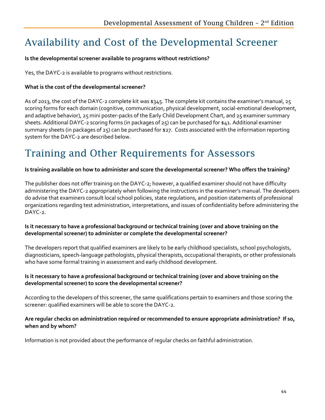# Availability and Cost of the Developmental Screener

#### **Is the developmental screener available to programs without restrictions?**

Yes, the DAYC-2 is available to programs without restrictions.

### **What is the cost of the developmental screener?**

As of 2013, the cost of the DAYC-2 complete kit was \$345. The complete kit contains the examiner's manual, 25 scoring forms for each domain (cognitive, communication, physical development, social-emotional development, and adaptive behavior), 25 mini poster-packs of the Early Child Development Chart, and 25 examiner summary sheets. Additional DAYC-2 scoring forms (in packages of 25) can be purchased for \$41. Additional examiner summary sheets (in packages of 25) can be purchased for \$27. Costs associated with the information reporting system for the DAYC-2 are described below.

# Training and Other Requirements for Assessors

#### **Is training available on how to administer and score the developmental screener? Who offers the training?**

The publisher does not offer training on the DAYC-2; however, a qualified examiner should not have difficulty administering the DAYC-2 appropriately when following the instructions in the examiner's manual. The developers do advise that examiners consult local school policies, state regulations, and position statements of professional organizations regarding test administration, interpretations, and issues of confidentiality before administering the DAYC-2.

#### **Is it necessary to have a professional background or technical training (over and above training on the developmental screener) to administer or complete the developmental screener?**

The developers report that qualified examiners are likely to be early childhood specialists, school psychologists, diagnosticians, speech-language pathologists, physical therapists, occupational therapists, or other professionals who have some formal training in assessment and early childhood development.

#### **Is it necessary to have a professional background or technical training (over and above training on the developmental screener) to score the developmental screener?**

According to the developers of this screener, the same qualifications pertain to examiners and those scoring the screener: qualified examiners will be able to score the DAYC-2.

#### **Are regular checks on administration required or recommended to ensure appropriate administration? If so, when and by whom?**

Information is not provided about the performance of regular checks on faithful administration.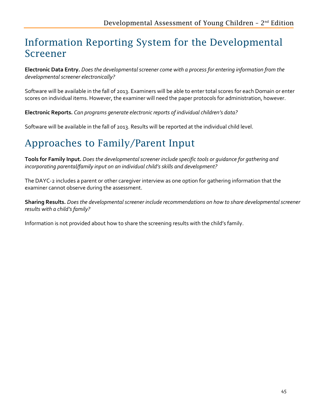# Information Reporting System for the Developmental Screener

**Electronic Data Entry.** *Does the developmental screener come with a process for entering information from the developmental screener electronically?*

Software will be available in the fall of 2013. Examiners will be able to enter total scores for each Domain or enter scores on individual items. However, the examiner will need the paper protocols for administration, however.

**Electronic Reports.** *Can programs generate electronic reports of individual children's data?* 

Software will be available in the fall of 2013. Results will be reported at the individual child level.

# Approaches to Family/Parent Input

**Tools for Family Input.** *Does the developmental screener include specific tools or guidance for gathering and incorporating parental/family input on an individual child's skills and development?*

The DAYC-2 includes a parent or other caregiver interview as one option for gathering information that the examiner cannot observe during the assessment.

**Sharing Results.** *Does the developmental screener include recommendations on how to share developmental screener results with a child's family?*

Information is not provided about how to share the screening results with the child's family.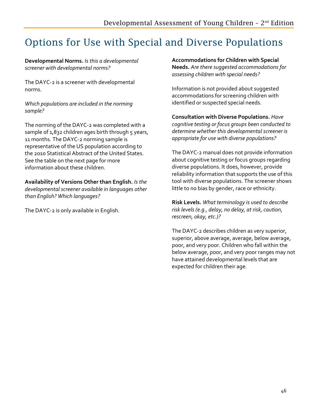# Options for Use with Special and Diverse Populations

**Developmental Norms.** *Is this a developmental screener with developmental norms?* 

The DAYC-2 is a screener with developmental norms.

*Which populations are included in the norming sample?* 

The norming of the DAYC-2 was completed with a sample of 1,832 children ages birth through 5 years, 11 months. The DAYC-2 norming sample is representative of the US population according to the 2010 Statistical Abstract of the United States. See the table on the next page for more information about these children.

**Availability of Versions Other than English.** *Is the developmental screener available in languages other than English? Which languages?* 

The DAYC-2 is only available in English.

**Accommodations for Children with Special Needs.** *Are there suggested accommodations for assessing children with special needs?* 

Information is not provided about suggested accommodations for screening children with identified or suspected special needs.

**Consultation with Diverse Populations.** *Have cognitive testing or focus groups been conducted to determine whether this developmental screener is appropriate for use with diverse populations?* 

The DAYC-2 manual does not provide information about cognitive testing or focus groups regarding diverse populations. It does, however, provide reliability information that supports the use of this tool with diverse populations. The screener shows little to no bias by gender, race or ethnicity.

**Risk Levels.** *What terminology is used to describe risk levels (e.g., delay, no delay, at risk, caution, rescreen, okay, etc.)?*

The DAYC-2 describes children as very superior, superior, above average, average, below average, poor, and very poor. Children who fall within the below average, poor, and very poor ranges may not have attained developmental levels that are expected for children their age.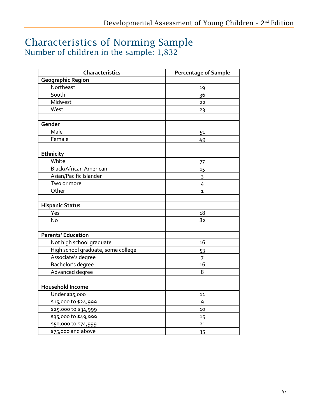### Characteristics of Norming Sample Number of children in the sample: 1,832

| Characteristics                    | <b>Percentage of Sample</b> |
|------------------------------------|-----------------------------|
| <b>Geographic Region</b>           |                             |
| Northeast                          | 19                          |
| South                              | 36                          |
| Midwest                            | 22                          |
| West                               | 23                          |
|                                    |                             |
| Gender                             |                             |
| Male                               | 51                          |
| Female                             | 49                          |
|                                    |                             |
| Ethnicity                          |                             |
| White                              | 77                          |
| <b>Black/African American</b>      | 15                          |
| Asian/Pacific Islander             | $\overline{3}$              |
| Two or more                        | 4                           |
| Other                              | $\overline{1}$              |
|                                    |                             |
| <b>Hispanic Status</b>             |                             |
| Yes                                | 18                          |
| <b>No</b>                          | 82                          |
|                                    |                             |
| <b>Parents' Education</b>          |                             |
| Not high school graduate           | 16                          |
| High school graduate, some college | 53                          |
| Associate's degree                 | 7                           |
| Bachelor's degree                  | 16                          |
| Advanced degree                    | 8                           |
|                                    |                             |
| Household Income                   |                             |
| Under \$15,000                     | 11                          |
| \$15,000 to \$24,999               | 9                           |
| \$25,000 to \$34,999               | 10                          |
| \$35,000 to \$49,999               | 15                          |
| \$50,000 to \$74,999               | 21                          |
| \$75,000 and above                 | 35                          |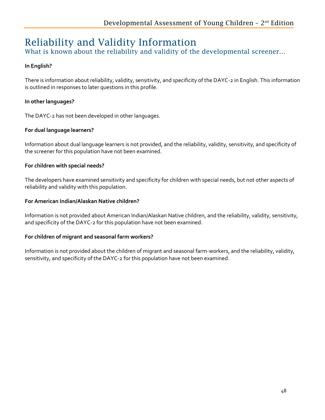# Reliability and Validity Information

What is known about the reliability and validity of the developmental screener...

### **In English?**

There is information about reliability, validity, sensitivity, and specificity of the DAYC-2 in English. This information is outlined in responses to later questions in this profile.

### **In other languages?**

The DAYC-2 has not been developed in other languages.

### **For dual language learners?**

Information about dual language learners is not provided, and the reliability, validity, sensitivity, and specificity of the screener for this population have not been examined.

### **For children with special needs?**

The developers have examined sensitivity and specificity for children with special needs, but not other aspects of reliability and validity with this population.

### **For American Indian/Alaskan Native children?**

Information is not provided about American Indian/Alaskan Native children, and the reliability, validity, sensitivity, and specificity of the DAYC-2 for this population have not been examined.

### **For children of migrant and seasonal farm workers?**

Information is not provided about the children of migrant and seasonal farm-workers, and the reliability, validity, sensitivity, and specificity of the DAYC-2 for this population have not been examined.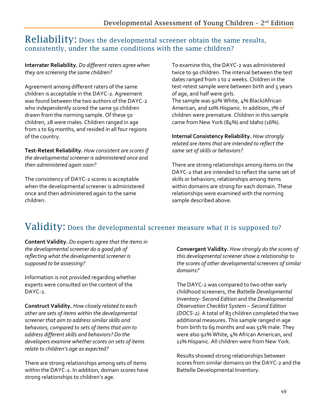### Reliability: Does the developmental screener obtain the same results, consistently, under the same conditions with the same children?

**Interrater Reliability.** *Do different raters agree when they are screening the same children?*

Agreement among different raters of the same children is acceptable in the DAYC-2. Agreement was found between the two authors of the DAYC-2 who independently scored the same 50 children drawn from the norming sample. Of these 50 children, 28 were males. Children ranged in age from 1 to 69 months, and resided in all four regions of the country.

**Test-Retest Reliability.** *How consistent are scores if the developmental screener is administered once and then administered again soon?* 

The consistency of DAYC-2 scores is acceptable when the developmental screener is administered once and then administered again to the same children.

To examine this, the DAYC-2 was administered twice to 90 children. The interval between the test dates ranged from 1 to 2 weeks. Children in the test-retest sample were between birth and 5 years of age, and half were girls.

The sample was 92% White, 4% Black/African American, and 10% Hispanic. In addition, 7% of children were premature. Children in this sample came from New York (84%) and Idaho (16%).

**Internal Consistency Reliability.** *How strongly related are items that are intended to reflect the same set of skills or behaviors?* 

There are strong relationships among items on the DAYC-2 that are intended to reflect the same set of skills or behaviors; relationships among items within domains are strong for each domain. These relationships were examined with the norming sample described above.

### Validity: Does the developmental screener measure what it is supposed to?

**Content Validity.** *Do experts agree that the items in the developmental screener do a good job of reflecting what the developmental screener is supposed to be assessing?*

Information is not provided regarding whether experts were consulted on the content of the DAYC-2

**Construct Validity.** *How closely related to each other are sets of items within the developmental screener that aim to address similar skills and behaviors, compared to sets of items that aim to address different skills and behaviors? Do the developers examine whether scores on sets of items relate to children's age as expected?* 

There are strong relationships among sets of items within the DAYC-2. In addition, domain scores have strong relationships to children's age.

**Convergent Validity.** *How strongly do the scores of this developmental screener show a relationship to the scores of other developmental screeners of similar domains?* 

The DAYC-2 was compared to two other early childhood screeners, the *Battelle Developmental Inventory- Second Edition* and the *Developmental Observation Checklist System – Second Edition (DOCS-2).* A total of 83 children completed the two additional measures. This sample ranged in age from birth to 69 months and was 51% male. They were also 92% White, 4% African American, and 11% Hispanic. All children were from New York.

Results showed strong relationships between scores from similar domains on the DAYC-2 and the Battelle Developmental Inventory.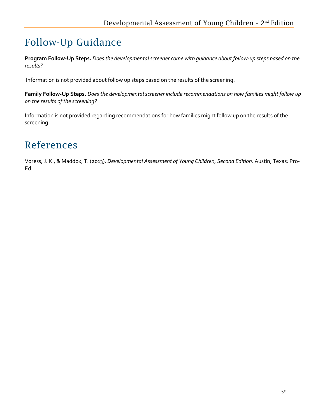# Follow-Up Guidance

**Program Follow-Up Steps.** *Does the developmental screener come with guidance about follow-up steps based on the results?* 

Information is not provided about follow up steps based on the results of the screening.

**Family Follow-Up Steps.** *Does the developmental screener include recommendations on how families might follow up on the results of the screening?*

Information is not provided regarding recommendations for how families might follow up on the results of the screening.

## References

Voress, J. K., & Maddox, T. (2013). *Developmental Assessment of Young Children, Second Edition*. Austin, Texas: Pro-Ed.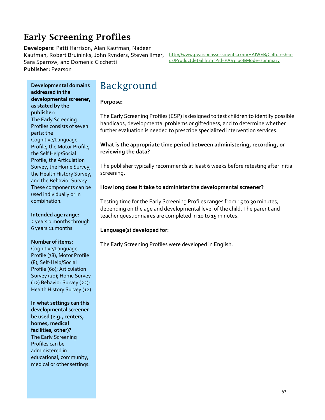## Early Screening Profiles

**Developers:** Patti Harrison, Alan Kaufman, Nadeen Kaufman, Robert Bruininks, John Rynders, Steven Ilmer, Sara Sparrow, and Domenic Cicchetti **Publisher:** Pearson

[http://www.pearsonassessments.com/HAIWEB/Cultures/en](http://www.pearsonassessments.com/HAIWEB/Cultures/en-us/Productdetail.htm?Pid=PAa3500&Mode=summary)[us/Productdetail.htm?Pid=PAa3500&Mode=summary](http://www.pearsonassessments.com/HAIWEB/Cultures/en-us/Productdetail.htm?Pid=PAa3500&Mode=summary)

**Developmental domains addressed in the developmental screener, as stated by the publisher:** The Early Screening Profiles consists of seven parts: the Cognitive/Language Profile, the Motor Profile, the Self Help/Social Profile, the Articulation Survey, the Home Survey, the Health History Survey, and the Behavior Survey.

These components can be used individually or in combination.

#### **Intended age range**:

2 years 0 months through 6 years 11 months

#### **Number of items:**

Cognitive/Language Profile (78); Motor Profile (8); Self-Help/Social Profile (60); Articulation Survey (20); Home Survey (12) Behavior Survey (22); Health History Survey (12)

**In what settings can this developmental screener be used (e.g., centers, homes, medical facilities, other)?** The Early Screening Profiles can be administered in educational, community, medical or other settings.

## Background

#### **Purpose:**

The Early Screening Profiles (ESP) is designed to test children to identify possible handicaps, developmental problems or giftedness, and to determine whether further evaluation is needed to prescribe specialized intervention services.

#### **What is the appropriate time period between administering, recording, or reviewing the data?**

The publisher typically recommends at least 6 weeks before retesting after initial screening.

#### **How long does it take to administer the developmental screener?**

Testing time for the Early Screening Profiles ranges from 15 to 30 minutes, depending on the age and developmental level of the child. The parent and teacher questionnaires are completed in 10 to 15 minutes.

#### **Language(s) developed for:**

The Early Screening Profiles were developed in English.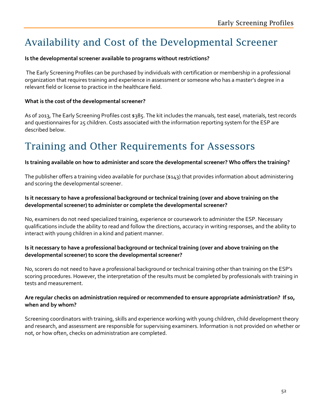# Availability and Cost of the Developmental Screener

#### **Is the developmental screener available to programs without restrictions?**

The Early Screening Profiles can be purchased by individuals with certification or membership in a professional organization that requires training and experience in assessment or someone who has a master's degree in a relevant field or license to practice in the healthcare field.

#### **What is the cost of the developmental screener?**

As of 2013, The Early Screening Profiles cost \$385. The kit includes the manuals, test easel, materials, test records and questionnaires for 25 children. Costs associated with the information reporting system for the ESP are described below.

# Training and Other Requirements for Assessors

#### **Is training available on how to administer and score the developmental screener? Who offers the training?**

The publisher offers a training video available for purchase (\$143) that provides information about administering and scoring the developmental screener.

#### **Is it necessary to have a professional background or technical training (over and above training on the developmental screener) to administer or complete the developmental screener?**

No, examiners do not need specialized training, experience or coursework to administer the ESP. Necessary qualifications include the ability to read and follow the directions, accuracy in writing responses, and the ability to interact with young children in a kind and patient manner.

#### **Is it necessary to have a professional background or technical training (over and above training on the developmental screener) to score the developmental screener?**

No, scorers do not need to have a professional background or technical training other than training on the ESP's scoring procedures. However, the interpretation of the results must be completed by professionals with training in tests and measurement.

#### **Are regular checks on administration required or recommended to ensure appropriate administration? If so, when and by whom?**

Screening coordinators with training, skills and experience working with young children, child development theory and research, and assessment are responsible for supervising examiners. Information is not provided on whether or not, or how often, checks on administration are completed.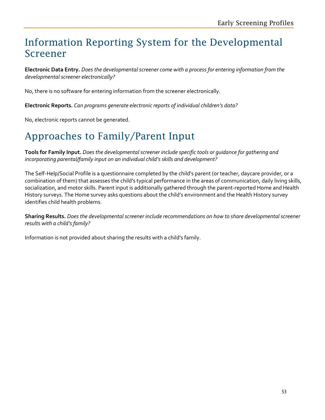# Information Reporting System for the Developmental Screener

**Electronic Data Entry.** *Does the developmental screener come with a process for entering information from the developmental screener electronically?*

No, there is no software for entering information from the screener electronically.

**Electronic Reports.** *Can programs generate electronic reports of individual children's data?* 

No, electronic reports cannot be generated.

## Approaches to Family/Parent Input

**Tools for Family Input.** *Does the developmental screener include specific tools or guidance for gathering and incorporating parental/family input on an individual child's skills and development?*

The Self-Help/Social Profile is a questionnaire completed by the child's parent (or teacher, daycare provider, or a combination of them) that assesses the child's typical performance in the areas of communication, daily living skills, socialization, and motor skills. Parent input is additionally gathered through the parent-reported Home and Health History surveys. The Home survey asks questions about the child's environment and the Health History survey identifies child health problems.

**Sharing Results.** *Does the developmental screener include recommendations on how to share developmental screener results with a child's family?*

Information is not provided about sharing the results with a child's family.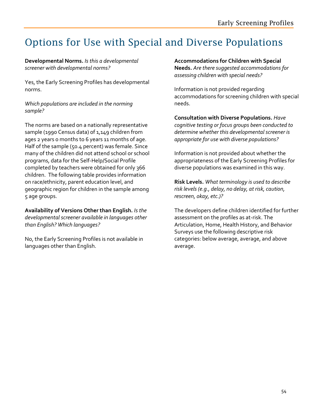# Options for Use with Special and Diverse Populations

**Developmental Norms.** *Is this a developmental screener with developmental norms?* 

Yes, the Early Screening Profiles has developmental norms.

#### *Which populations are included in the norming sample?*

The norms are based on a nationally representative sample (1990 Census data) of 1,149 children from ages 2 years 0 months to 6 years 11 months of age. Half of the sample (50.4 percent) was female. Since many of the children did not attend school or school programs, data for the Self-Help/Social Profile completed by teachers were obtained for only 366 children. The following table provides information on race/ethnicity, parent education level, and geographic region for children in the sample among 5 age groups.

**Availability of Versions Other than English.** *Is the developmental screener available in languages other than English? Which languages?* 

No, the Early Screening Profiles is not available in languages other than English.

**Accommodations for Children with Special Needs.** *Are there suggested accommodations for assessing children with special needs?* 

Information is not provided regarding accommodations for screening children with special needs.

**Consultation with Diverse Populations.** *Have cognitive testing or focus groups been conducted to determine whether this developmental screener is appropriate for use with diverse populations?* 

Information is not provided about whether the appropriateness of the Early Screening Profiles for diverse populations was examined in this way.

**Risk Levels.** *What terminology is used to describe risk levels (e.g., delay, no delay, at risk, caution, rescreen, okay, etc.)?*

The developers define children identified for further assessment on the profiles as at-risk. The Articulation, Home, Health History, and Behavior Surveys use the following descriptive risk categories: below average, average, and above average.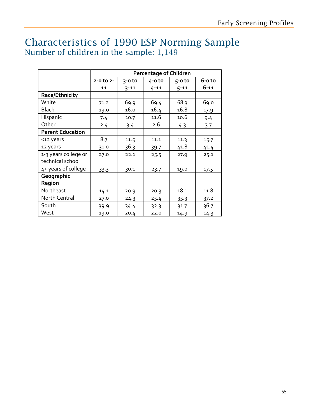### Characteristics of 1990 ESP Norming Sample Number of children in the sample: 1,149

|                         | <b>Percentage of Children</b> |          |            |          |          |
|-------------------------|-------------------------------|----------|------------|----------|----------|
|                         | $2 - 0$ to $2 -$              | $3-0$ to | $4 - 0$ to | $5-0$ to | 6-o to   |
|                         | 11                            | $3 - 11$ | $4 - 11$   | $5 - 11$ | $6 - 11$ |
| Race/Ethnicity          |                               |          |            |          |          |
| White                   | 71.2                          | 69.9     | 69.4       | 68.3     | 69.0     |
| <b>Black</b>            | 19.0                          | 16.0     | 16.4       | 16.8     | 17.9     |
| Hispanic                | 7.4                           | 10.7     | 11.6       | 10.6     | 9.4      |
| Other                   | 2.4                           | 3.4      | 2.6        | 4.3      | 3.7      |
| <b>Parent Education</b> |                               |          |            |          |          |
| <12 years               | 8.7                           | 11.5     | 11.1       | 11.3     | 15.7     |
| 12 years                | 31.0                          | 36.3     | 39.7       | 41.8     | 41.4     |
| 1-3 years college or    | 27.0                          | 22.1     | 25.5       | 27.9     | 25.1     |
| technical school        |                               |          |            |          |          |
| 4+ years of college     | 33.3                          | 30.1     | 23.7       | 19.0     | 17.5     |
| Geographic              |                               |          |            |          |          |
| Region                  |                               |          |            |          |          |
| Northeast               | 14.1                          | 20.9     | 20.3       | 18.1     | 11.8     |
| North Central           | 27.0                          | 24.3     | 25.4       | 35.3     | 37.2     |
| South                   | 39.9                          | 34.4     | 32.3       | 31.7     | 36.7     |
| West                    | 19.0                          | 20.4     | 22.0       | 14.9     | 14.3     |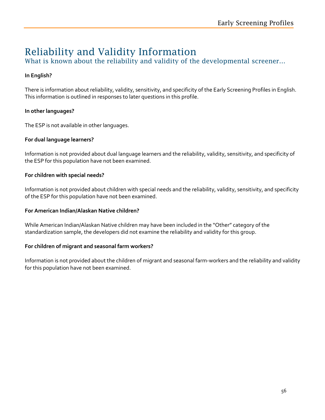# Reliability and Validity Information

What is known about the reliability and validity of the developmental screener...

### **In English?**

There is information about reliability, validity, sensitivity, and specificity of the Early Screening Profiles in English. This information is outlined in responses to later questions in this profile.

### **In other languages?**

The ESP is not available in other languages.

#### **For dual language learners?**

Information is not provided about dual language learners and the reliability, validity, sensitivity, and specificity of the ESP for this population have not been examined.

#### **For children with special needs?**

Information is not provided about children with special needs and the reliability, validity, sensitivity, and specificity of the ESP for this population have not been examined.

#### **For American Indian/Alaskan Native children?**

While American Indian/Alaskan Native children may have been included in the "Other" category of the standardization sample, the developers did not examine the reliability and validity for this group.

#### **For children of migrant and seasonal farm workers?**

Information is not provided about the children of migrant and seasonal farm-workers and the reliability and validity for this population have not been examined.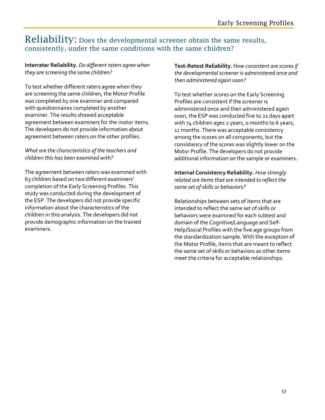### Reliability: Does the developmental screener obtain the same results, consistently, under the same conditions with the same children?

#### **Interrater Reliability.** *Do different raters agree when they are screening the same children?*

To test whether different raters agree when they are screening the same children, the Motor Profile was completed by one examiner and compared with questionnaires completed by another examiner. The results showed acceptable agreement between examiners for the motor items. The developers do not provide information about agreement between raters on the other profiles.

#### *What are the characteristics of the teachers and children this has been examined with?*

The agreement between raters was examined with 63 children based on two different examiners' completion of the Early Screening Profiles. This study was conducted during the development of the ESP. The developers did not provide specific information about the characteristics of the children in this analysis. The developers did not provide demographic information on the trained examiners.

**Test-Retest Reliability.** *How consistent are scores if the developmental screener is administered once and then administered again soon?* 

To test whether scores on the Early Screening Profiles are consistent if the screener is administered once and then administered again soon, the ESP was conducted five to 21 days apart with 74 children ages 2 years, o months to 6 years, 11 months. There was acceptable consistency among the scores on all components, but the consistency of the scores was slightly lower on the Motor Profile. The developers do not provide additional information on the sample or examiners.

**Internal Consistency Reliability.** *How strongly related are items that are intended to reflect the same set of skills or behaviors?* 

Relationships between sets of items that are intended to reflect the same set of skills or behaviors were examined for each subtest and domain of the Cognitive/Language and Self-Help/Social Profiles with the five age groups from the standardization sample. With the exception of the Motor Profile, items that are meant to reflect the same set of skills or behaviors as other items meet the criteria for acceptable relationships.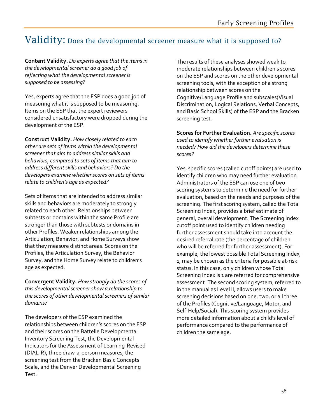### Validity: Does the developmental screener measure what it is supposed to?

**Content Validity.** *Do experts agree that the items in the developmental screener do a good job of reflecting what the developmental screener is supposed to be assessing?*

Yes, experts agree that the ESP does a good job of measuring what it is supposed to be measuring. Items on the ESP that the expert reviewers considered unsatisfactory were dropped during the development of the ESP.

**Construct Validity.** *How closely related to each other are sets of items within the developmental screener that aim to address similar skills and behaviors, compared to sets of items that aim to address different skills and behaviors? Do the developers examine whether scores on sets of items relate to children's age as expected?* 

Sets of items that are intended to address similar skills and behaviors are moderately to strongly related to each other. Relationships between subtests or domains within the same Profile are stronger than those with subtests or domains in other Profiles. Weaker relationships among the Articulation, Behavior, and Home Surveys show that they measure distinct areas. Scores on the Profiles, the Articulation Survey, the Behavior Survey, and the Home Survey relate to children's age as expected.

**Convergent Validity.** *How strongly do the scores of this developmental screener show a relationship to the scores of other developmental screeners of similar domains?* 

The developers of the ESP examined the relationships between children's scores on the ESP and their scores on the Battelle Developmental Inventory Screening Test, the Developmental Indicators for the Assessment of Learning-Revised (DIAL-R), three draw-a-person measures, the screening test from the Bracken Basic Concepts Scale, and the Denver Developmental Screening Test.

The results of these analyses showed weak to moderate relationships between children's scores on the ESP and scores on the other developmental screening tools, with the exception of a strong relationship between scores on the Cognitive/Language Profile and subscales(Visual Discrimination, Logical Relations, Verbal Concepts, and Basic School Skills) of the ESP and the Bracken screening test.

**Scores for Further Evaluation.** *Are specific scores used to identify whether further evaluation is needed? How did the developers determine these scores?*

Yes, specific scores (called cutoff points) are used to identify children who may need further evaluation. Administrators of the ESP can use one of two scoring systems to determine the need for further evaluation, based on the needs and purposes of the screening. The first scoring system, called the Total Screening Index, provides a brief estimate of general, overall development. The Screening Index cutoff point used to identify children needing further assessment should take into account the desired referral rate (the percentage of children who will be referred for further assessment). For example, the lowest possible Total Screening Index, 1, may be chosen as the criteria for possible at-risk status. In this case, only children whose Total Screening Index is 1 are referred for comprehensive assessment. The second scoring system, referred to in the manual as Level II, allows users to make screening decisions based on one, two, or all three of the Profiles (Cognitive/Language, Motor, and Self-Help/Social). This scoring system provides more detailed information about a child's level of performance compared to the performance of children the same age.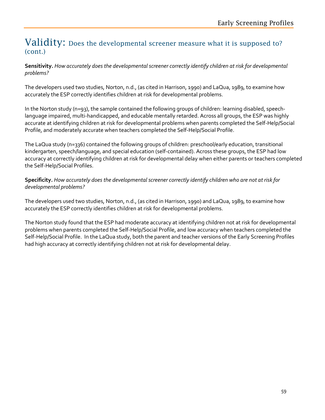### Validity: Does the developmental screener measure what it is supposed to? (cont.)

**Sensitivity.** *How accurately does the developmental screener correctly identify children at risk for developmental problems?* 

The developers used two studies, Norton, n.d., (as cited in Harrison, 1990) and LaQua, 1989, to examine how accurately the ESP correctly identifies children at risk for developmental problems.

In the Norton study (n=93), the sample contained the following groups of children: learning disabled, speechlanguage impaired, multi-handicapped, and educable mentally retarded. Across all groups, the ESP was highly accurate at identifying children at risk for developmental problems when parents completed the Self-Help/Social Profile, and moderately accurate when teachers completed the Self-Help/Social Profile.

The LaQua study (n=336) contained the following groups of children: preschool/early education, transitional kindergarten, speech/language, and special education (self-contained). Across these groups, the ESP had low accuracy at correctly identifying children at risk for developmental delay when either parents or teachers completed the Self-Help/Social Profiles.

**Specificity.** *How accurately does the developmental screener correctly identify children who are not at risk for developmental problems?* 

The developers used two studies, Norton, n.d., (as cited in Harrison, 1990) and LaQua, 1989, to examine how accurately the ESP correctly identifies children at risk for developmental problems.

The Norton study found that the ESP had moderate accuracy at identifying children not at risk for developmental problems when parents completed the Self-Help/Social Profile, and low accuracy when teachers completed the Self-Help/Social Profile. In the LaQua study, both the parent and teacher versions of the Early Screening Profiles had high accuracy at correctly identifying children not at risk for developmental delay.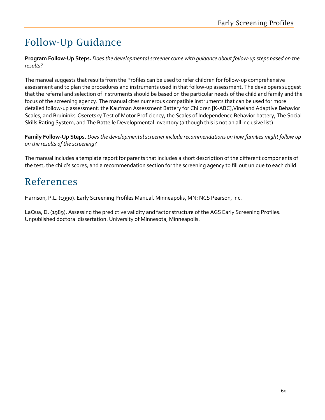# Follow-Up Guidance

**Program Follow-Up Steps.** *Does the developmental screener come with guidance about follow-up steps based on the results?* 

The manual suggests that results from the Profiles can be used to refer children for follow-up comprehensive assessment and to plan the procedures and instruments used in that follow-up assessment. The developers suggest that the referral and selection of instruments should be based on the particular needs of the child and family and the focus of the screening agency. The manual cites numerous compatible instruments that can be used for more detailed follow-up assessment: the Kaufman Assessment Battery for Children [K-ABC],Vineland Adaptive Behavior Scales, and Bruininks-Oseretsky Test of Motor Proficiency, the Scales of Independence Behavior battery, The Social Skills Rating System, and The Battelle Developmental Inventory (although this is not an all inclusive list).

**Family Follow-Up Steps.** *Does the developmental screener include recommendations on how families might follow up on the results of the screening?*

The manual includes a template report for parents that includes a short description of the different components of the test, the child's scores, and a recommendation section for the screening agency to fill out unique to each child.

# References

Harrison, P.L. (1990). Early Screening Profiles Manual. Minneapolis, MN: NCS Pearson, Inc.

LaQua, D. (1989). Assessing the predictive validity and factor structure of the AGS Early Screening Profiles. Unpublished doctoral dissertation. University of Minnesota, Minneapolis.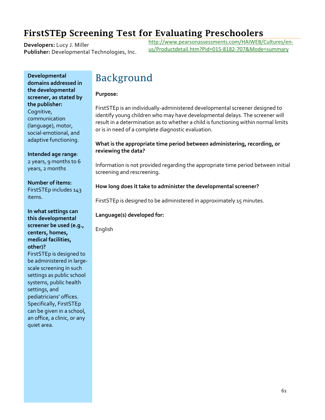### FirstSTEp Screening Test for Evaluating Preschoolers

**Developers:** Lucy J. Miller **Publisher:** Developmental Technologies, Inc. [http://www.pearsonassessments.com/HAIWEB/Cultures/en](http://www.pearsonassessments.com/HAIWEB/Cultures/en-us/Productdetail.htm?Pid=015-8182-707&Mode=summary)[us/Productdetail.htm?Pid=015-8182-707&Mode=summary](http://www.pearsonassessments.com/HAIWEB/Cultures/en-us/Productdetail.htm?Pid=015-8182-707&Mode=summary)

**Developmental domains addressed in the developmental screener, as stated by the publisher:** Cognitive, communication (language), motor, social-emotional, and adaptive functioning.

**Intended age range**: 2 years, 9 months to 6 years, 2 months

**Number of items:** FirstSTEp includes 143 items.

#### **In what settings can this developmental screener be used (e.g., centers, homes, medical facilities, other)?** FirstSTEp is designed to

be administered in largescale screening in such settings as public school systems, public health settings, and pediatricians' offices. Specifically, FirstSTEp can be given in a school, an office, a clinic, or any quiet area.

# Background

#### **Purpose:**

FirstSTEp is an individually-administered developmental screener designed to identify young children who may have developmental delays. The screener will result in a determination as to whether a child is functioning within normal limits or is in need of a complete diagnostic evaluation.

#### **What is the appropriate time period between administering, recording, or reviewing the data?**

Information is not provided regarding the appropriate time period between initial screening and rescreening.

### **How long does it take to administer the developmental screener?**

FirstSTEp is designed to be administered in approximately 15 minutes.

### **Language(s) developed for:**

English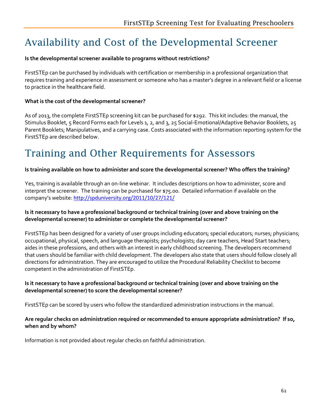# Availability and Cost of the Developmental Screener

### **Is the developmental screener available to programs without restrictions?**

FirstSTEp can be purchased by individuals with certification or membership in a professional organization that requires training and experience in assessment or someone who has a master's degree in a relevant field or a license to practice in the healthcare field.

### **What is the cost of the developmental screener?**

As of 2013, the complete FirstSTEp screening kit can be purchased for \$292. This kit includes: the manual, the Stimulus Booklet, 5 Record Forms each for Levels 1, 2, and 3, 25 Social-Emotional/Adaptive Behavior Booklets, 25 Parent Booklets; Manipulatives, and a carrying case. Costs associated with the information reporting system for the FirstSTEp are described below.

# Training and Other Requirements for Assessors

#### **Is training available on how to administer and score the developmental screener? Who offers the training?**

Yes, training is available through an on-line webinar. It includes descriptions on how to administer, score and interpret the screener. The training can be purchased for \$75.00. Detailed information if available on the company's website: <http://spduniversity.org/2011/10/27/121/>

#### **Is it necessary to have a professional background or technical training (over and above training on the developmental screener) to administer or complete the developmental screener?**

FirstSTEp has been designed for a variety of user groups including educators; special educators; nurses; physicians; occupational, physical, speech, and language therapists; psychologists; day care teachers, Head Start teachers; aides in these professions, and others with an interest in early childhood screening. The developers recommend that users should be familiar with child development. The developers also state that users should follow closely all directions for administration. They are encouraged to utilize the Procedural Reliability Checklist to become competent in the administration of FirstSTEp.

#### **Is it necessary to have a professional background or technical training (over and above training on the developmental screener) to score the developmental screener?**

FirstSTEp can be scored by users who follow the standardized administration instructions in the manual.

#### **Are regular checks on administration required or recommended to ensure appropriate administration? If so, when and by whom?**

Information is not provided about regular checks on faithful administration.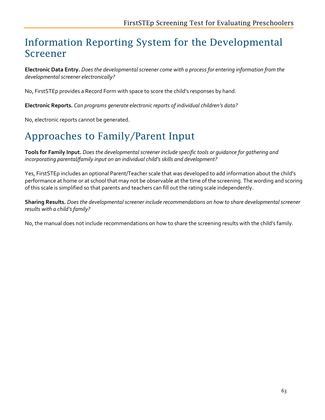# Information Reporting System for the Developmental Screener

**Electronic Data Entry.** *Does the developmental screener come with a process for entering information from the developmental screener electronically?*

No, FirstSTEp provides a Record Form with space to score the child's responses by hand.

**Electronic Reports.** *Can programs generate electronic reports of individual children's data?* 

No, electronic reports cannot be generated.

# Approaches to Family/Parent Input

**Tools for Family Input.** *Does the developmental screener include specific tools or guidance for gathering and incorporating parental/family input on an individual child's skills and development?*

Yes, FirstSTEp includes an optional Parent/Teacher scale that was developed to add information about the child's performance at home or at school that may not be observable at the time of the screening. The wording and scoring of this scale is simplified so that parents and teachers can fill out the rating scale independently.

**Sharing Results.** *Does the developmental screener include recommendations on how to share developmental screener results with a child's family?*

No, the manual does not include recommendations on how to share the screening results with the child's family.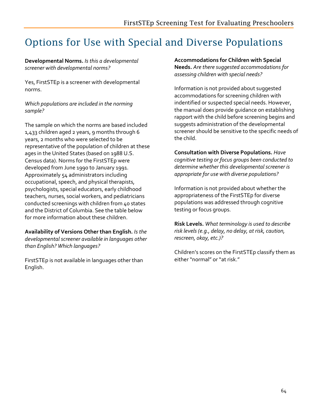# Options for Use with Special and Diverse Populations

#### **Developmental Norms.** *Is this a developmental screener with developmental norms?*

Yes, FirstSTEp is a screener with developmental norms.

#### *Which populations are included in the norming sample?*

The sample on which the norms are based included 1,433 children aged 2 years, 9 months through 6 years, 2 months who were selected to be representative of the population of children at these ages in the United States (based on 1988 U.S. Census data). Norms for the FirstSTEp were developed from June 1990 to January 1991. Approximately 54 administrators including occupational, speech, and physical therapists, psychologists, special educators, early childhood teachers, nurses, social workers, and pediatricians conducted screenings with children from 40 states and the District of Columbia. See the table below for more information about these children.

**Availability of Versions Other than English.** *Is the developmental screener available in languages other than English? Which languages?* 

FirstSTEp is not available in languages other than English.

**Accommodations for Children with Special Needs.** *Are there suggested accommodations for assessing children with special needs?* 

Information is not provided about suggested accommodations for screening children with indentified or suspected special needs. However, the manual does provide guidance on establishing rapport with the child before screening begins and suggests administration of the developmental screener should be sensitive to the specific needs of the child.

### **Consultation with Diverse Populations.** *Have cognitive testing or focus groups been conducted to determine whether this developmental screener is*

Information is not provided about whether the appropriateness of the FirstSTEp for diverse populations was addressed through cognitive testing or focus groups.

*appropriate for use with diverse populations?* 

**Risk Levels.** *What terminology is used to describe risk levels (e.g., delay, no delay, at risk, caution, rescreen, okay, etc.)?*

Children's scores on the FirstSTEp classify them as either "normal" or "at risk."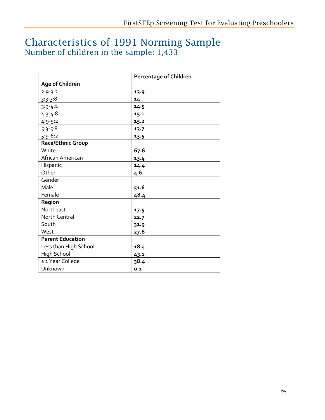### Characteristics of 1991 Norming Sample Number of children in the sample: 1,433

|                         | <b>Percentage of Children</b> |  |
|-------------------------|-------------------------------|--|
| Age of Children         |                               |  |
| $2:9-3:2$               | 13.9                          |  |
| $3:3-3:8$               | 14                            |  |
| $3:9-4:2$               | 14.5                          |  |
| $4:3 - 4:8$             | 15.1                          |  |
| $4:9-5:2$               | 15.2                          |  |
| $5:3-5:8$               | 13.7                          |  |
| $5:9-6:2$               | 13.5                          |  |
| Race/Ethnic Group       |                               |  |
| White                   | 67.6                          |  |
| African American        | 13.4                          |  |
| Hispanic                | 14.4                          |  |
| Other                   | 4.6                           |  |
| Gender                  |                               |  |
| Male                    | 51.6                          |  |
| Female                  | 48.4                          |  |
| Region                  |                               |  |
| Northeast               | 17.5                          |  |
| North Central           | 22.7                          |  |
| South                   | 31.9                          |  |
| West                    | 27.8                          |  |
| <b>Parent Education</b> |                               |  |
| Less than High School   | 18.4                          |  |
| <b>High School</b>      | 43.1                          |  |
| ≥ 1 Year College        | 38.4                          |  |
| Unknown                 | 0.1                           |  |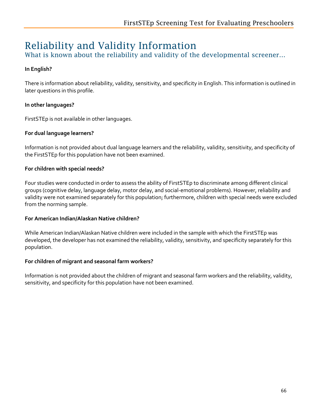# Reliability and Validity Information

What is known about the reliability and validity of the developmental screener...

### **In English?**

There is information about reliability, validity, sensitivity, and specificity in English. This information is outlined in later questions in this profile.

### **In other languages?**

FirstSTEp is not available in other languages.

### **For dual language learners?**

Information is not provided about dual language learners and the reliability, validity, sensitivity, and specificity of the FirstSTEp for this population have not been examined.

#### **For children with special needs?**

Four studies were conducted in order to assess the ability of FirstSTEp to discriminate among different clinical groups (cognitive delay, language delay, motor delay, and social-emotional problems). However, reliability and validity were not examined separately for this population; furthermore, children with special needs were excluded from the norming sample.

#### **For American Indian/Alaskan Native children?**

While American Indian/Alaskan Native children were included in the sample with which the FirstSTEp was developed, the developer has not examined the reliability, validity, sensitivity, and specificity separately for this population.

### **For children of migrant and seasonal farm workers?**

Information is not provided about the children of migrant and seasonal farm workers and the reliability, validity, sensitivity, and specificity for this population have not been examined.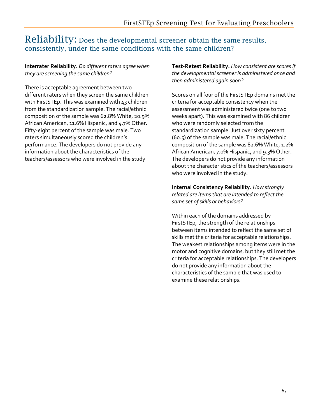### Reliability: Does the developmental screener obtain the same results, consistently, under the same conditions with the same children?

#### **Interrater Reliability.** *Do different raters agree when they are screening the same children?*

There is acceptable agreement between two different raters when they screen the same children with FirstSTEp. This was examined with 43 children from the standardization sample. The racial/ethnic composition of the sample was 62.8% White, 20.9% African American, 11.6% Hispanic, and 4.7% Other. Fifty-eight percent of the sample was male. Two raters simultaneously scored the children's performance. The developers do not provide any information about the characteristics of the teachers/assessors who were involved in the study.

**Test-Retest Reliability.** *How consistent are scores if the developmental screener is administered once and then administered again soon?* 

Scores on all four of the FirstSTEp domains met the criteria for acceptable consistency when the assessment was administered twice (one to two weeks apart). This was examined with 86 children who were randomly selected from the standardization sample. Just over sixty percent (60.5) of the sample was male. The racial/ethnic composition of the sample was 82.6% White, 1.2% African American, 7.0% Hispanic, and 9.3% Other. The developers do not provide any information about the characteristics of the teachers/assessors who were involved in the study.

**Internal Consistency Reliability.** *How strongly related are items that are intended to reflect the same set of skills or behaviors?* 

Within each of the domains addressed by FirstSTEp, the strength of the relationships between items intended to reflect the same set of skills met the criteria for acceptable relationships. The weakest relationships among items were in the motor and cognitive domains, but they still met the criteria for acceptable relationships. The developers do not provide any information about the characteristics of the sample that was used to examine these relationships.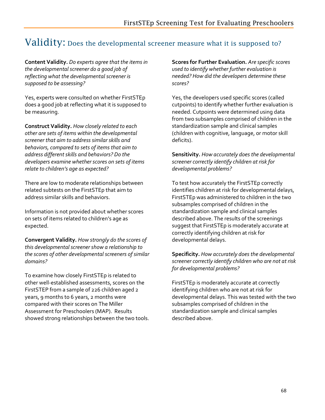### Validity: Does the developmental screener measure what it is supposed to?

**Content Validity.** *Do experts agree that the items in the developmental screener do a good job of reflecting what the developmental screener is supposed to be assessing?*

Yes, experts were consulted on whether FirstSTEp does a good job at reflecting what it is supposed to be measuring.

**Construct Validity.** *How closely related to each other are sets of items within the developmental screener that aim to address similar skills and behaviors, compared to sets of items that aim to address different skills and behaviors? Do the developers examine whether scores on sets of items relate to children's age as expected?* 

There are low to moderate relationships between related subtests on the FirstSTEp that aim to address similar skills and behaviors.

Information is not provided about whether scores on sets of items related to children's age as expected.

**Convergent Validity.** *How strongly do the scores of this developmental screener show a relationship to the scores of other developmental screeners of similar domains?* 

To examine how closely FirstSTEp is related to other well-established assessments, scores on the FirstSTEP from a sample of 226 children aged 2 years, 9 months to 6 years, 2 months were compared with their scores on The Miller Assessment for Preschoolers (MAP). Results showed strong relationships between the two tools. **Scores for Further Evaluation.** *Are specific scores used to identify whether further evaluation is needed? How did the developers determine these scores?*

Yes, the developers used specific scores (called cutpoints) to identify whether further evaluation is needed. Cutpoints were determined using data from two subsamples comprised of children in the standardization sample and clinical samples (children with cognitive, language, or motor skill deficits).

**Sensitivity.** *How accurately does the developmental screener correctly identify children at risk for developmental problems?* 

To test how accurately the FirstSTEp correctly identifies children at risk for developmental delays, FirstSTEp was administered to children in the two subsamples comprised of children in the standardization sample and clinical samples described above. The results of the screenings suggest that FirstSTEp is moderately accurate at correctly identifying children at risk for developmental delays.

**Specificity.** *How accurately does the developmental screener correctly identify children who are not at risk for developmental problems?* 

FirstSTEp is moderately accurate at correctly identifying children who are not at risk for developmental delays. This was tested with the two subsamples comprised of children in the standardization sample and clinical samples described above.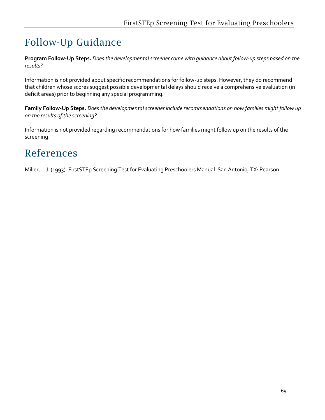# Follow-Up Guidance

**Program Follow-Up Steps.** *Does the developmental screener come with guidance about follow-up steps based on the results?* 

Information is not provided about specific recommendations for follow-up steps. However, they do recommend that children whose scores suggest possible developmental delays should receive a comprehensive evaluation (in deficit areas) prior to beginning any special programming.

**Family Follow-Up Steps.** *Does the developmental screener include recommendations on how families might follow up on the results of the screening?*

Information is not provided regarding recommendations for how families might follow up on the results of the screening.

## References

Miller, L.J. (1993). FirstSTEp Screening Test for Evaluating Preschoolers Manual. San Antonio, TX: Pearson.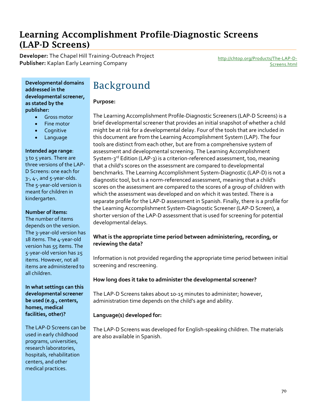### Learning Accomplishment Profile-Diagnostic Screens (LAP-D Screens)

**Developer:** The Chapel Hill Training-Outreach Project **Publisher:** Kaplan Early Learning Company [http://chtop.org/Products/The-LAP-D-](http://chtop.org/Products/The-LAP-D-Screens.html)

[Screens.html](http://chtop.org/Products/The-LAP-D-Screens.html)

**Developmental domains addressed in the developmental screener, as stated by the publisher:**

- Gross motor
- Fine motor
- **Cognitive**
- **Language**

#### **Intended age range**:

3 to 5 years. There are three versions of the LAP-D Screens: one each for 3-, 4-, and 5-year-olds. The 5-year-old version is meant for children in kindergarten.

#### **Number of items:**

The number of items depends on the version. The 3-year-old version has 18 items. The 4-year-old version has 55 items. The 5-year-old version has 25 items. However, not all items are administered to all children.

**In what settings can this developmental screener be used (e.g., centers, homes, medical facilities, other)?**

The LAP-D Screens can be used in early childhood programs, universities, research laboratories, hospitals, rehabilitation centers, and other medical practices.

# Background

#### **Purpose:**

The Learning Accomplishment Profile-Diagnostic Screeners (LAP-D Screens) is a brief developmental screener that provides an initial snapshot of whether a child might be at risk for a developmental delay. Four of the tools that are included in this document are from the Learning Accomplishment System (LAP). The four tools are distinct from each other, but are from a comprehensive system of assessment and developmental screening. The Learning Accomplishment System-3<sup>rd</sup> Edition (LAP-3) is a criterion-referenced assessment, too, meaning that a child's scores on the assessment are compared to developmental benchmarks. The Learning Accomplishment System-Diagnostic (LAP-D) is not a diagnostic tool, but is a norm-referenced assessment, meaning that a child's scores on the assessment are compared to the scores of a group of children with which the assessment was developed and on which it was tested. There is a separate profile for the LAP-D assessment in Spanish. Finally, there is a profile for the Learning Accomplishment System-Diagnostic Screener (LAP-D Screen), a shorter version of the LAP-D assessment that is used for screening for potential developmental delays.

#### **What is the appropriate time period between administering, recording, or reviewing the data?**

Information is not provided regarding the appropriate time period between initial screening and rescreening.

#### **How long does it take to administer the developmental screener?**

The LAP-D Screens takes about 10-15 minutes to administer; however, administration time depends on the child's age and ability.

#### **Language(s) developed for:**

The LAP-D Screens was developed for English-speaking children. The materials are also available in Spanish.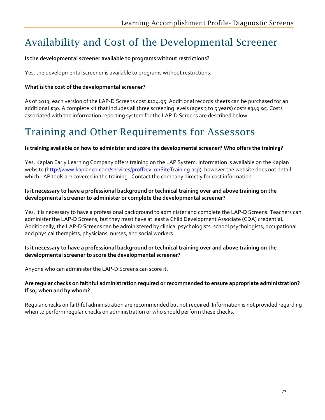# Availability and Cost of the Developmental Screener

#### **Is the developmental screener available to programs without restrictions?**

Yes, the developmental screener is available to programs without restrictions.

#### **What is the cost of the developmental screener?**

As of 2013, each version of the LAP-D Screens cost \$124.95. Additional records sheets can be purchased for an additional \$30. A complete kit that includes all three screening levels (ages 3 to 5 years) costs \$349.95. Costs associated with the information reporting system for the LAP-D Screens are described below.

### Training and Other Requirements for Assessors

#### **Is training available on how to administer and score the developmental screener? Who offers the training?**

Yes, Kaplan Early Learning Company offers training on the LAP System. Information is available on the Kaplan website [\(http://www.kaplanco.com/services/profDev\\_onSiteTraining.asp\)](http://www.kaplanco.com/services/profDev_onSiteTraining.asp), however the website does not detail which LAP tools are covered in the training. Contact the company directly for cost information.

#### **Is it necessary to have a professional background or technical training over and above training on the developmental screener to administer or complete the developmental screener?**

Yes, it is necessary to have a professional background to administer and complete the LAP-D Screens. Teachers can administer the LAP-D Screens, but they must have at least a Child Development Associate (CDA) credential. Additionally, the LAP-D Screens can be administered by clinical psychologists, school psychologists, occupational and physical therapists, physicians, nurses, and social workers.

#### **Is it necessary to have a professional background or technical training over and above training on the developmental screener to score the developmental screener?**

Anyone who can administer the LAP-D Screens can score it.

#### **Are regular checks on faithful administration required or recommended to ensure appropriate administration? If so, when and by whom?**

Regular checks on faithful administration are recommended but not required. Information is not provided regarding when to perform regular checks on administration or who should perform these checks.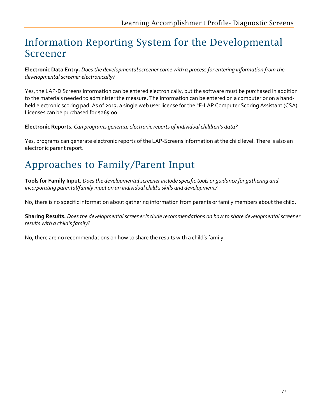### Information Reporting System for the Developmental Screener

**Electronic Data Entry.** *Does the developmental screener come with a process for entering information from the developmental screener electronically?*

Yes, the LAP-D Screens information can be entered electronically, but the software must be purchased in addition to the materials needed to administer the measure. The information can be entered on a computer or on a handheld electronic scoring pad. As of 2013, a single web user license for the "E-LAP Computer Scoring Assistant (CSA) Licenses can be purchased for \$265.00

**Electronic Reports.** *Can programs generate electronic reports of individual children's data?* 

Yes, programs can generate electronic reports of the LAP-Screens information at the child level. There is also an electronic parent report.

# Approaches to Family/Parent Input

**Tools for Family Input.** *Does the developmental screener include specific tools or guidance for gathering and incorporating parental/family input on an individual child's skills and development?*

No, there is no specific information about gathering information from parents or family members about the child.

**Sharing Results.** *Does the developmental screener include recommendations on how to share developmental screener results with a child's family?*

No, there are no recommendations on how to share the results with a child's family.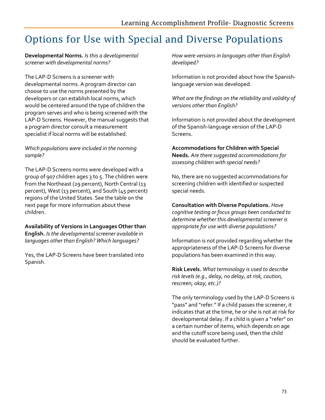# Options for Use with Special and Diverse Populations

**Developmental Norms.** *Is this a developmental screener with developmental norms?* 

The LAP-D Screens is a screener with developmental norms. A program director can choose to use the norms presented by the developers or can establish local norms, which would be centered around the type of children the program serves and who is being screened with the LAP-D Screens. However, the manual suggests that a program director consult a measurement specialist if local norms will be established.

#### *Which populations were included in the norming sample?*

The LAP-D Screens norms were developed with a group of 907 children ages 3 to 5. The children were from the Northeast (29 percent), North Central (13 percent), West (13 percent), and South (45 percent) regions of the United States. See the table on the next page for more information about these children.

**Availability of Versions in Languages Other than English.** *Is the developmental screener available in languages other than English? Which languages?* 

Yes, the LAP-D Screens have been translated into Spanish.

*How were versions in languages other than English developed?*

Information is not provided about how the Spanishlanguage version was developed.

*What are the findings on the reliability and validity of versions other than English?*

Information is not provided about the development of the Spanish-language version of the LAP-D Screens.

**Accommodations for Children with Special Needs.** *Are there suggested accommodations for assessing children with special needs?* 

No, there are no suggested accommodations for screening children with identified or suspected special needs.

**Consultation with Diverse Populations.** *Have cognitive testing or focus groups been conducted to determine whether this developmental screener is appropriate for use with diverse populations?* 

Information is not provided regarding whether the appropriateness of the LAP-D Screens for diverse populations has been examined in this way.

**Risk Levels.** *What terminology is used to describe risk levels (e.g., delay, no delay, at risk, caution, rescreen, okay, etc.)?*

The only terminology used by the LAP-D Screens is "pass" and "refer." If a child passes the screener, it indicates that at the time, he or she is not at risk for developmental delay. If a child is given a "refer" on a certain number of items, which depends on age and the cutoff score being used, then the child should be evaluated further.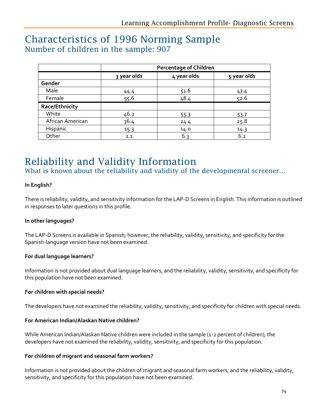### Characteristics of 1996 Norming Sample Number of children in the sample: 907

|                  | <b>Percentage of Children</b> |             |             |
|------------------|-------------------------------|-------------|-------------|
|                  | 3 year olds                   | 4 year olds | 5 year olds |
| Gender           |                               |             |             |
| Male             | 44.4                          | 51.6        | 47.4        |
| Female           | 55.6                          | 48.4        | 52.6        |
| Race/Ethnicity   |                               |             |             |
| White            | 46.2                          | 55.3        | 53.7        |
| African American | 36.4                          | 24.4        | 25.8        |
| Hispanic         | 15.3                          | 14.0        | 14.3        |
| Other            | 2.1                           | 6.3         | 6.2         |

### Reliability and Validity Information

What is known about the reliability and validity of the developmental screener...

#### **In English?**

There is reliability, validity, and sensitivity information for the LAP-D Screens in English. This information is outlined in responses to later questions in this profile.

#### **In other languages?**

The LAP-D Screens is available in Spanish; however, the reliability, validity, sensitivity, and specificity for the Spanish-language version have not been examined.

#### **For dual language learners?**

Information is not provided about dual language learners, and the reliability, validity, sensitivity, and specificity for this population have not been examined.

#### **For children with special needs?**

The developers have not examined the reliability, validity, sensitivity, and specificity for children with special needs.

#### **For American Indian/Alaskan Native children?**

While American Indian/Alaskan Native children were included in the sample (1-2 percent of children), the developers have not examined the reliability, validity, sensitivity, and specificity for this population.

#### **For children of migrant and seasonal farm workers?**

Information is not provided about the children of migrant and seasonal farm workers, and the reliability, validity, sensitivity, and specificity for this population have not been examined.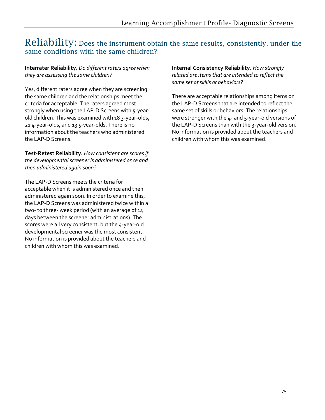### Reliability: Does the instrument obtain the same results, consistently, under the same conditions with the same children?

#### **Interrater Reliability.** *Do different raters agree when they are assessing the same children?*

Yes, different raters agree when they are screening the same children and the relationships meet the criteria for acceptable. The raters agreed most strongly when using the LAP-D Screens with 5-yearold children. This was examined with 18 3-year-olds, 21 4-year-olds, and 13 5-year-olds. There is no information about the teachers who administered the LAP-D Screens.

**Test-Retest Reliability.** *How consistent are scores if the developmental screener is administered once and then administered again soon?* 

The LAP-D Screens meets the criteria for acceptable when it is administered once and then administered again soon. In order to examine this, the LAP-D Screens was administered twice within a two- to three- week period (with an average of 14 days between the screener administrations). The scores were all very consistent, but the 4-year-old developmental screener was the most consistent. No information is provided about the teachers and children with whom this was examined.

**Internal Consistency Reliability.** *How strongly related are items that are intended to reflect the same set of skills or behaviors?* 

There are acceptable relationships among items on the LAP-D Screens that are intended to reflect the same set of skills or behaviors. The relationships were stronger with the 4- and 5-year-old versions of the LAP-D Screens than with the 3-year-old version. No information is provided about the teachers and children with whom this was examined.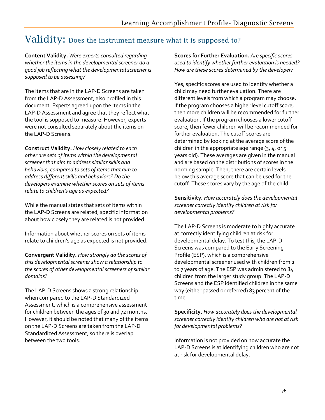### Validity: Does the instrument measure what it is supposed to?

**Content Validity.** *Were experts consulted regarding whether the items in the developmental screener do a good job reflecting what the developmental screener is supposed to be assessing?*

The items that are in the LAP-D Screens are taken from the LAP-D Assessment, also profiled in this document. Experts agreed upon the items in the LAP-D Assessment and agree that they reflect what the tool is supposed to measure. However, experts were not consulted separately about the items on the LAP-D Screens.

**Construct Validity.** *How closely related to each other are sets of items within the developmental screener that aim to address similar skills and behaviors, compared to sets of items that aim to address different skills and behaviors? Do the developers examine whether scores on sets of items relate to children's age as expected?* 

While the manual states that sets of items within the LAP-D Screens are related, specific information about how closely they are related is not provided.

Information about whether scores on sets of items relate to children's age as expected is not provided.

**Convergent Validity.** *How strongly do the scores of this developmental screener show a relationship to the scores of other developmental screeners of similar domains?* 

The LAP-D Screens shows a strong relationship when compared to the LAP-D Standardized Assessment, which is a comprehensive assessment for children between the ages of 30 and 72 months. However, it should be noted that many of the items on the LAP-D Screens are taken from the LAP-D Standardized Assessment, so there is overlap between the two tools.

**Scores for Further Evaluation.** *Are specific scores used to identify whether further evaluation is needed? How are these scores determined by the developer?*

Yes, specific scores are used to identify whether a child may need further evaluation. There are different levels from which a program may choose. If the program chooses a higher level cutoff score, then more children will be recommended for further evaluation. If the program chooses a lower cutoff score, then fewer children will be recommended for further evaluation. The cutoff scores are determined by looking at the average score of the children in the appropriate age range  $(3, 4, 0.5)$ years old). These averages are given in the manual and are based on the distributions of scores in the norming sample. Then, there are certain levels below this average score that can be used for the cutoff. These scores vary by the age of the child.

**Sensitivity.** *How accurately does the developmental screener correctly identify children at risk for developmental problems?* 

The LAP-D Screens is moderate to highly accurate at correctly identifying children at risk for developmental delay. To test this, the LAP-D Screens was compared to the Early Screening Profile (ESP), which is a comprehensive developmental screener used with children from 2 to 7 years of age. The ESP was administered to 84 children from the larger study group. The LAP-D Screens and the ESP identified children in the same way (either passed or referred) 83 percent of the time.

**Specificity.** *How accurately does the developmental screener correctly identify children who are not at risk for developmental problems?* 

Information is not provided on how accurate the LAP-D Screens is at identifying children who are not at risk for developmental delay.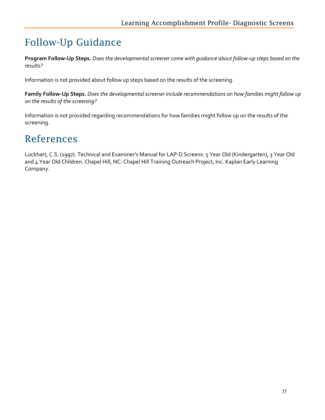# Follow-Up Guidance

**Program Follow-Up Steps.** *Does the developmental screener come with guidance about follow-up steps based on the results?* 

Information is not provided about follow up steps based on the results of the screening.

**Family Follow-Up Steps.** *Does the developmental screener include recommendations on how families might follow up on the results of the screening?*

Information is not provided regarding recommendations for how families might follow up on the results of the screening.

### References

Lockhart, C.S. (1997). Technical and Examiner's Manual for LAP-D Screens: 5 Year Old (Kindergarten), 3 Year Old and 4 Year Old Children. Chapel Hill, NC: Chapel Hill Training Outreach Project, Inc. Kaplan Early Learning Company.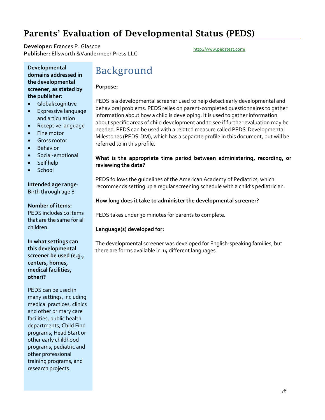### Parents' Evaluation of Developmental Status (PEDS)

**Developer:** Frances P. Glascoe **Publisher:** Flances F. Glascoe<br>**Publisher:** Ellsworth &Vandermeer Press LLC <http://www.pedstest.com/>

**Developmental domains addressed in the developmental screener, as stated by the publisher:**

- Global/cognitive
- Expressive language and articulation
- Receptive language
- Fine motor
- **Gross motor**
- Behavior
- Social-emotional
- Self help
- School

#### **Intended age range**: Birth through age 8

#### **Number of items:**

PEDS includes 10 items that are the same for all children.

**In what settings can this developmental screener be used (e.g., centers, homes, medical facilities, other)?**

PEDS can be used in many settings, including medical practices, clinics and other primary care facilities, public health departments, Child Find programs, Head Start or other early childhood programs, pediatric and other professional training programs, and research projects.

### Background

#### **Purpose:**

PEDS is a developmental screener used to help detect early developmental and behavioral problems. PEDS relies on parent-completed questionnaires to gather information about how a child is developing. It is used to gather information about specific areas of child development and to see if further evaluation may be needed. PEDS can be used with a related measure called PEDS-Developmental Milestones (PEDS-DM), which has a separate profile in this document, but will be referred to in this profile.

#### **What is the appropriate time period between administering, recording, or reviewing the data?**

PEDS follows the guidelines of the American Academy of Pediatrics, which recommends setting up a regular screening schedule with a child's pediatrician.

#### **How long does it take to administer the developmental screener?**

PEDS takes under 30 minutes for parents to complete.

#### **Language(s) developed for:**

The developmental screener was developed for English-speaking families, but there are forms available in 14 different languages.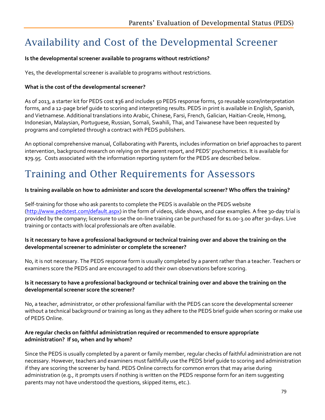# Availability and Cost of the Developmental Screener

#### **Is the developmental screener available to programs without restrictions?**

Yes, the developmental screener is available to programs without restrictions.

#### **What is the cost of the developmental screener?**

As of 2013, a starter kit for PEDS cost \$36 and includes 50 PEDS response forms, 50 reusable score/interpretation forms, and a 12-page brief guide to scoring and interpreting results. PEDS in print is available in English, Spanish, and Vietnamese. Additional translations into Arabic, Chinese, Farsi, French, Galician, Haitian-Creole, Hmong, Indonesian, Malaysian, Portuguese, Russian, Somali, Swahili, Thai, and Taiwanese have been requested by programs and completed through a contract with PEDS publishers.

An optional comprehensive manual, Collaborating with Parents, includes information on brief approaches to parent intervention, background research on relying on the parent report, and PEDS' psychometrics. It is available for \$79.95. Costs associated with the information reporting system for the PEDS are described below.

### Training and Other Requirements for Assessors

#### **Is training available on how to administer and score the developmental screener? Who offers the training?**

Self-training for those who ask parents to complete the PEDS is available on the PEDS website [\(http://www.pedstest.com/default.aspx\)](http://www.pedstest.com/default.aspx) in the form of videos, slide shows, and case examples. A free 30-day trial is provided by the company; licensure to use the on-line training can be purchased for \$1.00-3.00 after 30-days. Live training or contacts with local professionals are often available.

#### **Is it necessary to have a professional background or technical training over and above the training on the developmental screener to administer or complete the screener?**

No, it is not necessary. The PEDS response form is usually completed by a parent rather than a teacher. Teachers or examiners score the PEDS and are encouraged to add their own observations before scoring.

#### **Is it necessary to have a professional background or technical training over and above the training on the developmental screener score the screener?**

No, a teacher, administrator, or other professional familiar with the PEDS can score the developmental screener without a technical background or training as long as they adhere to the PEDS brief guide when scoring or make use of PEDS Online.

#### **Are regular checks on faithful administration required or recommended to ensure appropriate administration? If so, when and by whom?**

Since the PEDS is usually completed by a parent or family member, regular checks of faithful administration are not necessary. However, teachers and examiners must faithfully use the PEDS brief guide to scoring and administration if they are scoring the screener by hand. PEDS Online corrects for common errors that may arise during administration (e.g., it prompts users if nothing is written on the PEDS response form for an item suggesting parents may not have understood the questions, skipped items, etc.).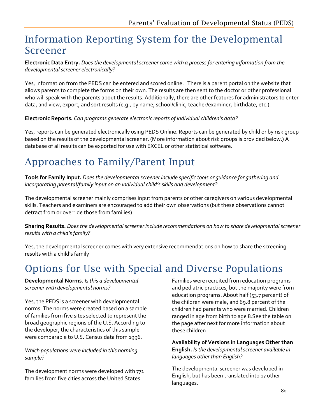### Information Reporting System for the Developmental Screener

**Electronic Data Entry.** *Does the developmental screener come with a process for entering information from the developmental screener electronically?*

Yes, information from the PEDS can be entered and scored online. There is a parent portal on the website that allows parents to complete the forms on their own. The results are then sent to the doctor or other professional who will speak with the parents about the results. Additionally, there are other features for administrators to enter data, and view, export, and sort results (e.g., by name, school/clinic, teacher/examiner, birthdate, etc.).

**Electronic Reports.** *Can programs generate electronic reports of individual children's data?*

Yes, reports can be generated electronically using PEDS Online. Reports can be generated by child or by risk group based on the results of the developmental screener. (More information about risk groups is provided below.) A database of all results can be exported for use with EXCEL or other statistical software.

# Approaches to Family/Parent Input

**Tools for Family Input.** *Does the developmental screener include specific tools or guidance for gathering and incorporating parental/family input on an individual child's skills and development?*

The developmental screener mainly comprises input from parents or other caregivers on various developmental skills. Teachers and examiners are encouraged to add their own observations (but these observations cannot detract from or override those from families).

**Sharing Results.** *Does the developmental screener include recommendations on how to share developmental screener results with a child's family?*

Yes, the developmental screener comes with very extensive recommendations on how to share the screening results with a child's family.

# Options for Use with Special and Diverse Populations

**Developmental Norms.** *Is this a developmental screener with developmental norms?* 

Yes, the PEDS is a screener with developmental norms. The norms were created based on a sample of families from five sites selected to represent the broad geographic regions of the U.S. According to the developer, the characteristics of this sample were comparable to U.S. Census data from 1996.

*Which populations were included in this norming sample?* 

The development norms were developed with 771 families from five cities across the United States.

Families were recruited from education programs and pediatric practices, but the majority were from education programs. About half (53.7 percent) of the children were male, and 69.8 percent of the children had parents who were married. Children ranged in age from birth to age 8.See the table on the page after next for more information about these children.

**Availability of Versions in Languages Other than English.** *Is the developmental screener available in languages other than English?* 

The developmental screener was developed in English, but has been translated into 17 other languages.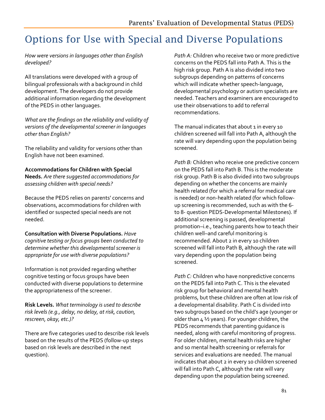# Options for Use with Special and Diverse Populations

*How were versions in languages other than English developed?*

All translations were developed with a group of bilingual professionals with a background in child development. The developers do not provide additional information regarding the development of the PEDS in other languages.

*What are the findings on the reliability and validity of versions of the developmental screener in languages other than English?*

The reliability and validity for versions other than English have not been examined.

**Accommodations for Children with Special Needs.** *Are there suggested accommodations for assessing children with special needs?* 

Because the PEDS relies on parents' concerns and observations, accommodations for children with identified or suspected special needs are not needed.

**Consultation with Diverse Populations.** *Have cognitive testing or focus groups been conducted to determine whether this developmental screener is appropriate for use with diverse populations?* 

Information is not provided regarding whether cognitive testing or focus groups have been conducted with diverse populations to determine the appropriateness of the screener.

**Risk Levels.** *What terminology is used to describe risk levels (e.g., delay, no delay, at risk, caution, rescreen, okay, etc.)?*

There are five categories used to describe risk levels based on the results of the PEDS (follow-up steps based on risk levels are described in the next question).

*Path A:* Children who receive two or more predictive concerns on the PEDS fall into Path A. This is the high risk group. Path A is also divided into two subgroups depending on patterns of concerns which will indicate whether speech-language, developmental psychology or autism specialists are needed. Teachers and examiners are encouraged to use their observations to add to referral recommendations.

The manual indicates that about 1 in every 10 children screened will fall into Path A, although the rate will vary depending upon the population being screened.

*Path B:* Children who receive one predictive concern on the PEDS fall into Path B. This is the moderate risk group. Path B is also divided into two subgroups depending on whether the concerns are mainly health related (for which a referral for medical care is needed) or non-health related (for which followup screening is recommended, such as with the 6 to 8- question PEDS-Developmental Milestones). If additional screening is passed, developmental promotion–i.e., teaching parents how to teach their children well–and careful monitoring is recommended. About 2 in every 10 children screened will fall into Path B, although the rate will vary depending upon the population being screened.

*Path C:* Children who have nonpredictive concerns on the PEDS fall into Path C. This is the elevated risk group for behavioral and mental health problems, but these children are often at low risk of a developmental disability. Path C is divided into two subgroups based on the child's age (younger or older than  $4\frac{1}{2}$  years). For younger children, the PEDS recommends that parenting guidance is needed, along with careful monitoring of progress. For older children, mental health risks are higher and so mental health screening or referrals for services and evaluations are needed. The manual indicates that about 2 in every 10 children screened will fall into Path C, although the rate will vary depending upon the population being screened.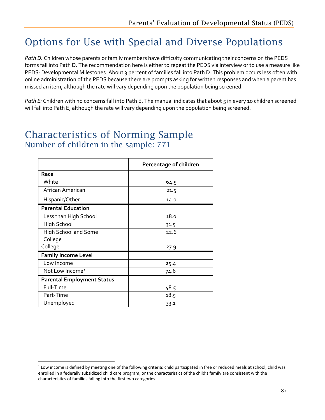### Options for Use with Special and Diverse Populations

*Path D:* Children whose parents or family members have difficulty communicating their concerns on the PEDS forms fall into Path D. The recommendation here is either to repeat the PEDS via interview or to use a measure like PEDS: Developmental Milestones. About 3 percent of families fall into Path D. This problem occurs less often with online administration of the PEDS because there are prompts asking for written responses and when a parent has missed an item, although the rate will vary depending upon the population being screened.

Path E: Children with no concerns fall into Path E. The manual indicates that about 5 in every 10 children screened will fall into Path E, although the rate will vary depending upon the population being screened.

### Characteristics of Norming Sample Number of children in the sample: 771

|                                   | Percentage of children |  |
|-----------------------------------|------------------------|--|
| Race                              |                        |  |
| White                             | 64.5                   |  |
| African American                  | 21.5                   |  |
| Hispanic/Other                    | 14.0                   |  |
| <b>Parental Education</b>         |                        |  |
| Less than High School             | 18.0                   |  |
| High School                       | 31.5                   |  |
| <b>High School and Some</b>       | 22.6                   |  |
| College                           |                        |  |
| College                           | 27.9                   |  |
| <b>Family Income Level</b>        |                        |  |
| Low Income                        | 25.4                   |  |
| Not Low Income <sup>1</sup>       | 74.6                   |  |
| <b>Parental Employment Status</b> |                        |  |
| Full-Time                         | 48.5                   |  |
| Part-Time                         | 18.5                   |  |
| Unemployed                        | 33.1                   |  |

<span id="page-84-0"></span> $1$  Low income is defined by meeting one of the following criteria: child participated in free or reduced meals at school, child was enrolled in a federally subsidized child care program, or the characteristics of the child's family are consistent with the characteristics of families falling into the first two categories.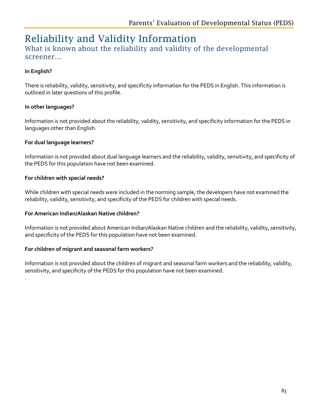### Reliability and Validity Information

#### What is known about the reliability and validity of the developmental screener…

#### **In English?**

.

There is reliability, validity, sensitivity, and specificity information for the PEDS in English. This information is outlined in later questions of this profile.

#### **In other languages?**

Information is not provided about the reliability, validity, sensitivity, and specificity information for the PEDS in languages other than English.

#### **For dual language learners?**

Information is not provided about dual language learners and the reliability, validity, sensitivity, and specificity of the PEDS for this population have not been examined.

#### **For children with special needs?**

While children with special needs were included in the norming sample, the developers have not examined the reliability, validity, sensitivity, and specificity of the PEDS for children with special needs.

#### **For American Indian/Alaskan Native children?**

Information is not provided about American Indian/Alaskan Native children and the reliability, validity, sensitivity, and specificity of the PEDS for this population have not been examined.

#### **For children of migrant and seasonal farm workers?**

Information is not provided about the children of migrant and seasonal farm workers and the reliability, validity, sensitivity, and specificity of the PEDS for this population have not been examined.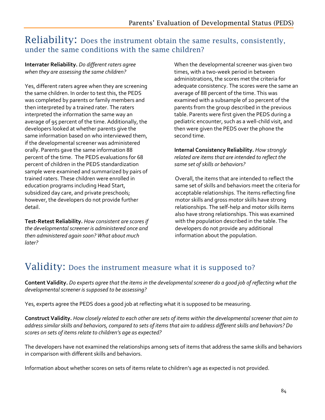### Reliability: Does the instrument obtain the same results, consistently, under the same conditions with the same children?

**Interrater Reliability.** *Do different raters agree when they are assessing the same children?*

Yes, different raters agree when they are screening the same children. In order to test this, the PEDS was completed by parents or family members and then interpreted by a trained rater. The raters interpreted the information the same way an average of 95 percent of the time. Additionally, the developers looked at whether parents give the same information based on who interviewed them, if the developmental screener was administered orally. Parents gave the same information 88 percent of the time. The PEDS evaluations for 68 percent of children in the PEDS standardization sample were examined and summarized by pairs of trained raters. These children were enrolled in education programs including Head Start, subsidized day care, and private preschools; however, the developers do not provide further detail.

**Test-Retest Reliability.** *How consistent are scores if the developmental screener is administered once and then administered again soon? What about much later?*

When the developmental screener was given two times, with a two-week period in between administrations, the scores met the criteria for adequate consistency. The scores were the same an average of 88 percent of the time. This was examined with a subsample of 20 percent of the parents from the group described in the previous table. Parents were first given the PEDS during a pediatric encounter, such as a well-child visit, and then were given the PEDS over the phone the second time.

**Internal Consistency Reliability.** *How strongly related are items that are intended to reflect the same set of skills or behaviors?* 

Overall, the items that are intended to reflect the same set of skills and behaviors meet the criteria for acceptable relationships. The items reflecting fine motor skills and gross motor skills have strong relationships. The self-help and motor skills items also have strong relationships. This was examined with the population described in the table. The developers do not provide any additional information about the population.

### Validity: Does the instrument measure what it is supposed to?

**Content Validity.** *Do experts agree that the items in the developmentalscreener do a good job of reflecting what the developmental screener is supposed to be assessing?*

Yes, experts agree the PEDS does a good job at reflecting what it is supposed to be measuring.

**Construct Validity.** *How closely related to each other are sets of items within the developmental screener that aim to address similar skills and behaviors, compared to sets of items that aim to address different skills and behaviors? Do scores on sets of items relate to children's age as expected?*

The developers have not examined the relationships among sets of items that address the same skills and behaviors in comparison with different skills and behaviors.

Information about whether scores on sets of items relate to children's age as expected is not provided.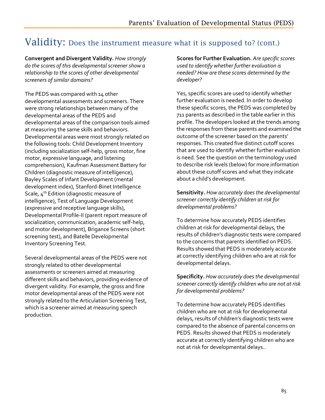### Validity: Does the instrument measure what it is supposed to? (cont.)

**Convergent and Divergent Validity.** *How strongly do the scores of this developmental screener show a relationship to the scores of other developmental screeners of similar domains?* 

The PEDS was compared with 14 other developmental assessments and screeners. There were strong relationships between many of the developmental areas of the PEDS and developmental areas of the comparison tools aimed at measuring the same skills and behaviors. Developmental areas were most strongly related on the following tools: Child Development Inventory (including socialization self-help, gross motor, fine motor, expressive language, and listening comprehension), Kaufman Assessment Battery for Children (diagnostic measure of intelligence), Bayley Scales of Infant Development (mental development index), Stanford-Binet Intelligence Scale, 4<sup>th</sup> Edition (diagnostic measure of intelligence), Test of Language Development (expressive and receptive language skills), Developmental Profile-II (parent report measure of socialization, communication, academic self-help, and motor development), Brigance Screens (short screening test), and Batelle Developmental Inventory Screening Test.

Several developmental areas of the PEDS were not strongly related to other developmental assessments or screeners aimed at measuring different skills and behaviors, providing evidence of divergent validity. For example, the gross and fine motor developmental areas of the PEDS were not strongly related to the Articulation Screening Test, which is a screener aimed at measuring speech production.

**Scores for Further Evaluation.** *Are specific scores used to identify whether further evaluation is needed? How are these scores determined by the developer?*

Yes, specific scores are used to identify whether further evaluation is needed. In order to develop these specific scores, the PEDS was completed by 711 parents as described in the table earlier in this profile. The developers looked at the trends among the responses from these parents and examined the outcome of the screener based on the parents' responses. This created five distinct cutoff scores that are used to identify whether further evaluation is need. See the question on the terminology used to describe risk levels (below) for more information about these cutoff scores and what they indicate about a child's development.

**Sensitivity.** *How accurately does the developmental screener correctly identify children at risk for developmental problems?* 

To determine how accurately PEDS identifies children at risk for developmental delays, the results of children's diagnostic tests were compared to the concerns that parents identified on PEDS. Results showed that PEDS is moderately accurate at correctly identifying children who are at risk for developmental delays.

**Specificity.** *How accurately does the developmental screener correctly identify children who are not at risk for developmental problems?* 

To determine how accurately PEDS identifies children who are not at risk for developmental delays, results of children's diagnostic tests were compared to the absence of parental concerns on PEDS. Results showed that PEDS is moderately accurate at correctly identifying children who are not at risk for developmental delays..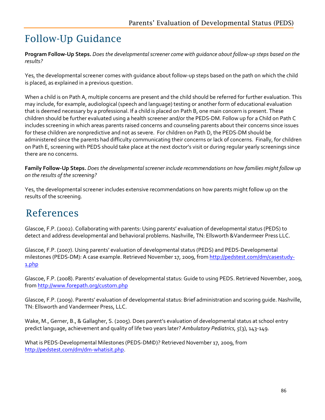# Follow-Up Guidance

**Program Follow-Up Steps.** *Does the developmental screener come with guidance about follow-up steps based on the results?*

Yes, the developmental screener comes with guidance about follow-up steps based on the path on which the child is placed, as explained in a previous question.

When a child is on Path A, multiple concerns are present and the child should be referred for further evaluation. This may include, for example, audiological (speech and language) testing or another form of educational evaluation that is deemed necessary by a professional. If a child is placed on Path B, one main concern is present. These children should be further evaluated using a health screener and/or the PEDS-DM. Follow up for a Child on Path C includes screening in which areas parents raised concerns and counseling parents about their concerns since issues for these children are nonpredictive and not as severe. For children on Path D, the PEDS-DM should be administered since the parents had difficulty communicating their concerns or lack of concerns. Finally, for children on Path E, screening with PEDS should take place at the next doctor's visit or during regular yearly screenings since there are no concerns.

**Family Follow-Up Steps.** *Does the developmental screener include recommendations on how families might follow up on the results of the screening?*

Yes, the developmental screener includes extensive recommendations on how parents might follow up on the results of the screening.

### References

Glascoe, F.P. (2002). Collaborating with parents: Using parents' evaluation of developmental status (PEDS) to detect and address developmental and behavioral problems. Nashville, TN: Ellsworth &Vandermeer Press LLC.

Glascoe, F.P. (2007). Using parents' evaluation of developmental status (PEDS) and PEDS-Developmental milestones (PEDS-DM): A case example. Retrieved November 17, 2009, from [http://pedstest.com/dm/casestudy-](http://pedstest.com/dm/casestudy-1.php)[1.php](http://pedstest.com/dm/casestudy-1.php)

Glascoe, F.P. (2008). Parents' evaluation of developmental status: Guide to using PEDS. Retrieved November, 2009, fro[m http://www.forepath.org/custom.php](http://www.forepath.org/custom.php)

Glascoe, F.P. (2009). Parents' evaluation of developmental status: Brief administration and scoring guide. Nashville, TN: Ellsworth and Vandermeer Press, LLC.

Wake, M., Gerner, B., & Gallagher, S. (2005). Does parent's evaluation of developmental status at school entry predict language, achievement and quality of life two years later? *Ambulatory Pediatrics, 5*(3), 143-149.

What is PEDS-Developmental Milestones (PEDS-DM©)? Retrieved November 17, 2009, from [http://pedstest.com/dm/dm-whatisit.php.](http://pedstest.com/dm/dm-whatisit.php)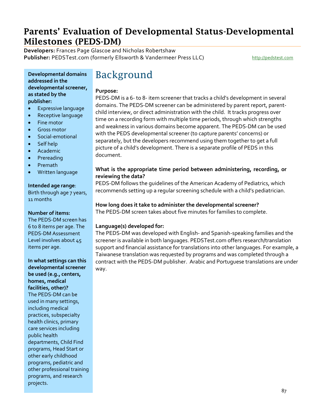### Parents' Evaluation of Developmental Status-Developmental Milestones (PEDS-DM)

**Developers:** Frances Page Glascoe and Nicholas Robertshaw Publisher: PEDSTest.com (formerly Ellsworth & Vandermeer Press LLC) [http://pedstest.com](http://pedstest.com/)

**Developmental domains addressed in the developmental screener, as stated by the publisher:**

- Expressive language
- Receptive language
- Fine motor
- Gross motor
- Social-emotional
- Self help
- Academic
- **Prereading**
- Premath
- Written language

#### **Intended age range**:

Birth through age 7 years, 11 months

#### **Number of items:**

The PEDS-DM screen has 6 to 8 items per age. The PEDS-DM Assessment Level involves about 45 items per age.

**In what settings can this developmental screener be used (e.g., centers, homes, medical facilities, other)?** The PEDS-DM can be used in many settings, including medical practices, subspecialty health clinics, primary care services including public health departments, Child Find programs, Head Start or other early childhood programs, pediatric and other professional training programs, and research projects.

### Background

#### **Purpose:**

PEDS-DM is a 6- to 8- item screener that tracks a child's development in several domains. The PEDS-DM screener can be administered by parent report, parentchild interview, or direct administration with the child. It tracks progress over time on a recording form with multiple time periods, through which strengths and weakness in various domains become apparent. The PEDS-DM can be used with the PEDS developmental screener (to capture parents' concerns) or separately, but the developers recommend using them together to get a full picture of a child's development. There is a separate profile of PEDS in this document.

#### **What is the appropriate time period between administering, recording, or reviewing the data?**

PEDS-DM follows the guidelines of the American Academy of Pediatrics, which recommends setting up a regular screening schedule with a child's pediatrician.

#### **How long does it take to administer the developmental screener?**

The PEDS-DM screen takes about five minutes for families to complete.

#### **Language(s) developed for:**

The PEDS-DM was developed with English- and Spanish-speaking families and the screener is available in both languages. PEDSTest.com offers research/translation support and financial assistance for translations into other languages. For example, a Taiwanese translation was requested by programs and was completed through a contract with the PEDS-DM publisher. Arabic and Portuguese translations are under way.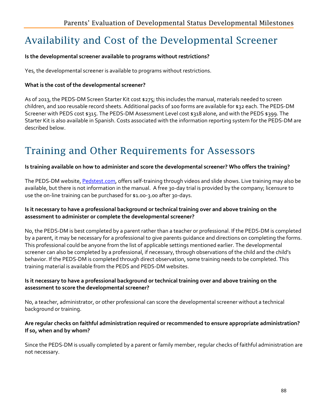### Availability and Cost of the Developmental Screener

#### **Is the developmental screener available to programs without restrictions?**

Yes, the developmental screener is available to programs without restrictions.

#### **What is the cost of the developmental screener?**

As of 2013, the PEDS-DM Screen Starter Kit cost \$275; this includes the manual, materials needed to screen children, and 100 reusable record sheets. Additional packs of 100 forms are available for \$32 each. The PEDS-DM Screener with PEDS cost \$315. The PEDS-DM Assessment Level cost \$318 alone, and with the PEDS \$399. The Starter Kit is also available in Spanish. Costs associated with the information reporting system for the PEDS-DM are described below.

# Training and Other Requirements for Assessors

#### **Is training available on how to administer and score the developmental screener? Who offers the training?**

The PEDS-DM website, Pedstest.com, offers self-training through videos and slide shows. Live training may also be available, but there is n[ot information i](http://www.pedstest.com/)n the manual. A free 30-day trial is provided by the company; licensure to use the on-line training can be purchased for \$1.00-3.00 after 30-days.

#### **Is it necessary to have a professional background or technical training over and above training on the assessment to administer or complete the developmental screener?**

No, the PEDS-DM is best completed by a parent rather than a teacher or professional. If the PEDS-DM is completed by a parent, it may be necessary for a professional to give parents guidance and directions on completing the forms. This professional could be anyone from the list of applicable settings mentioned earlier. The developmental screener can also be completed by a professional, if necessary, through observations of the child and the child's behavior. If the PEDS-DM is completed through direct observation, some training needs to be completed. This training material is available from the PEDS and PEDS-DM websites.

#### **Is it necessary to have a professional background or technical training over and above training on the assessment to score the developmental screener?**

No, a teacher, administrator, or other professional can score the developmental screener without a technical background or training.

#### **Are regular checks on faithful administration required or recommended to ensure appropriate administration? If so, when and by whom?**

Since the PEDS-DM is usually completed by a parent or family member, regular checks of faithful administration are not necessary.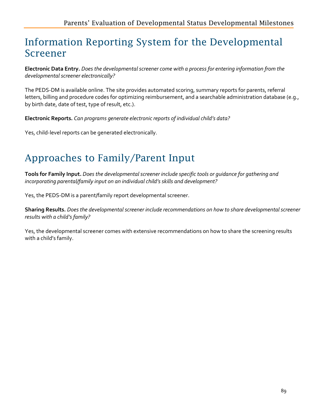### Information Reporting System for the Developmental Screener

**Electronic Data Entry.** *Does the developmental screener come with a process for entering information from the developmental screener electronically?*

The PEDS-DM is available online. The site provides automated scoring, summary reports for parents, referral letters, billing and procedure codes for optimizing reimbursement, and a searchable administration database (e.g., by birth date, date of test, type of result, etc.).

**Electronic Reports.** *Can programs generate electronic reports of individual child's data?* 

Yes, child-level reports can be generated electronically.

# Approaches to Family/Parent Input

**Tools for Family Input.** *Does the developmental screener include specific tools or guidance for gathering and incorporating parental/family input on an individual child's skills and development?*

Yes, the PEDS-DM is a parent/family report developmental screener.

**Sharing Results.** *Does the developmental screener include recommendations on how to share developmental screener results with a child's family?*

Yes, the developmental screener comes with extensive recommendations on how to share the screening results with a child's family.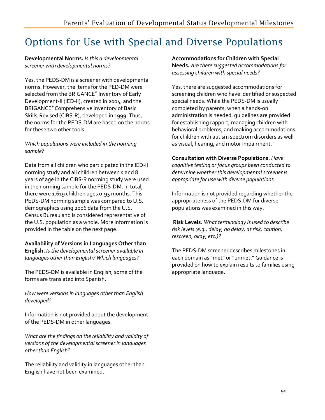### Options for Use with Special and Diverse Populations

#### **Developmental Norms.** *Is this a developmental screener with developmental norms?*

Yes, the PEDS-DM is a screener with developmental norms. However, the items for the PED-DM were selected from the BRIGANCE® Inventory of Early Development-II (IED-II), created in 2004, and the BRIGANCE® Comprehensive Inventory of Basic Skills-Revised (CIBS-R), developed in 1999. Thus, the norms for the PEDS-DM are based on the norms for these two other tools.

#### *Which populations were included in the norming sample?*

Data from all children who participated in the IED-II norming study and all children between 5 and 8 years of age in the CIBS-R norming study were used in the norming sample for the PEDS-DM. In total, there were 1,619 children ages 0-95 months. This PEDS-DM norming sample was compared to U.S. demographics using 2006 data from the U.S. Census Bureau and is considered representative of the U.S. population as a whole. More information is provided in the table on the next page.

#### **Availability of Versions in Languages Other than**

**English.** *Is the developmental screener available in languages other than English? Which languages?*

The PEDS-DM is available in English; some of the forms are translated into Spanish.

*How were versions in languages other than English developed?*

Information is not provided about the development of the PEDS-DM in other languages.

*What are the findings on the reliability and validity of versions of the developmental screener in languages other than English?*

The reliability and validity in languages other than English have not been examined.

**Accommodations for Children with Special Needs.** *Are there suggested accommodations for assessing children with special needs?* 

Yes, there are suggested accommodations for screening children who have identified or suspected special needs. While the PEDS-DM is usually completed by parents, when a hands-on administration is needed, guidelines are provided for establishing rapport, managing children with behavioral problems, and making accommodations for children with autism spectrum disorders as well as visual, hearing, and motor impairment.

#### **Consultation with Diverse Populations.** *Have*

*cognitive testing or focus groups been conducted to determine whether this developmental screener is appropriate for use with diverse populations*

Information is not provided regarding whether the appropriateness of the PEDS-DM for diverse populations was examined in this way.

**Risk Levels.** *What terminology is used to describe risk levels (e.g., delay, no delay, at risk, caution, rescreen, okay, etc.)?*

The PEDS-DM screener describes milestones in each domain as "met" or "unmet." Guidance is provided on how to explain results to families using appropriate language.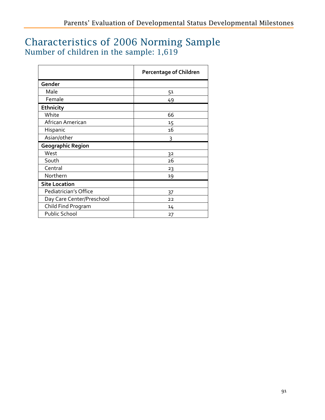### Characteristics of 2006 Norming Sample Number of children in the sample: 1,619

|                           | <b>Percentage of Children</b> |
|---------------------------|-------------------------------|
| Gender                    |                               |
| Male                      | 51                            |
| Female                    | 49                            |
| Ethnicity                 |                               |
| White                     | 66                            |
| African American          | 15                            |
| Hispanic                  | 16                            |
| Asian/other               | 3                             |
| <b>Geographic Region</b>  |                               |
| West                      | 32                            |
| South                     | 26                            |
| Central                   | 23                            |
| Northern                  | 19                            |
| <b>Site Location</b>      |                               |
| Pediatrician's Office     | 37                            |
| Day Care Center/Preschool | 22                            |
| Child Find Program        | 14                            |
| <b>Public School</b>      | 27                            |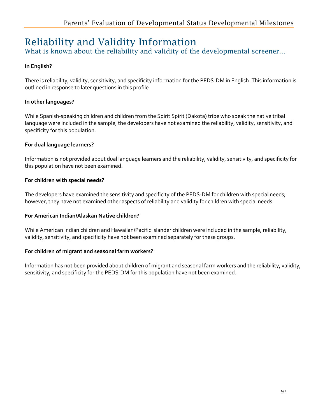### Reliability and Validity Information

What is known about the reliability and validity of the developmental screener...

#### **In English?**

There is reliability, validity, sensitivity, and specificity information for the PEDS-DM in English. This information is outlined in response to later questions in this profile.

#### **In other languages?**

While Spanish-speaking children and children from the Spirit Spirit (Dakota) tribe who speak the native tribal language were included in the sample, the developers have not examined the reliability, validity, sensitivity, and specificity for this population.

#### **For dual language learners?**

Information is not provided about dual language learners and the reliability, validity, sensitivity, and specificity for this population have not been examined.

#### **For children with special needs?**

The developers have examined the sensitivity and specificity of the PEDS-DM for children with special needs; however, they have not examined other aspects of reliability and validity for children with special needs.

#### **For American Indian/Alaskan Native children?**

While American Indian children and Hawaiian/Pacific Islander children were included in the sample, reliability, validity, sensitivity, and specificity have not been examined separately for these groups.

#### **For children of migrant and seasonal farm workers?**

Information has not been provided about children of migrant and seasonal farm workers and the reliability, validity, sensitivity, and specificity for the PEDS-DM for this population have not been examined.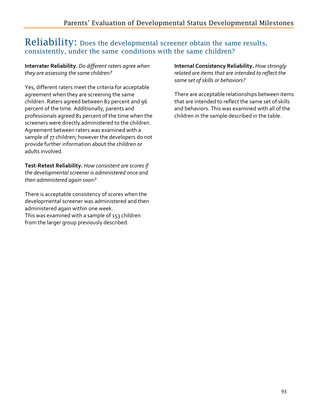### Reliability: Does the developmental screener obtain the same results, consistently, under the same conditions with the same children?

**Interrater Reliability.** *Do different raters agree when they are assessing the same children?*

Yes, different raters meet the criteria for acceptable agreement when they are screening the same children. Raters agreed between 82 percent and 96 percent of the time. Additionally, parents and professionals agreed 81 percent of the time when the screeners were directly administered to the children. Agreement between raters was examined with a sample of 77 children; however the developers do not provide further information about the children or adults involved.

**Test-Retest Reliability.** *How consistent are scores if the developmental screener is administered once and then administered again soon?* 

There is acceptable consistency of scores when the developmental screener was administered and then administered again within one week. This was examined with a sample of 153 children from the larger group previously described.

**Internal Consistency Reliability.** *How strongly related are items that are intended to reflect the same set of skills or behaviors?* 

There are acceptable relationships between items that are intended to reflect the same set of skills and behaviors. This was examined with all of the children in the sample described in the table.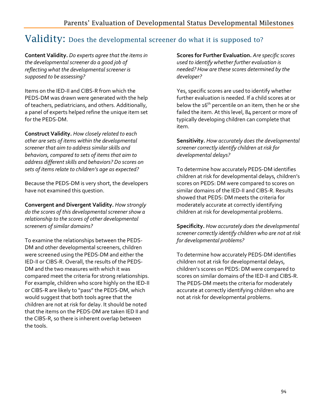### Validity: Does the developmental screener do what it is supposed to?

**Content Validity.** *Do experts agree that the items in the developmental screener do a good job of reflecting what the developmental screener is supposed to be assessing?*

Items on the IED-II and CIBS-R from which the PEDS-DM was drawn were generated with the help of teachers, pediatricians, and others. Additionally, a panel of experts helped refine the unique item set for the PEDS-DM.

**Construct Validity.** *How closely related to each other are sets of items within the developmental screener that aim to address similar skills and behaviors, compared to sets of items that aim to address different skills and behaviors? Do scores on sets of items relate to children's age as expected?*

Because the PEDS-DM is very short, the developers have not examined this question.

**Convergent and Divergent Validity.** *How strongly do the scores of this developmental screener show a relationship to the scores of other developmental screeners of similar domains?* 

To examine the relationships between the PEDS-DM and other developmental screeners, children were screened using the PEDS-DM and either the IED-II or CIBS-R. Overall, the results of the PEDS-DM and the two measures with which it was compared meet the criteria for strong relationships. For example, children who score highly on the IED-II or CIBS-R are likely to "pass" the PEDS-DM, which would suggest that both tools agree that the children are not at risk for delay. It should be noted that the items on the PEDS-DM are taken IED II and the CIBS-R, so there is inherent overlap between the tools.

**Scores for Further Evaluation.** *Are specific scores used to identify whether further evaluation is needed? How are these scores determined by the developer?*

Yes, specific scores are used to identify whether further evaluation is needed. If a child scores at or below the 16<sup>th</sup> percentile on an item, then he or she failed the item. At this level, 84 percent or more of typically developing children can complete that item.

**Sensitivity.** *How accurately does the developmental screener correctly identify children at risk for developmental delays?* 

To determine how accurately PEDS-DM identifies children at risk for developmental delays, children's scores on PEDS: DM were compared to scores on similar domains of the IED-II and CIBS-R. Results showed that PEDS: DM meets the criteria for moderately accurate at correctly identifying children at risk for developmental problems.

**Specificity.** *How accurately does the developmental screener correctly identify children who are not at risk for developmental problems?* 

To determine how accurately PEDS-DM identifies children not at risk for developmental delays, children's scores on PEDS: DM were compared to scores on similar domains of the IED-II and CIBS-R. The PEDS-DM meets the criteria for moderately accurate at correctly identifying children who are not at risk for developmental problems.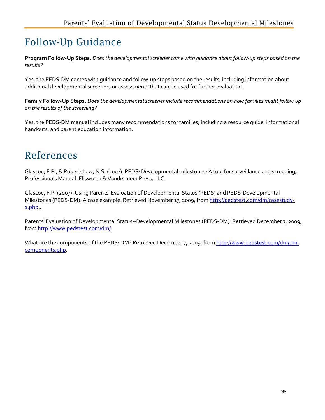# Follow-Up Guidance

**Program Follow-Up Steps.** *Does the developmental screener come with guidance about follow-up steps based on the results?* 

Yes, the PEDS-DM comes with guidance and follow-up steps based on the results, including information about additional developmental screeners or assessments that can be used for further evaluation.

**Family Follow-Up Steps.** *Does the developmental screener include recommendations on how families might follow up on the results of the screening?*

Yes, the PEDS-DM manual includes many recommendations for families, including a resource guide, informational handouts, and parent education information.

### References

Glascoe, F.P., & Robertshaw, N.S. (2007). PEDS: Developmental milestones: A tool for surveillance and screening, Professionals Manual. Ellsworth & Vandermeer Press, LLC.

Glascoe, F.P. (2007). Using Parents' Evaluation of Developmental Status (PEDS) and PEDS-Developmental Milestones (PEDS-DM): A case example. Retrieved November 17, 2009, from [http://pedstest.com/dm/casestudy-](http://pedstest.com/dm/casestudy-1.php)[1.php.](http://pedstest.com/dm/casestudy-1.php).

Parents' Evaluation of Developmental Status--Developmental Milestones (PEDS-DM). Retrieved December 7, 2009, fro[m http://www.pedstest.com/dm/.](http://www.pedstest.com/dm/)

What are the components of the PEDS: DM? Retrieved December 7, 2009, fro[m http://www.pedstest.com/dm/dm](http://www.pedstest.com/dm/dm-components.php)[components.php.](http://www.pedstest.com/dm/dm-components.php)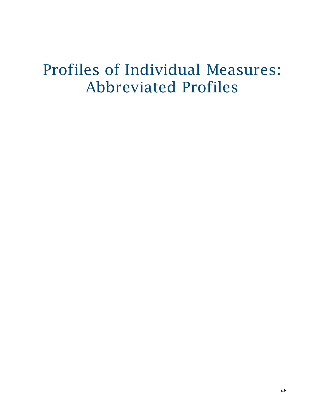# Profiles of Individual Measures: Abbreviated Profiles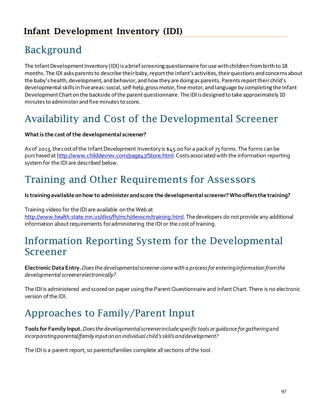### Background

The Infant Development Inventory (IDI) is a brief screening questionnaire for use with children from birth to 18 months. The IDI asks parents to describe their baby, report the infant's activities, their questions and concerns about the baby's health, development, and behavior, and how they are doing as parents. Parents report their child's developmental skills in five areas: social, self-help, gross motor, fine motor, and language by completing the Infant Development Chart on the backside of the parent questionnaire. The IDI is designed to take approximately 10 minutes to administer and five minutes to score.

### Availability and Cost of the Developmental Screener

#### **What is the cost of the developmental screener?**

As of 2013, the cost of the Infant Development Inventory is \$45.00 for a pack of 75 forms. The forms can be purchased a[t http://www.childdevrev.com/page47/Store.html.](http://www.childdevrev.com/page47/Store.html) Costs associated with the information reporting system for the IDI are described below.

### Training and Other Requirements for Assessors

#### **Is training available on how to administer and score the developmental screener? Who offers the training?**

Training videos for the IDI are available on the Web at http://www.health.state.mn.us/divs/fh/mch/devscm/training.html. The developers do not provide any additional information about requirements for administering the IDI or the cost of training.

### Information Reporting System for the Developmental Screener

**Electronic Data Entry.** *Does the developmental screener come with a process for entering information from the developmental screener electronically?*

The IDI is administered and scored on paper using the Parent Questionnaire and Infant Chart. There is no electronic version of the IDI.

### Approaches to Family/Parent Input

**Tools for Family Input.** *Does the developmental screener include specific tools or guidance for gathering and incorporating parental/family input on an individual child's skills and development?*

The IDI is a parent report, so parents/families complete all sections of the tool.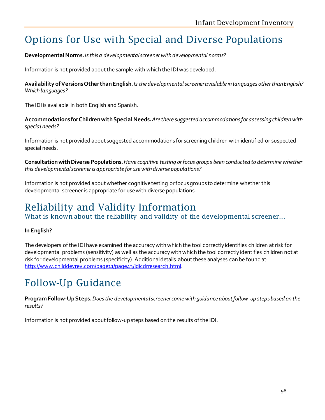### Options for Use with Special and Diverse Populations

**Developmental Norms.***Is this a developmental screener with developmental norms?* 

Information is not provided about the sample with which the IDI was developed.

**Availability of Versions Other than English.** *Is the developmental screener available in languages other than English? Which languages?* 

The IDI is available in both English and Spanish.

**Accommodations for Children with Special Needs.** *Are there suggested accommodations for assessing children with special needs?* 

Information is not provided about suggested accommodations for screening children with identified or suspected special needs.

**Consultation with Diverse Populations.** *Have cognitive testing or focus groups been conducted to determine whether this developmental screener is appropriate for use with diverse populations?* 

Information is not provided about whether cognitive testing or focus groups to determine whether this developmental screener is appropriate for use with diverse populations.

### Reliability and Validity Information

What is known about the reliability and validity of the developmental screener…

#### **In English?**

The developers of the IDI have examined the accuracy with which the tool correctly identifies children at risk for developmental problems (sensitivity) as well as the accuracy with which the tool correctly identifies children not at risk for developmental problems (specificity). Additional details about these analyses can be found at: [http://www.childdevrev.com/page11/page43/idicdrresearch.html.](http://www.childdevrev.com/page11/page43/idicdrresearch.html)

### Follow-Up Guidance

**Program Follow-Up Steps.** *Does the developmental screener come with guidance about follow-up steps based on the results?* 

Information is not provided about follow-up steps based on the results of the IDI.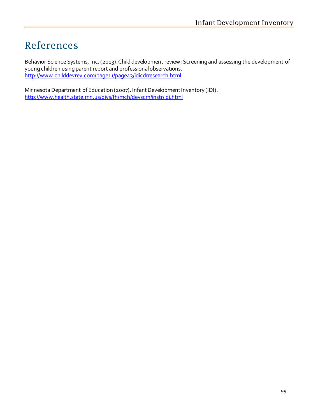## References

Behavior Science Systems, Inc. (2013). Child development review: Screening and assessing the development of young children using parent report and professional observations. <http://www.childdevrev.com/page11/page43/idicdrresearch.html>

Minnesota Department of Education (2007). Infant Development Inventory (IDI). <http://www.health.state.mn.us/divs/fh/mch/devscrn/instr/idi.html>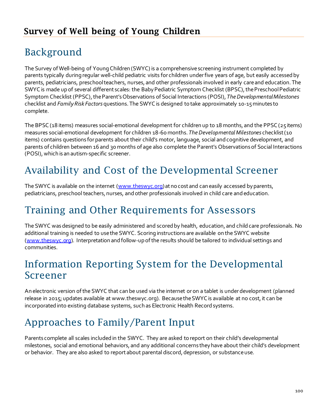# Background

The Survey of Well-being of Young Children (SWYC) is a comprehensive screening instrument completed by parents typically during regular well-child pediatric visits for children under five years of age, but easily accessed by parents, pediatricians, preschool teachers, nurses, and other professionals involved in early care and education. The SWYC is made up of several different scales: the Baby Pediatric Symptom Checklist (BPSC), the Preschool Pediatric Symptom Checklist (PPSC), the Parent's Observations of Social Interactions (POSI), *TheDevelopmental Milestones* checklist and *Family Risk Factors* questions. The SWYC is designed to take approximately 10-15 minutes to complete.

The BPSC (18 items) measures social-emotional development for children up to 18 months, and the PPSC (25 items) measures social-emotional development for children 18-60 months. *The Developmental Milestones* checklist (10 items) contains questions for parents about their child's motor, language, social and cognitive development, and parents of children between 16 and 30 months of age also complete the Parent's Observations of Social Interactions (POSI), which is an autism-specific screener.

### Availability and Cost of the Developmental Screener

The SWYC is available on the internet [\(www.theswyc.org\)](http://www.theswyc.org/) at no cost and can easily accessed by parents, pediatricians, preschool teachers, nurses, and other professionals involved in child care and education.

### Training and Other Requirements for Assessors

The SWYC was designed to be easily administered and scored by health, education, and child care professionals. No additional training is needed to use the SWYC. Scoring instructions are available on the SWYC website [\(www.theswyc.org\)](http://www.theswyc.org/). Interpretation and follow-up of the results should be tailored to individual settings and communities.

### Information Reporting System for the Developmental Screener

An electronic version of the SWYC that can be used via the internet or on a tablet is under development (planned release in 2015; updates available at www.theswyc.org). Because the SWYC is available at no cost, it can be incorporated into existing database systems, such as Electronic Health Record systems.

### Approaches to Family/Parent Input

Parents complete all scales included in the SWYC. They are asked to report on their child's developmental milestones, social and emotional behaviors, and any additional concerns they have about their child's development or behavior. They are also asked to report about parental discord, depression, or substance use.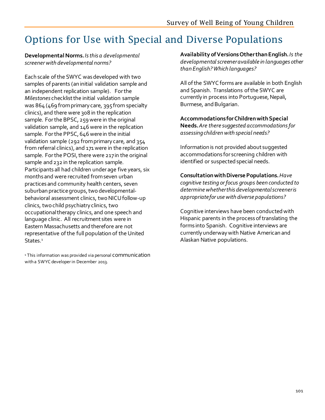# Options for Use with Special and Diverse Populations

**Developmental Norms.***Is this a developmental screener with developmental norms?* 

Each scale of the SWYC was developed with two samples of parents (an initial validation sample and an independent replication sample). For the *Milestones* checklist the initial validation sample was 864 (469 from primary care, 395 from specialty clinics), and there were 308 in the replication sample. For the BPSC, 259 were in the original validation sample, and 146 were in the replication sample. For the PPSC, 646 were in the initial validation sample (292 from primary care, and 354 from referral clinics), and 171 were in the replication sample. For the POSI, there were 217 in the original sample and 232 in the replication sample. Participants all had children under age five years, six months and were recruited from seven urban practices and community health centers, seven suburban practice groups, two developmentalbehavioral assessment clinics, two NICU follow-up clinics, two child psychiatry clinics, two occupational therapy clinics, and one speech and language clinic. All recruitment sites were in Eastern Massachusetts and therefore are not representative of the full population of the United States.<sup>1</sup>

<sup>1</sup> This information was provided via personal COMMUNICation with a SWYC developer in December 2013.

**Availability of Versions Other than English.** *Is the developmental screener available in languages other than English? Which languages?* 

All of the SWYC forms are available in both English and Spanish. Translations of the SWYC are currently in process into Portuguese, Nepali, Burmese, and Bulgarian.

**Accommodations for Children with Special Needs.** *Are there suggested accommodations for assessing children with special needs?* 

Information is not provided about suggested accommodations for screening children with identified or suspected special needs.

**Consultation with Diverse Populations.** *Have cognitive testing or focus groups been conducted to determine whether this developmental screener is appropriate for use with diverse populations?* 

Cognitive interviews have been conducted with Hispanic parents in the process of translating the forms into Spanish. Cognitive interviews are currently underway with Native American and Alaskan Native populations.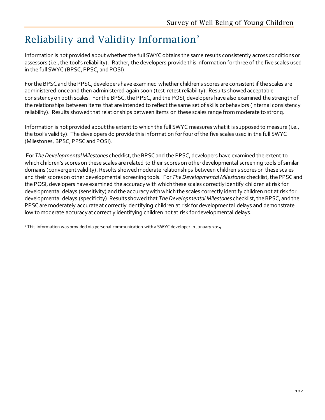# Reliability and Validity Information2

Information is not provided about whether the full SWYC obtains the same results consistently across conditions or assessors (i.e., the tool's reliability). Rather, the developers provide this information for three of the five scales used in the full SWYC (BPSC, PPSC, and POSI).

For the BPSC and the PPSC, developers have examined whether children's scores are consistent if the scales are administered once and then administered again soon (test-retest reliability). Results showed acceptable consistency on both scales. For the BPSC, the PPSC, and the POSI, developers have also examined the strength of the relationships between items that are intended to reflect the same set of skills or behaviors (internal consistency reliability). Results showed that relationships between items on these scales range from moderate to strong.

Information is not provided about the extent to which the full SWYC measures what it is supposed to measure (i.e., the tool's validity). The developers do provide this information for four of the five scales used in the full SWYC (Milestones, BPSC, PPSC and POSI).

For *The Developmental Milestones* checklist, the BPSC and the PPSC, developers have examined the extent to which children's scores on these scales are related to their scores on other developmental screening tools of similar domains (convergent validity). Results showed moderate relationships between children's scores on these scales and their scores on other developmental screening tools. For *The Developmental Milestones* checklist, the PPSC and the POSI, developers have examined the accuracy with which these scales correctly identify children at risk for developmental delays (sensitivity) and the accuracy with which the scales correctly identify children not at risk for developmental delays (specificity). Results showed that *The Developmental Milestones* checklist, the BPSC, and the PPSC are moderately accurate at correctly identifying children at risk for developmental delays and demonstrate low to moderate accuracy at correctly identifying children notat risk for developmental delays.

<sup>2</sup> This information was provided via personal communication with a SWYC developer in January 2014.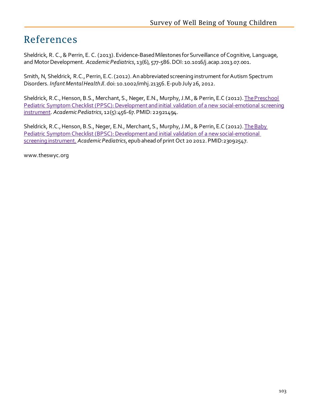### References

Sheldrick, R. C., & Perrin, E. C. (2013). Evidence-Based Milestones for Surveillance of Cognitive, Language, and Motor Development. *Academic Pediatrics*, 13(6), 577-586. DOI: 10.1016/j.acap.2013.07.001.

Smith, N, Sheldrick, R.C., Perrin, E.C. (2012)[. An abbreviated screening instrument for Autism Spectrum](http://onlinelibrary.wiley.com/doi/10.1002/imhj.21356/abstract)  [Disorders.](http://onlinelibrary.wiley.com/doi/10.1002/imhj.21356/abstract) *Infant Mental Health Jl*. doi: 10.1002/imhj.21356. E-pub July 26, 2012.

Sheldrick, R.C., Henson, B.S., Merchant, S., Neger, E.N., Murphy, J.M., & Perrin, E.C (2012). The Preschool [Pediatric Symptom Checklist \(PPSC\): Development and initial validation of a new social-emotional screening](http://www.ncbi.nlm.nih.gov/pubmed?term=The%20Preschool%20Pediatric%20Symptom%20Checklist%20(PPSC)%3A%20Development%20and%20initial%20validation%20of%20a%20new%20social-emotional%20screening%20instrument)  [instrument.](http://www.ncbi.nlm.nih.gov/pubmed?term=The%20Preschool%20Pediatric%20Symptom%20Checklist%20(PPSC)%3A%20Development%20and%20initial%20validation%20of%20a%20new%20social-emotional%20screening%20instrument) *Academic Pediatrics*, 12(5):456-67. PMID: 22921494.

Sheldrick, R.C., Henson, B.S., Neger, E.N., Merchant, S., Murphy, J.M., & Perrin, E.C (2012). The Baby [Pediatric Symptom Checklist \(BPSC\): Development and initial validation of a new social-emotional](http://www.ncbi.nlm.nih.gov/pubmed/23092547)  [screening instrument.](http://www.ncbi.nlm.nih.gov/pubmed/23092547) *Academic Pediatrics*, epub ahead of print Oct 20 2012. PMID:23092547.

www.theswyc.org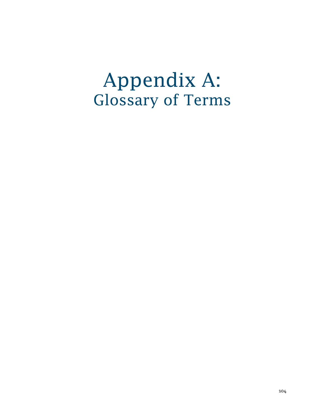# Appendix A: Glossary of Terms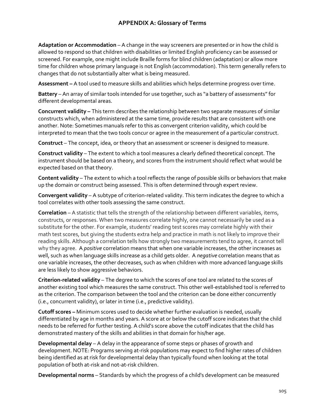#### **APPENDIX A: Glossary of Terms**

**Adaptation or Accommodation** – A change in the way screeners are presented or in how the child is allowed to respond so that children with disabilities or limited English proficiency can be assessed or screened. For example, one might include Braille forms for blind children (adaptation) or allow more time for children whose primary language is not English (accommodation). This term generally refers to changes that do not substantially alter what is being measured.

**Assessment –** A tool used to measure skills and abilities which helps determine progress over time.

**Battery** – An array of similar tools intended for use together, such as "a battery of assessments" for different developmental areas.

**Concurrent validity –** This term describes the relationship between two separate measures of similar constructs which, when administered at the same time, provide results that are consistent with one another. Note: Sometimes manuals refer to this as convergent criterion validity, which could be interpreted to mean that the two tools concur or agree in the measurement of a particular construct.

**Construct** – The concept, idea, or theory that an assessment or screener is designed to measure.

**Construct validity** – The extent to which a tool measures a clearly defined theoretical concept. The instrument should be based on a theory, and scores from the instrument should reflect what would be expected based on that theory.

**Content validity** – The extent to which a tool reflects the range of possible skills or behaviors that make up the domain or construct being assessed. This is often determined through expert review.

**Convergent validity** – A subtype of criterion-related validity. This term indicates the degree to which a tool correlates with other tools assessing the same construct.

**Correlation** – A statistic that tells the strength of the relationship between different variables, items, constructs, or responses. When two measures correlate highly, one cannot necessarily be used as a substitute for the other. For example, students' reading test scores may correlate highly with their math test scores, but giving the students extra help and practice in math is not likely to improve their reading skills. Although a correlation tells how strongly two measurements tend to agree, it cannot tell why they agree. A *positive* correlation means that when one variable increases, the other increases as well, such as when language skills increase as a child gets older. A *negative* correlation means that as one variable increases, the other decreases, such as when children with more advanced language skills are less likely to show aggressive behaviors.

**Criterion-related validity** – The degree to which the scores of one tool are related to the scores of another existing tool which measures the same construct. This other well-established tool is referred to as the criterion. The comparison between the tool and the criterion can be done either concurrently (i.e., concurrent validity), or later in time (i.e., predictive validity).

**Cutoff scores –** Minimum scores used to decide whether further evaluation is needed, usually differentiated by age in months and years. A score at or below the cutoff score indicates that the child needs to be referred for further testing. A child's score above the cutoff indicates that the child has demonstrated mastery of the skills and abilities in that domain for his/her age.

**Developmental delay** – A delay in the appearance of some steps or phases of growth and development. NOTE: Programs serving at-risk populations may expect to find higher rates of children being identified as at risk for developmental delay than typically found when looking at the total population of both at-risk and not-at-risk children.

**Developmental norms** – Standards by which the progress of a child's development can be measured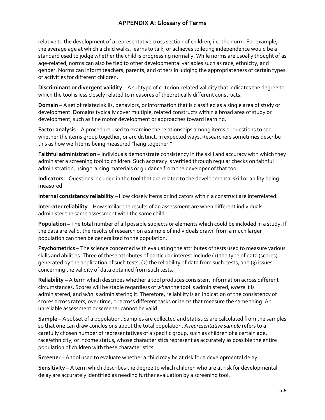## **APPENDIX A: Glossary of Terms**

relative to the development of a representative cross section of children, i.e. the norm. For example, the average age at which a child walks, learns to talk, or achieves toileting independence would be a standard used to judge whether the child is progressing normally. While norms are usually thought of as age-related, norms can also be tied to other developmental variables such as race, ethnicity, and gender. Norms can inform teachers, parents, and others in judging the appropriateness of certain types of activities for different children.

**Discriminant or divergent validity** – A subtype of criterion-related validity that indicates the degree to which the tool is less closely related to measures of theoretically different constructs.

**Domain** – A set of related skills, behaviors, or information that is classified as a single area of study or development. Domains typically cover multiple, related constructs within a broad area of study or development, such as fine motor development or approaches toward learning.

**Factor analysis** – A procedure used to examine the relationships among items or questions to see whether the items group together, or are distinct, in expected ways. Researchers sometimes describe this as how well items being measured "hang together."

**Faithful administration** – Individuals demonstrate consistency in the skill and accuracy with which they administer a screening tool to children. Such accuracy is verified through regular checks on faithful administration, using training materials or guidance from the developer of that tool.

**Indicators –** Questions included in the tool that are related to the developmental skill or ability being measured.

**Internal consistency reliability** – How closely items or indicators within a construct are interrelated.

**Interrater reliability** – How similar the results of an assessment are when different individuals administer the same assessment with the same child.

**Population –** The total number of all possible subjects or elements which could be included in a study. If the data are valid, the results of research on a sample of individuals drawn from a much larger population can then be generalized to the population.

**Psychometrics** – The science concerned with evaluating the attributes of tests used to measure various skills and abilities. Three of these attributes of particular interest include (1) the type of data (scores) generated by the application of such tests, (2) the reliability of data from such tests, and (3) issues concerning the validity of data obtained from such tests.

**Reliability –** A term which describes whether a tool produces consistent information across different circumstances. Scores will be stable regardless of *when* the tool is administered, *where* it is administered, and *who* is administering it. Therefore, reliability is an indication of the consistency of scores across raters, over time, or across different tasks or items that measure the same thing. An unreliable assessment or screener cannot be valid.

**Sample** – A subset of a population. Samples are collected and statistics are calculated from the samples so that one can draw conclusions about the total population. A *representative sample* refers to a carefully chosen number of representatives of a specific group, such as children of a certain age, race/ethnicity, or income status, whose characteristics represent as accurately as possible the entire population of children with these characteristics.

**Screener** – A tool used to evaluate whether a child may be at risk for a developmental delay.

**Sensitivity** – A term which describes the degree to which children who are at risk for developmental delay are accurately identified as needing further evaluation by a screening tool.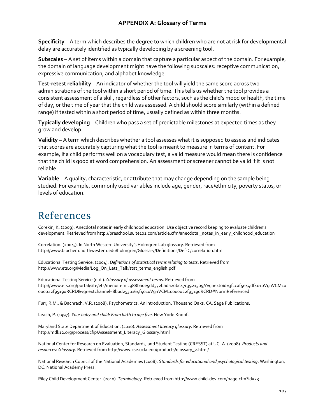## **APPENDIX A: Glossary of Terms**

**Specificity** – A term which describes the degree to which children who are not at risk for developmental delay are accurately identified as typically developing by a screening tool.

**Subscales** – A set of items within a domain that capture a particular aspect of the domain. For example, the domain of language development might have the following subscales: receptive communication, expressive communication, and alphabet knowledge.

**Test-retest reliability** – An indicator of whether the tool will yield the same score across two administrations of the tool within a short period of time. This tells us whether the tool provides a consistent assessment of a skill, regardless of other factors, such as the child's mood or health, the time of day, or the time of year that the child was assessed. A child should score similarly (within a defined range) if tested within a short period of time, usually defined as within three months.

**Typically developing –** Children who pass a set of predictable milestones at expected times as they grow and develop.

**Validity –** A term which describes whether a tool assesses what it is supposed to assess and indicates that scores are accurately capturing what the tool is meant to measure in terms of content. For example, if a child performs well on a vocabulary test, a valid measure would mean there is confidence that the child is good at word comprehension. An assessment or screener cannot be valid if it is not reliable.

**Variable** – A quality, characteristic, or attribute that may change depending on the sample being studied. For example, commonly used variables include age, gender, race/ethnicity, poverty status, or levels of education.

# References

Corekin, K. (2009). Anecdotal notes in early childhood education: Use objective record keeping to evaluate children's development. Retrieved from http://preschool.suite101.com/article.cfm/anecdotal\_notes\_in\_early\_childhood\_education

Correlation. (2004,). In North Western University's Holmgren Lab glossary. Retrieved from http://www.biochem.northwestern.edu/holmgren/Glossary/Definitions/Def-C/correlation.html

Educational Testing Service. (2004). *Definitions of statistical terms relating to tests*. Retrieved from http://www.ets.org/Media/Log\_On\_Lets\_Talk/stat\_terms\_english.pdf

Educational Testing Service (n.d.). *Glossary of assessment terms*. Retrieved from http://www.ets.org/portal/site/ets/menuitem.c988ba0e5dd572bada20bc47c3921509/?vgnextoid=3f1caf5e44df4010VgnVCM10 000022f95190RCRD&vgnextchannel=8b0d253b164f4010VgnVCM10000022f95190RCRD#NormReferenced

Furr, R.M., & Bachrach, V.R. (2008). Psychometrics: An introduction. Thousand Oaks, CA: Sage Publications.

Leach, P. (1997). *Your baby and child: From birth to age five*. New York: Knopf.

Maryland State Department of Education. (2010). *Assessment literacy glossary*. Retrieved from [http://mdk12.org/process/cfip/Assessment\\_Literacy\\_Glossary.html](http://mdk12.org/process/cfip/Assessment_Literacy_Glossary.html)

National Center for Research on Evaluation, Standards, and Student Testing (CRESST) at UCLA. (2008). *Products and resources: Glossary*. Retrieved from http://www.cse.ucla.edu/products/glossary\_2.html/

National Research Council of the National Academies (2008). *Standards for educational and psychological testing*. Washington, DC: National Academy Press.

Riley Child Development Center. (2010). *Terminology*. Retrieved fro[m http://www.child-dev.com/page.cfm?id=23](http://www.child-dev.com/page.cfm?id=23)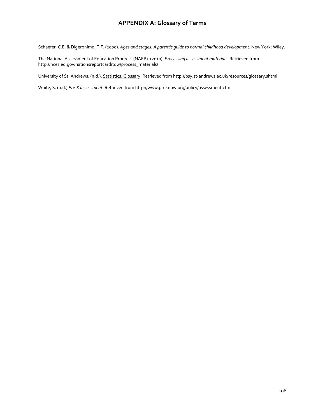#### **APPENDIX A: Glossary of Terms**

Schaefer, C.E. & Digeronimo, T.F. (2000). *Ages and stages: A parent's guide to normal childhood development*. New York: Wiley.

The National Assessment of Education Progress (NAEP). (2010). *Processing assessment materials*. Retrieved from [http://nces.ed.gov/nationsreportcard/tdw/process\\_materials/](http://nces.ed.gov/nationsreportcard/tdw/process_materials/)

University of St. Andrews. (n.d.). Statistics: Glossary. Retrieved fro[m http://psy.st-andrews.ac.uk/resources/glossary.shtml](http://psy.st-andrews.ac.uk/resources/glossary.shtml)

White, S. (n.d.) *Pre-K assessment*. Retrieved fro[m http://www.preknow.org/policy/assessment.cfm](http://www.preknow.org/policy/assessment.cfm)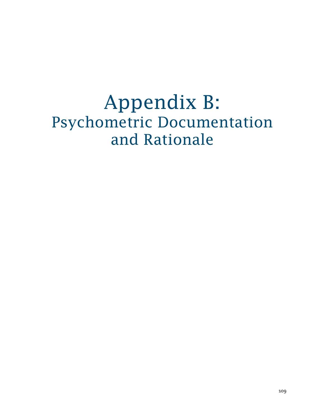Appendix B: Psychometric Documentation and Rationale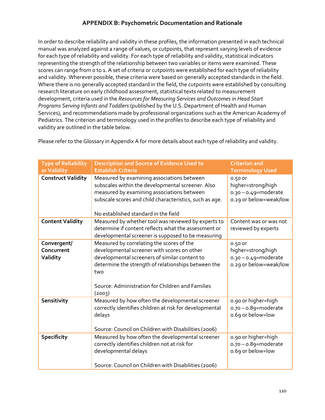## **APPENDIX B: Psychometric Documentation and Rationale**

In order to describe reliability and validity in these profiles, the information presented in each technical manual was analyzed against a range of values, or cutpoints, that represent varying levels of evidence for each type of reliability and validity. For each type of reliability and validity, statistical indicators representing the strength of the relationship between two variables or items were examined. These scores can range from 0 to 1. A set of criteria or cutpoints were established for each type of reliability and validity. Wherever possible, these criteria were based on generally accepted standards in the field. Where there is no generally accepted standard in the field, the cutpoints were established by consulting research literature on early childhood assessment, statistical texts related to measurement development, criteria used in the *Resources for Measuring Services and Outcomes in Head Start Programs Serving Infants and Toddlers* (published by the U.S. Department of Health and Human Services)*,* and recommendations made by professional organizations such as the American Academy of Pediatrics. The criterion and terminology used in the profiles to describe each type of reliability and validity are outlined in the table below.

| <b>Type of Reliability</b><br>or Validity | <b>Description and Source of Evidence Used to</b><br><b>Establish Criteria</b>                                                                                                                                                                                        | <b>Criterion and</b><br><b>Terminology Used</b>                                     |
|-------------------------------------------|-----------------------------------------------------------------------------------------------------------------------------------------------------------------------------------------------------------------------------------------------------------------------|-------------------------------------------------------------------------------------|
| <b>Construct Validity</b>                 | Measured by examining associations between<br>subscales within the developmental screener. Also<br>measured by examining associations between<br>subscale scores and child characteristics, such as age.<br>No established standard in the field                      | 0.50 or<br>higher=strong/high<br>$0.30 - 0.49$ = moderate<br>o.29 or below=weak/low |
| <b>Content Validity</b>                   | Measured by whether tool was reviewed by experts to<br>determine if content reflects what the assessment or<br>developmental screener is supposed to be measuring                                                                                                     | Content was or was not<br>reviewed by experts                                       |
| Convergent/<br>Concurrent<br>Validity     | Measured by correlating the scores of the<br>developmental screener with scores on other<br>developmental screeners of similar content to<br>determine the strength of relationships between the<br>two<br>Source: Administration for Children and Families<br>(2003) | 0.50 or<br>higher=strong/high<br>$0.30 - 0.49$ =moderate<br>o.29 or below=weak/low  |
| Sensitivity                               | Measured by how often the developmental screener<br>correctly identifies children at risk for developmental<br>delays<br>Source: Council on Children with Disabilities (2006)                                                                                         | 0.90 or higher=high<br>$0.70 - 0.89$ =moderate<br>o.69 or below=low                 |
| <b>Specificity</b>                        | Measured by how often the developmental screener<br>correctly identifies children not at risk for<br>developmental delays<br>Source: Council on Children with Disabilities (2006)                                                                                     | 0.90 or higher=high<br>$0.70 - 0.89$ =moderate<br>o.69 or below=low                 |

Please refer to the Glossary in Appendix A for more details about each type of reliability and validity.